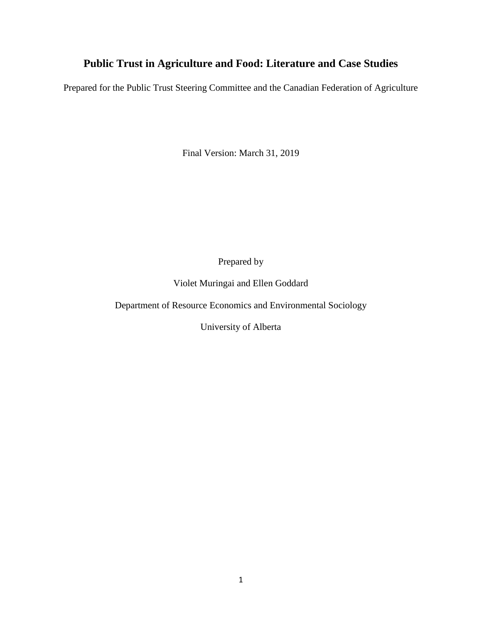# **Public Trust in Agriculture and Food: Literature and Case Studies**

Prepared for the Public Trust Steering Committee and the Canadian Federation of Agriculture

Final Version: March 31, 2019

Prepared by

Violet Muringai and Ellen Goddard

Department of Resource Economics and Environmental Sociology

University of Alberta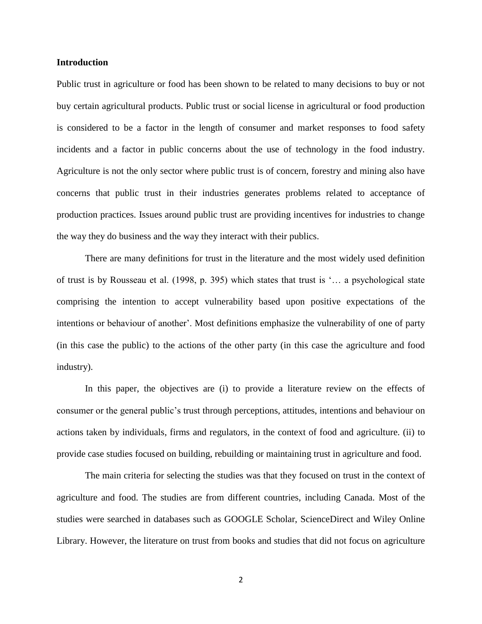#### **Introduction**

Public trust in agriculture or food has been shown to be related to many decisions to buy or not buy certain agricultural products. Public trust or social license in agricultural or food production is considered to be a factor in the length of consumer and market responses to food safety incidents and a factor in public concerns about the use of technology in the food industry. Agriculture is not the only sector where public trust is of concern, forestry and mining also have concerns that public trust in their industries generates problems related to acceptance of production practices. Issues around public trust are providing incentives for industries to change the way they do business and the way they interact with their publics.

There are many definitions for trust in the literature and the most widely used definition of trust is by Rousseau et al. (1998, p. 395) which states that trust is '… a psychological state comprising the intention to accept vulnerability based upon positive expectations of the intentions or behaviour of another'. Most definitions emphasize the vulnerability of one of party (in this case the public) to the actions of the other party (in this case the agriculture and food industry).

In this paper, the objectives are (i) to provide a literature review on the effects of consumer or the general public's trust through perceptions, attitudes, intentions and behaviour on actions taken by individuals, firms and regulators, in the context of food and agriculture. (ii) to provide case studies focused on building, rebuilding or maintaining trust in agriculture and food.

The main criteria for selecting the studies was that they focused on trust in the context of agriculture and food. The studies are from different countries, including Canada. Most of the studies were searched in databases such as GOOGLE Scholar, ScienceDirect and Wiley Online Library. However, the literature on trust from books and studies that did not focus on agriculture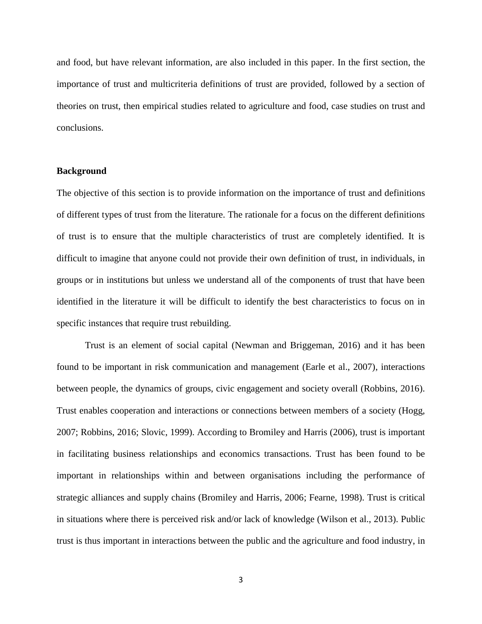and food, but have relevant information, are also included in this paper. In the first section, the importance of trust and multicriteria definitions of trust are provided, followed by a section of theories on trust, then empirical studies related to agriculture and food, case studies on trust and conclusions.

# **Background**

The objective of this section is to provide information on the importance of trust and definitions of different types of trust from the literature. The rationale for a focus on the different definitions of trust is to ensure that the multiple characteristics of trust are completely identified. It is difficult to imagine that anyone could not provide their own definition of trust, in individuals, in groups or in institutions but unless we understand all of the components of trust that have been identified in the literature it will be difficult to identify the best characteristics to focus on in specific instances that require trust rebuilding.

Trust is an element of social capital (Newman and Briggeman, 2016) and it has been found to be important in risk communication and management (Earle et al., 2007), interactions between people, the dynamics of groups, civic engagement and society overall (Robbins, 2016). Trust enables cooperation and interactions or connections between members of a society (Hogg, 2007; Robbins, 2016; Slovic, 1999). According to Bromiley and Harris (2006), trust is important in facilitating business relationships and economics transactions. Trust has been found to be important in relationships within and between organisations including the performance of strategic alliances and supply chains (Bromiley and Harris, 2006; Fearne, 1998). Trust is critical in situations where there is perceived risk and/or lack of knowledge (Wilson et al., 2013). Public trust is thus important in interactions between the public and the agriculture and food industry, in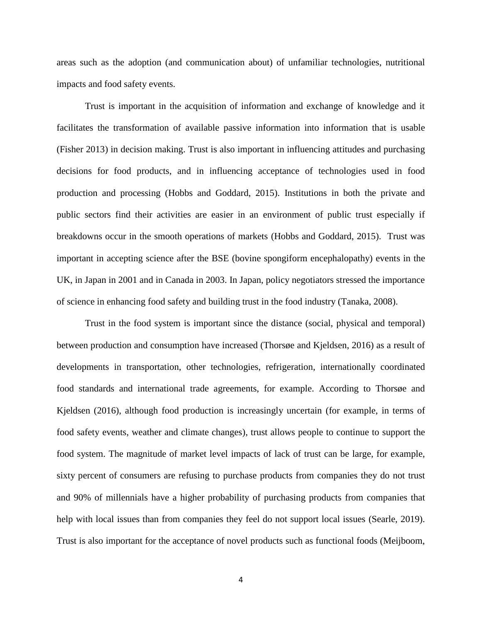areas such as the adoption (and communication about) of unfamiliar technologies, nutritional impacts and food safety events.

Trust is important in the acquisition of information and exchange of knowledge and it facilitates the transformation of available passive information into information that is usable (Fisher 2013) in decision making. Trust is also important in influencing attitudes and purchasing decisions for food products, and in influencing acceptance of technologies used in food production and processing (Hobbs and Goddard, 2015). Institutions in both the private and public sectors find their activities are easier in an environment of public trust especially if breakdowns occur in the smooth operations of markets (Hobbs and Goddard, 2015). Trust was important in accepting science after the BSE (bovine spongiform encephalopathy) events in the UK, in Japan in 2001 and in Canada in 2003. In Japan, policy negotiators stressed the importance of science in enhancing food safety and building trust in the food industry (Tanaka, 2008).

Trust in the food system is important since the distance (social, physical and temporal) between production and consumption have increased (Thorsøe and Kjeldsen, 2016) as a result of developments in transportation, other technologies, refrigeration, internationally coordinated food standards and international trade agreements, for example. According to Thorsøe and Kjeldsen (2016), although food production is increasingly uncertain (for example, in terms of food safety events, weather and climate changes), trust allows people to continue to support the food system. The magnitude of market level impacts of lack of trust can be large, for example, sixty percent of consumers are refusing to purchase products from companies they do not trust and 90% of millennials have a higher probability of purchasing products from companies that help with local issues than from companies they feel do not support local issues (Searle, 2019). Trust is also important for the acceptance of novel products such as functional foods (Meijboom,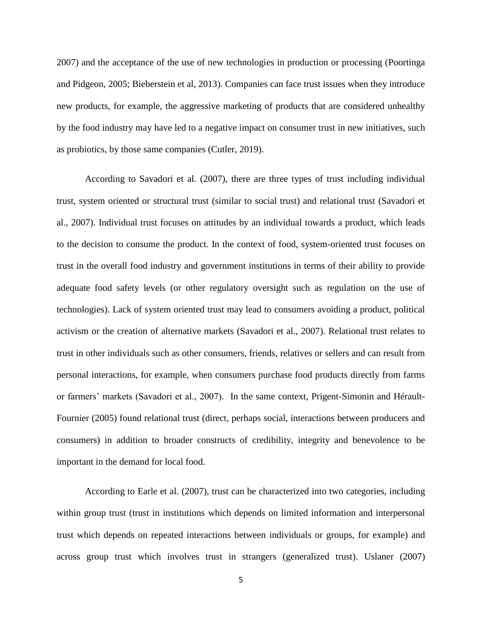2007) and the acceptance of the use of new technologies in production or processing (Poortinga and Pidgeon, 2005; Bieberstein et al, 2013). Companies can face trust issues when they introduce new products, for example, the aggressive marketing of products that are considered unhealthy by the food industry may have led to a negative impact on consumer trust in new initiatives, such as probiotics, by those same companies (Cutler, 2019).

According to Savadori et al. (2007), there are three types of trust including individual trust, system oriented or structural trust (similar to social trust) and relational trust (Savadori et al., 2007). Individual trust focuses on attitudes by an individual towards a product, which leads to the decision to consume the product. In the context of food, system-oriented trust focuses on trust in the overall food industry and government institutions in terms of their ability to provide adequate food safety levels (or other regulatory oversight such as regulation on the use of technologies). Lack of system oriented trust may lead to consumers avoiding a product, political activism or the creation of alternative markets (Savadori et al., 2007). Relational trust relates to trust in other individuals such as other consumers, friends, relatives or sellers and can result from personal interactions, for example, when consumers purchase food products directly from farms or farmers' markets (Savadori et al., 2007). In the same context, Prigent-Simonin and Hérault-Fournier (2005) found relational trust (direct, perhaps social, interactions between producers and consumers) in addition to broader constructs of credibility, integrity and benevolence to be important in the demand for local food.

According to Earle et al. (2007), trust can be characterized into two categories, including within group trust (trust in institutions which depends on limited information and interpersonal trust which depends on repeated interactions between individuals or groups, for example) and across group trust which involves trust in strangers (generalized trust). Uslaner (2007)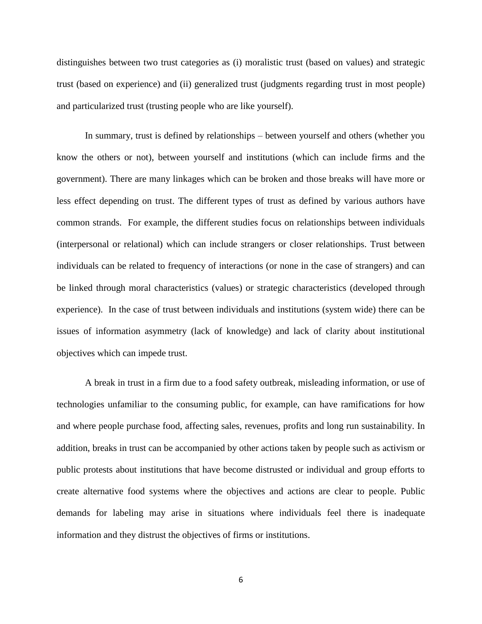distinguishes between two trust categories as (i) moralistic trust (based on values) and strategic trust (based on experience) and (ii) generalized trust (judgments regarding trust in most people) and particularized trust (trusting people who are like yourself).

In summary, trust is defined by relationships – between yourself and others (whether you know the others or not), between yourself and institutions (which can include firms and the government). There are many linkages which can be broken and those breaks will have more or less effect depending on trust. The different types of trust as defined by various authors have common strands. For example, the different studies focus on relationships between individuals (interpersonal or relational) which can include strangers or closer relationships. Trust between individuals can be related to frequency of interactions (or none in the case of strangers) and can be linked through moral characteristics (values) or strategic characteristics (developed through experience). In the case of trust between individuals and institutions (system wide) there can be issues of information asymmetry (lack of knowledge) and lack of clarity about institutional objectives which can impede trust.

A break in trust in a firm due to a food safety outbreak, misleading information, or use of technologies unfamiliar to the consuming public, for example, can have ramifications for how and where people purchase food, affecting sales, revenues, profits and long run sustainability. In addition, breaks in trust can be accompanied by other actions taken by people such as activism or public protests about institutions that have become distrusted or individual and group efforts to create alternative food systems where the objectives and actions are clear to people. Public demands for labeling may arise in situations where individuals feel there is inadequate information and they distrust the objectives of firms or institutions.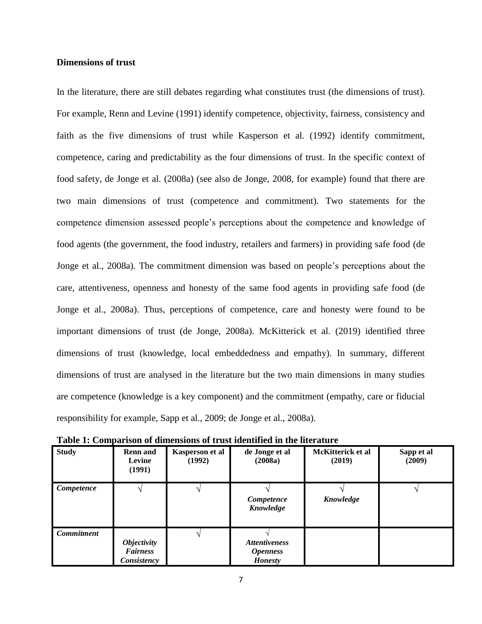# **Dimensions of trust**

In the literature, there are still debates regarding what constitutes trust (the dimensions of trust). For example, Renn and Levine (1991) identify competence, objectivity, fairness, consistency and faith as the five dimensions of trust while Kasperson et al. (1992) identify commitment, competence, caring and predictability as the four dimensions of trust. In the specific context of food safety, de Jonge et al. (2008a) (see also de Jonge, 2008, for example) found that there are two main dimensions of trust (competence and commitment). Two statements for the competence dimension assessed people's perceptions about the competence and knowledge of food agents (the government, the food industry, retailers and farmers) in providing safe food (de Jonge et al., 2008a). The commitment dimension was based on people's perceptions about the care, attentiveness, openness and honesty of the same food agents in providing safe food (de Jonge et al., 2008a). Thus, perceptions of competence, care and honesty were found to be important dimensions of trust (de Jonge, 2008a). McKitterick et al. (2019) identified three dimensions of trust (knowledge, local embeddedness and empathy). In summary, different dimensions of trust are analysed in the literature but the two main dimensions in many studies are competence (knowledge is a key component) and the commitment (empathy, care or fiducial responsibility for example, Sapp et al., 2009; de Jonge et al., 2008a).

| <b>Study</b>      | <b>Renn</b> and<br>Levine<br>(1991)                         | Kasperson et al<br>(1992) | de Jonge et al<br>(2008a)                                 | McKitterick et al<br>(2019) | Sapp et al<br>(2009) |
|-------------------|-------------------------------------------------------------|---------------------------|-----------------------------------------------------------|-----------------------------|----------------------|
| Competence        |                                                             |                           | Competence<br>Knowledge                                   | Knowledge                   |                      |
| <b>Commitment</b> | <i><b>Objectivity</b></i><br><b>Fairness</b><br>Consistency |                           | <b>Attentiveness</b><br><b>Openness</b><br><b>Honesty</b> |                             |                      |

**Table 1: Comparison of dimensions of trust identified in the literature**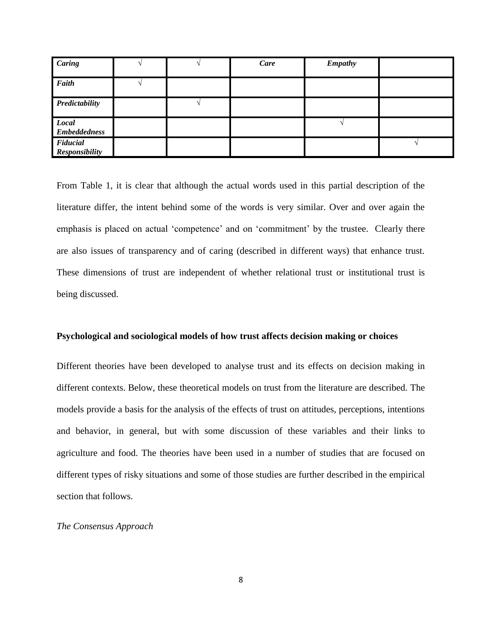| Caring                            |  | Care | <b>Empathy</b> |  |
|-----------------------------------|--|------|----------------|--|
| Faith                             |  |      |                |  |
| Predictability                    |  |      |                |  |
| Local<br><b>Embeddedness</b>      |  |      |                |  |
| Fiducial<br><b>Responsibility</b> |  |      |                |  |

From Table 1, it is clear that although the actual words used in this partial description of the literature differ, the intent behind some of the words is very similar. Over and over again the emphasis is placed on actual 'competence' and on 'commitment' by the trustee. Clearly there are also issues of transparency and of caring (described in different ways) that enhance trust. These dimensions of trust are independent of whether relational trust or institutional trust is being discussed.

#### **Psychological and sociological models of how trust affects decision making or choices**

Different theories have been developed to analyse trust and its effects on decision making in different contexts. Below, these theoretical models on trust from the literature are described. The models provide a basis for the analysis of the effects of trust on attitudes, perceptions, intentions and behavior, in general, but with some discussion of these variables and their links to agriculture and food. The theories have been used in a number of studies that are focused on different types of risky situations and some of those studies are further described in the empirical section that follows.

#### *The Consensus Approach*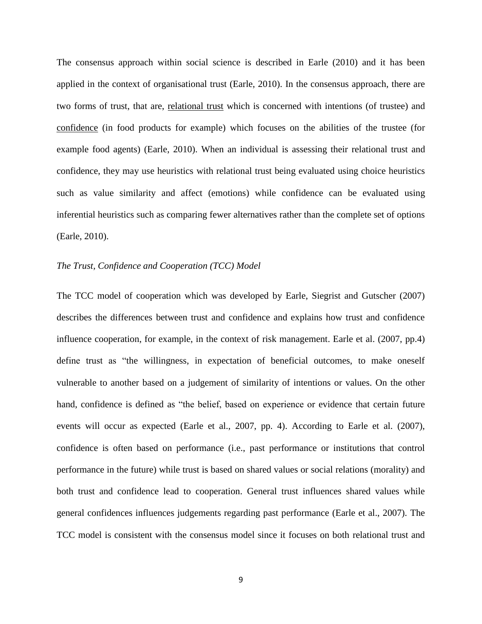The consensus approach within social science is described in Earle (2010) and it has been applied in the context of organisational trust (Earle, 2010). In the consensus approach, there are two forms of trust, that are, relational trust which is concerned with intentions (of trustee) and confidence (in food products for example) which focuses on the abilities of the trustee (for example food agents) (Earle, 2010). When an individual is assessing their relational trust and confidence, they may use heuristics with relational trust being evaluated using choice heuristics such as value similarity and affect (emotions) while confidence can be evaluated using inferential heuristics such as comparing fewer alternatives rather than the complete set of options (Earle, 2010).

# *The Trust, Confidence and Cooperation (TCC) Model*

The TCC model of cooperation which was developed by Earle, Siegrist and Gutscher (2007) describes the differences between trust and confidence and explains how trust and confidence influence cooperation, for example, in the context of risk management. Earle et al. (2007, pp.4) define trust as "the willingness, in expectation of beneficial outcomes, to make oneself vulnerable to another based on a judgement of similarity of intentions or values. On the other hand, confidence is defined as "the belief, based on experience or evidence that certain future events will occur as expected (Earle et al., 2007, pp. 4). According to Earle et al. (2007), confidence is often based on performance (i.e., past performance or institutions that control performance in the future) while trust is based on shared values or social relations (morality) and both trust and confidence lead to cooperation. General trust influences shared values while general confidences influences judgements regarding past performance (Earle et al., 2007). The TCC model is consistent with the consensus model since it focuses on both relational trust and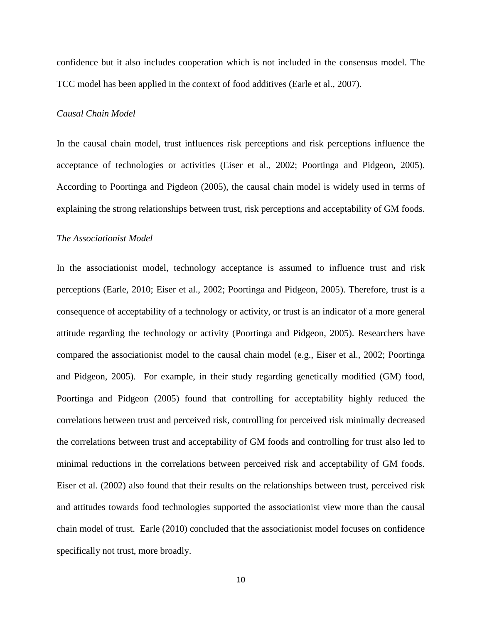confidence but it also includes cooperation which is not included in the consensus model. The TCC model has been applied in the context of food additives (Earle et al., 2007).

#### *Causal Chain Model*

In the causal chain model, trust influences risk perceptions and risk perceptions influence the acceptance of technologies or activities (Eiser et al., 2002; Poortinga and Pidgeon, 2005). According to Poortinga and Pigdeon (2005), the causal chain model is widely used in terms of explaining the strong relationships between trust, risk perceptions and acceptability of GM foods.

# *The Associationist Model*

In the associationist model, technology acceptance is assumed to influence trust and risk perceptions (Earle, 2010; Eiser et al., 2002; Poortinga and Pidgeon, 2005). Therefore, trust is a consequence of acceptability of a technology or activity, or trust is an indicator of a more general attitude regarding the technology or activity (Poortinga and Pidgeon, 2005). Researchers have compared the associationist model to the causal chain model (e.g., Eiser et al., 2002; Poortinga and Pidgeon, 2005). For example, in their study regarding genetically modified (GM) food, Poortinga and Pidgeon (2005) found that controlling for acceptability highly reduced the correlations between trust and perceived risk, controlling for perceived risk minimally decreased the correlations between trust and acceptability of GM foods and controlling for trust also led to minimal reductions in the correlations between perceived risk and acceptability of GM foods. Eiser et al. (2002) also found that their results on the relationships between trust, perceived risk and attitudes towards food technologies supported the associationist view more than the causal chain model of trust. Earle (2010) concluded that the associationist model focuses on confidence specifically not trust, more broadly.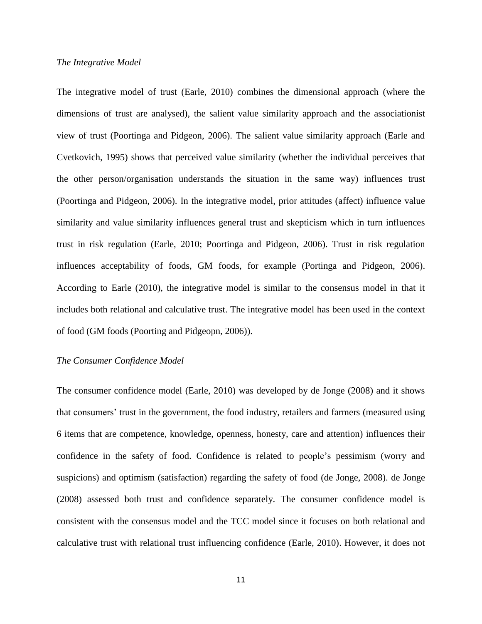#### *The Integrative Model*

The integrative model of trust (Earle, 2010) combines the dimensional approach (where the dimensions of trust are analysed), the salient value similarity approach and the associationist view of trust (Poortinga and Pidgeon, 2006). The salient value similarity approach (Earle and Cvetkovich, 1995) shows that perceived value similarity (whether the individual perceives that the other person/organisation understands the situation in the same way) influences trust (Poortinga and Pidgeon, 2006). In the integrative model, prior attitudes (affect) influence value similarity and value similarity influences general trust and skepticism which in turn influences trust in risk regulation (Earle, 2010; Poortinga and Pidgeon, 2006). Trust in risk regulation influences acceptability of foods, GM foods, for example (Portinga and Pidgeon, 2006). According to Earle (2010), the integrative model is similar to the consensus model in that it includes both relational and calculative trust. The integrative model has been used in the context of food (GM foods (Poorting and Pidgeopn, 2006)).

#### *The Consumer Confidence Model*

The consumer confidence model (Earle, 2010) was developed by de Jonge (2008) and it shows that consumers' trust in the government, the food industry, retailers and farmers (measured using 6 items that are competence, knowledge, openness, honesty, care and attention) influences their confidence in the safety of food. Confidence is related to people's pessimism (worry and suspicions) and optimism (satisfaction) regarding the safety of food (de Jonge, 2008). de Jonge (2008) assessed both trust and confidence separately. The consumer confidence model is consistent with the consensus model and the TCC model since it focuses on both relational and calculative trust with relational trust influencing confidence (Earle, 2010). However, it does not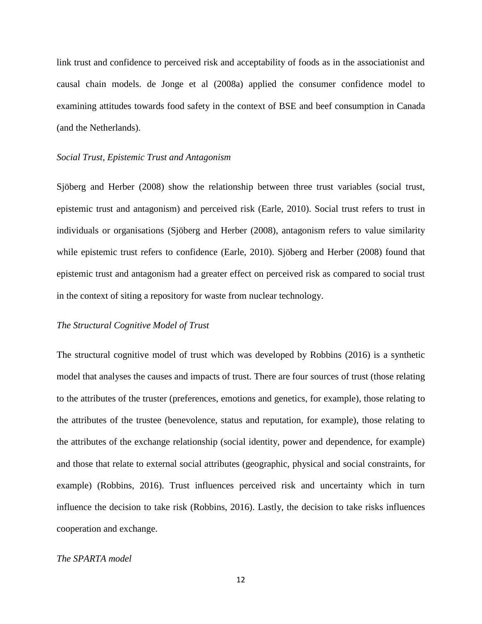link trust and confidence to perceived risk and acceptability of foods as in the associationist and causal chain models. de Jonge et al (2008a) applied the consumer confidence model to examining attitudes towards food safety in the context of BSE and beef consumption in Canada (and the Netherlands).

#### *Social Trust, Epistemic Trust and Antagonism*

Sjöberg and Herber (2008) show the relationship between three trust variables (social trust, epistemic trust and antagonism) and perceived risk (Earle, 2010). Social trust refers to trust in individuals or organisations (Sjöberg and Herber (2008), antagonism refers to value similarity while epistemic trust refers to confidence (Earle, 2010). Sjöberg and Herber (2008) found that epistemic trust and antagonism had a greater effect on perceived risk as compared to social trust in the context of siting a repository for waste from nuclear technology.

# *The Structural Cognitive Model of Trust*

The structural cognitive model of trust which was developed by Robbins (2016) is a synthetic model that analyses the causes and impacts of trust. There are four sources of trust (those relating to the attributes of the truster (preferences, emotions and genetics, for example), those relating to the attributes of the trustee (benevolence, status and reputation, for example), those relating to the attributes of the exchange relationship (social identity, power and dependence, for example) and those that relate to external social attributes (geographic, physical and social constraints, for example) (Robbins, 2016). Trust influences perceived risk and uncertainty which in turn influence the decision to take risk (Robbins, 2016). Lastly, the decision to take risks influences cooperation and exchange.

# *The SPARTA model*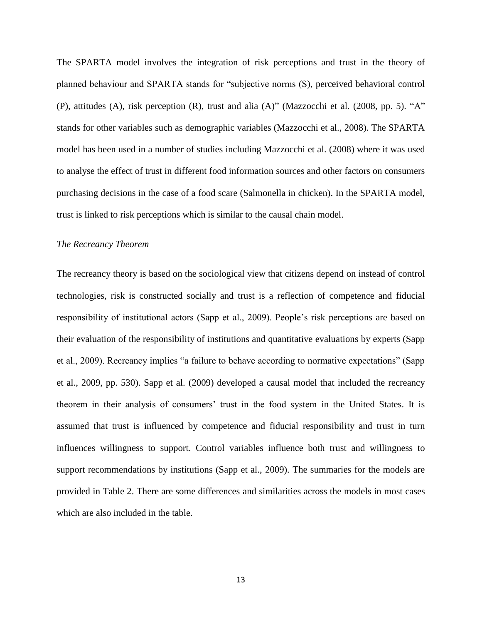The SPARTA model involves the integration of risk perceptions and trust in the theory of planned behaviour and SPARTA stands for "subjective norms (S), perceived behavioral control (P), attitudes (A), risk perception (R), trust and alia (A)" (Mazzocchi et al. (2008, pp. 5). "A" stands for other variables such as demographic variables (Mazzocchi et al., 2008). The SPARTA model has been used in a number of studies including Mazzocchi et al. (2008) where it was used to analyse the effect of trust in different food information sources and other factors on consumers purchasing decisions in the case of a food scare (Salmonella in chicken). In the SPARTA model, trust is linked to risk perceptions which is similar to the causal chain model.

#### *The Recreancy Theorem*

The recreancy theory is based on the sociological view that citizens depend on instead of control technologies, risk is constructed socially and trust is a reflection of competence and fiducial responsibility of institutional actors (Sapp et al., 2009). People's risk perceptions are based on their evaluation of the responsibility of institutions and quantitative evaluations by experts (Sapp et al., 2009). Recreancy implies "a failure to behave according to normative expectations" (Sapp et al., 2009, pp. 530). Sapp et al. (2009) developed a causal model that included the recreancy theorem in their analysis of consumers' trust in the food system in the United States. It is assumed that trust is influenced by competence and fiducial responsibility and trust in turn influences willingness to support. Control variables influence both trust and willingness to support recommendations by institutions (Sapp et al., 2009). The summaries for the models are provided in Table 2. There are some differences and similarities across the models in most cases which are also included in the table.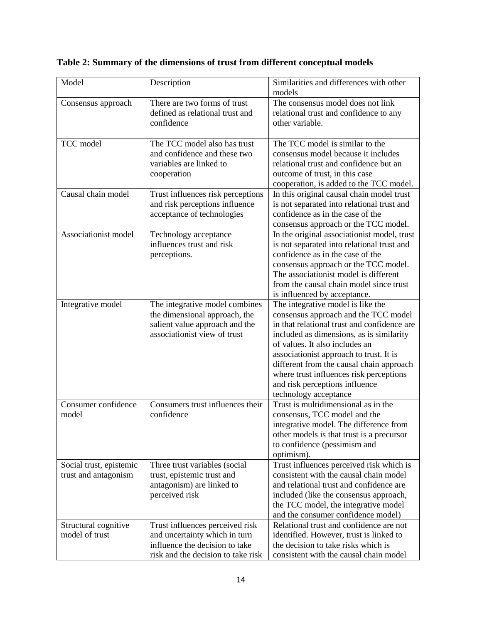| Model                   | Description                        | Similarities and differences with other<br>models |
|-------------------------|------------------------------------|---------------------------------------------------|
| Consensus approach      | There are two forms of trust       | The consensus model does not link                 |
|                         | defined as relational trust and    | relational trust and confidence to any            |
|                         | confidence                         | other variable.                                   |
|                         |                                    |                                                   |
| TCC model               | The TCC model also has trust       | The TCC model is similar to the                   |
|                         | and confidence and these two       | consensus model because it includes               |
|                         | variables are linked to            | relational trust and confidence but an            |
|                         | cooperation                        | outcome of trust, in this case                    |
|                         |                                    | cooperation, is added to the TCC model.           |
| Causal chain model      | Trust influences risk perceptions  | In this original causal chain model trust         |
|                         | and risk perceptions influence     | is not separated into relational trust and        |
|                         | acceptance of technologies         | confidence as in the case of the                  |
|                         |                                    | consensus approach or the TCC model.              |
| Associationist model    | Technology acceptance              | In the original associationist model, trust       |
|                         | influences trust and risk          | is not separated into relational trust and        |
|                         | perceptions.                       | confidence as in the case of the                  |
|                         |                                    | consensus approach or the TCC model.              |
|                         |                                    | The associationist model is different             |
|                         |                                    | from the causal chain model since trust           |
|                         |                                    | is influenced by acceptance.                      |
| Integrative model       | The integrative model combines     | The integrative model is like the                 |
|                         | the dimensional approach, the      | consensus approach and the TCC model              |
|                         | salient value approach and the     | in that relational trust and confidence are       |
|                         | associationist view of trust       | included as dimensions, as is similarity          |
|                         |                                    | of values. It also includes an                    |
|                         |                                    | associationist approach to trust. It is           |
|                         |                                    | different from the causal chain approach          |
|                         |                                    | where trust influences risk perceptions           |
|                         |                                    | and risk perceptions influence                    |
|                         |                                    | technology acceptance                             |
| Consumer confidence     | Consumers trust influences their   | Trust is multidimensional as in the               |
| model                   | confidence                         | consensus, TCC model and the                      |
|                         |                                    | integrative model. The difference from            |
|                         |                                    | other models is that trust is a precursor         |
|                         |                                    | to confidence (pessimism and                      |
|                         |                                    | optimism).                                        |
| Social trust, epistemic | Three trust variables (social      | Trust influences perceived risk which is          |
| trust and antagonism    | trust, epistemic trust and         | consistent with the causal chain model            |
|                         | antagonism) are linked to          | and relational trust and confidence are           |
|                         | perceived risk                     | included (like the consensus approach,            |
|                         |                                    | the TCC model, the integrative model              |
|                         |                                    | and the consumer confidence model)                |
| Structural cognitive    | Trust influences perceived risk    | Relational trust and confidence are not           |
| model of trust          | and uncertainty which in turn      | identified. However, trust is linked to           |
|                         | influence the decision to take     | the decision to take risks which is               |
|                         | risk and the decision to take risk | consistent with the causal chain model            |

**Table 2: Summary of the dimensions of trust from different conceptual models**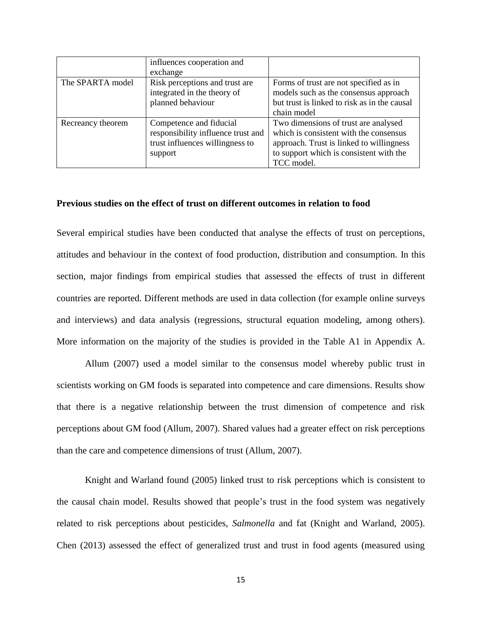|                   | influences cooperation and<br>exchange |                                              |
|-------------------|----------------------------------------|----------------------------------------------|
|                   |                                        |                                              |
| The SPARTA model  | Risk perceptions and trust are         | Forms of trust are not specified as in       |
|                   | integrated in the theory of            | models such as the consensus approach        |
|                   | planned behaviour                      | but trust is linked to risk as in the causal |
|                   |                                        | chain model                                  |
| Recreancy theorem | Competence and fiducial                | Two dimensions of trust are analysed         |
|                   | responsibility influence trust and     | which is consistent with the consensus       |
|                   | trust influences willingness to        | approach. Trust is linked to willingness     |
|                   | support                                | to support which is consistent with the      |
|                   |                                        | TCC model.                                   |

# **Previous studies on the effect of trust on different outcomes in relation to food**

Several empirical studies have been conducted that analyse the effects of trust on perceptions, attitudes and behaviour in the context of food production, distribution and consumption. In this section, major findings from empirical studies that assessed the effects of trust in different countries are reported. Different methods are used in data collection (for example online surveys and interviews) and data analysis (regressions, structural equation modeling, among others). More information on the majority of the studies is provided in the Table A1 in Appendix A.

Allum (2007) used a model similar to the consensus model whereby public trust in scientists working on GM foods is separated into competence and care dimensions. Results show that there is a negative relationship between the trust dimension of competence and risk perceptions about GM food (Allum, 2007). Shared values had a greater effect on risk perceptions than the care and competence dimensions of trust (Allum, 2007).

Knight and Warland found (2005) linked trust to risk perceptions which is consistent to the causal chain model. Results showed that people's trust in the food system was negatively related to risk perceptions about pesticides, *Salmonella* and fat (Knight and Warland, 2005). Chen (2013) assessed the effect of generalized trust and trust in food agents (measured using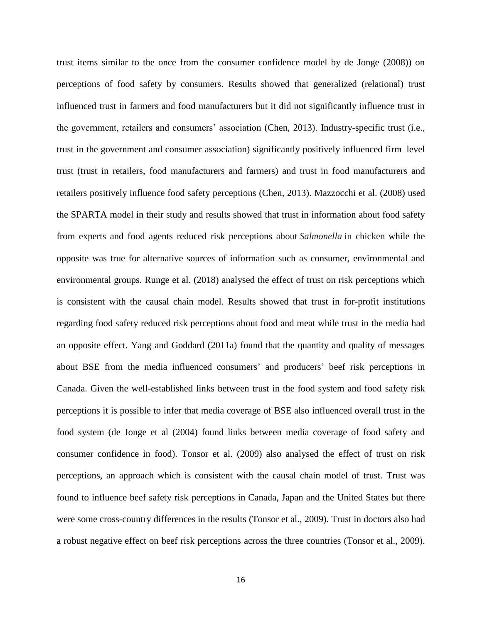trust items similar to the once from the consumer confidence model by de Jonge (2008)) on perceptions of food safety by consumers. Results showed that generalized (relational) trust influenced trust in farmers and food manufacturers but it did not significantly influence trust in the government, retailers and consumers' association (Chen, 2013). Industry-specific trust (i.e., trust in the government and consumer association) significantly positively influenced firm–level trust (trust in retailers, food manufacturers and farmers) and trust in food manufacturers and retailers positively influence food safety perceptions (Chen, 2013). Mazzocchi et al. (2008) used the SPARTA model in their study and results showed that trust in information about food safety from experts and food agents reduced risk perceptions about *Salmonella* in chicken while the opposite was true for alternative sources of information such as consumer, environmental and environmental groups. Runge et al. (2018) analysed the effect of trust on risk perceptions which is consistent with the causal chain model. Results showed that trust in for-profit institutions regarding food safety reduced risk perceptions about food and meat while trust in the media had an opposite effect. Yang and Goddard (2011a) found that the quantity and quality of messages about BSE from the media influenced consumers' and producers' beef risk perceptions in Canada. Given the well-established links between trust in the food system and food safety risk perceptions it is possible to infer that media coverage of BSE also influenced overall trust in the food system (de Jonge et al (2004) found links between media coverage of food safety and consumer confidence in food). Tonsor et al. (2009) also analysed the effect of trust on risk perceptions, an approach which is consistent with the causal chain model of trust. Trust was found to influence beef safety risk perceptions in Canada, Japan and the United States but there were some cross-country differences in the results (Tonsor et al., 2009). Trust in doctors also had a robust negative effect on beef risk perceptions across the three countries (Tonsor et al., 2009).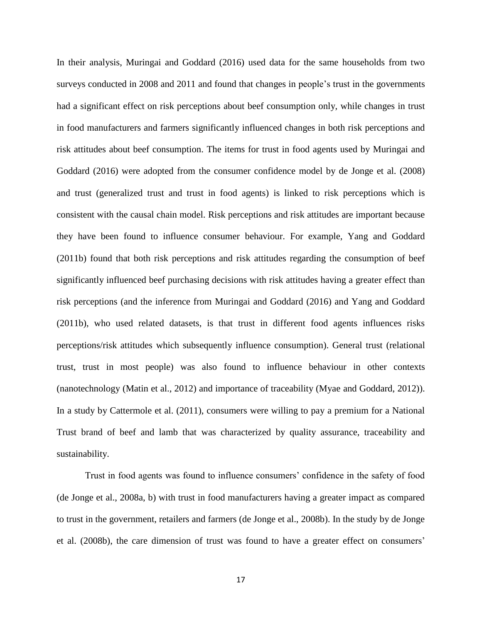In their analysis, Muringai and Goddard (2016) used data for the same households from two surveys conducted in 2008 and 2011 and found that changes in people's trust in the governments had a significant effect on risk perceptions about beef consumption only, while changes in trust in food manufacturers and farmers significantly influenced changes in both risk perceptions and risk attitudes about beef consumption. The items for trust in food agents used by Muringai and Goddard (2016) were adopted from the consumer confidence model by de Jonge et al. (2008) and trust (generalized trust and trust in food agents) is linked to risk perceptions which is consistent with the causal chain model. Risk perceptions and risk attitudes are important because they have been found to influence consumer behaviour. For example, Yang and Goddard (2011b) found that both risk perceptions and risk attitudes regarding the consumption of beef significantly influenced beef purchasing decisions with risk attitudes having a greater effect than risk perceptions (and the inference from Muringai and Goddard (2016) and Yang and Goddard (2011b), who used related datasets, is that trust in different food agents influences risks perceptions/risk attitudes which subsequently influence consumption). General trust (relational trust, trust in most people) was also found to influence behaviour in other contexts (nanotechnology (Matin et al., 2012) and importance of traceability (Myae and Goddard, 2012)). In a study by Cattermole et al. (2011), consumers were willing to pay a premium for a National Trust brand of beef and lamb that was characterized by quality assurance, traceability and sustainability.

Trust in food agents was found to influence consumers' confidence in the safety of food (de Jonge et al., 2008a, b) with trust in food manufacturers having a greater impact as compared to trust in the government, retailers and farmers (de Jonge et al., 2008b). In the study by de Jonge et al. (2008b), the care dimension of trust was found to have a greater effect on consumers'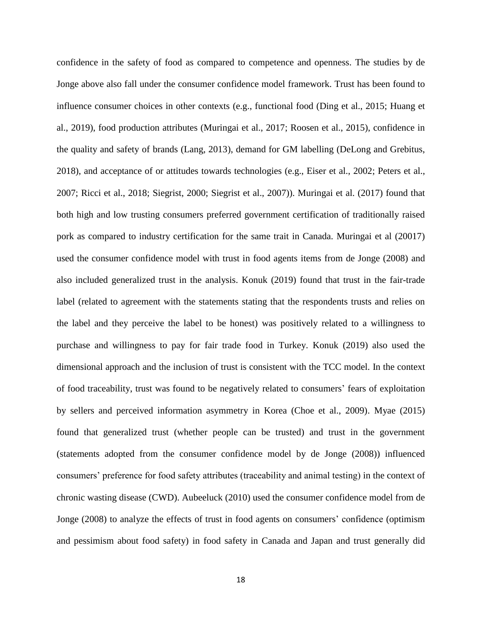confidence in the safety of food as compared to competence and openness. The studies by de Jonge above also fall under the consumer confidence model framework. Trust has been found to influence consumer choices in other contexts (e.g., functional food (Ding et al., 2015; Huang et al., 2019), food production attributes (Muringai et al., 2017; Roosen et al., 2015), confidence in the quality and safety of brands (Lang, 2013), demand for GM labelling (DeLong and Grebitus, 2018), and acceptance of or attitudes towards technologies (e.g., Eiser et al., 2002; Peters et al., 2007; Ricci et al., 2018; Siegrist, 2000; Siegrist et al., 2007)). Muringai et al. (2017) found that both high and low trusting consumers preferred government certification of traditionally raised pork as compared to industry certification for the same trait in Canada. Muringai et al (20017) used the consumer confidence model with trust in food agents items from de Jonge (2008) and also included generalized trust in the analysis. Konuk (2019) found that trust in the fair-trade label (related to agreement with the statements stating that the respondents trusts and relies on the label and they perceive the label to be honest) was positively related to a willingness to purchase and willingness to pay for fair trade food in Turkey. Konuk (2019) also used the dimensional approach and the inclusion of trust is consistent with the TCC model. In the context of food traceability, trust was found to be negatively related to consumers' fears of exploitation by sellers and perceived information asymmetry in Korea (Choe et al., 2009). Myae (2015) found that generalized trust (whether people can be trusted) and trust in the government (statements adopted from the consumer confidence model by de Jonge (2008)) influenced consumers' preference for food safety attributes (traceability and animal testing) in the context of chronic wasting disease (CWD). Aubeeluck (2010) used the consumer confidence model from de Jonge (2008) to analyze the effects of trust in food agents on consumers' confidence (optimism and pessimism about food safety) in food safety in Canada and Japan and trust generally did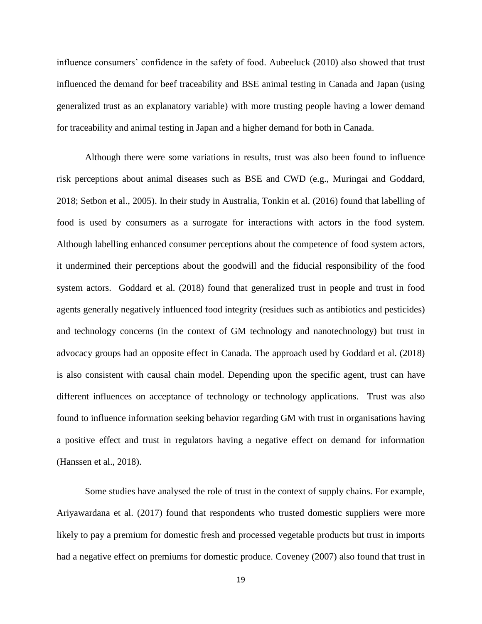influence consumers' confidence in the safety of food. Aubeeluck (2010) also showed that trust influenced the demand for beef traceability and BSE animal testing in Canada and Japan (using generalized trust as an explanatory variable) with more trusting people having a lower demand for traceability and animal testing in Japan and a higher demand for both in Canada.

Although there were some variations in results, trust was also been found to influence risk perceptions about animal diseases such as BSE and CWD (e.g., Muringai and Goddard, 2018; Setbon et al., 2005). In their study in Australia, Tonkin et al. (2016) found that labelling of food is used by consumers as a surrogate for interactions with actors in the food system. Although labelling enhanced consumer perceptions about the competence of food system actors, it undermined their perceptions about the goodwill and the fiducial responsibility of the food system actors. Goddard et al. (2018) found that generalized trust in people and trust in food agents generally negatively influenced food integrity (residues such as antibiotics and pesticides) and technology concerns (in the context of GM technology and nanotechnology) but trust in advocacy groups had an opposite effect in Canada. The approach used by Goddard et al. (2018) is also consistent with causal chain model. Depending upon the specific agent, trust can have different influences on acceptance of technology or technology applications. Trust was also found to influence information seeking behavior regarding GM with trust in organisations having a positive effect and trust in regulators having a negative effect on demand for information (Hanssen et al., 2018).

Some studies have analysed the role of trust in the context of supply chains. For example, Ariyawardana et al. (2017) found that respondents who trusted domestic suppliers were more likely to pay a premium for domestic fresh and processed vegetable products but trust in imports had a negative effect on premiums for domestic produce. Coveney (2007) also found that trust in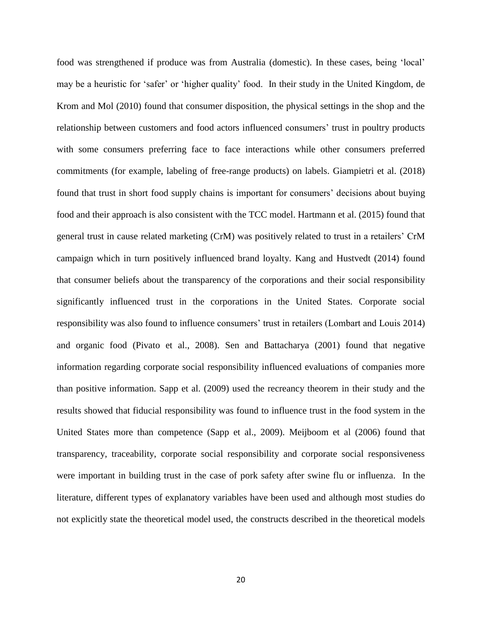food was strengthened if produce was from Australia (domestic). In these cases, being 'local' may be a heuristic for 'safer' or 'higher quality' food. In their study in the United Kingdom, de Krom and Mol (2010) found that consumer disposition, the physical settings in the shop and the relationship between customers and food actors influenced consumers' trust in poultry products with some consumers preferring face to face interactions while other consumers preferred commitments (for example, labeling of free-range products) on labels. Giampietri et al. (2018) found that trust in short food supply chains is important for consumers' decisions about buying food and their approach is also consistent with the TCC model. Hartmann et al. (2015) found that general trust in cause related marketing (CrM) was positively related to trust in a retailers' CrM campaign which in turn positively influenced brand loyalty. Kang and Hustvedt (2014) found that consumer beliefs about the transparency of the corporations and their social responsibility significantly influenced trust in the corporations in the United States. Corporate social responsibility was also found to influence consumers' trust in retailers (Lombart and Louis 2014) and organic food (Pivato et al., 2008). Sen and Battacharya (2001) found that negative information regarding corporate social responsibility influenced evaluations of companies more than positive information. Sapp et al. (2009) used the recreancy theorem in their study and the results showed that fiducial responsibility was found to influence trust in the food system in the United States more than competence (Sapp et al., 2009). Meijboom et al (2006) found that transparency, traceability, corporate social responsibility and corporate social responsiveness were important in building trust in the case of pork safety after swine flu or influenza. In the literature, different types of explanatory variables have been used and although most studies do not explicitly state the theoretical model used, the constructs described in the theoretical models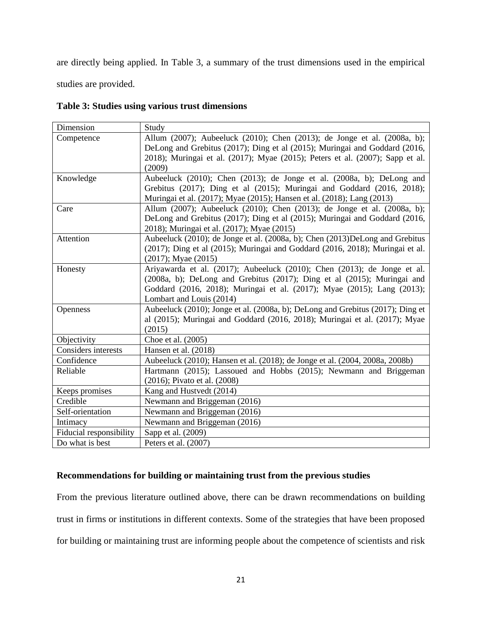are directly being applied. In Table 3, a summary of the trust dimensions used in the empirical

studies are provided.

|  |  | Table 3: Studies using various trust dimensions |
|--|--|-------------------------------------------------|
|  |  |                                                 |

| Dimension               | Study                                                                          |
|-------------------------|--------------------------------------------------------------------------------|
| Competence              | Allum (2007); Aubeeluck (2010); Chen (2013); de Jonge et al. (2008a, b);       |
|                         | DeLong and Grebitus (2017); Ding et al (2015); Muringai and Goddard (2016,     |
|                         | 2018); Muringai et al. (2017); Myae (2015); Peters et al. (2007); Sapp et al.  |
|                         | (2009)                                                                         |
| Knowledge               | Aubeeluck (2010); Chen (2013); de Jonge et al. (2008a, b); DeLong and          |
|                         | Grebitus (2017); Ding et al (2015); Muringai and Goddard (2016, 2018);         |
|                         | Muringai et al. (2017); Myae (2015); Hansen et al. (2018); Lang (2013)         |
| Care                    | Allum (2007); Aubeeluck (2010); Chen (2013); de Jonge et al. (2008a, b);       |
|                         | DeLong and Grebitus (2017); Ding et al (2015); Muringai and Goddard (2016,     |
|                         | 2018); Muringai et al. (2017); Myae (2015)                                     |
| Attention               | Aubeeluck (2010); de Jonge et al. (2008a, b); Chen (2013)DeLong and Grebitus   |
|                         | (2017); Ding et al (2015); Muringai and Goddard (2016, 2018); Muringai et al.  |
|                         | $(2017)$ ; Myae $(2015)$                                                       |
| Honesty                 | Ariyawarda et al. (2017); Aubeeluck (2010); Chen (2013); de Jonge et al.       |
|                         | (2008a, b); DeLong and Grebitus (2017); Ding et al (2015); Muringai and        |
|                         | Goddard (2016, 2018); Muringai et al. (2017); Myae (2015); Lang (2013);        |
|                         | Lombart and Louis (2014)                                                       |
| Openness                | Aubeeluck (2010); Jonge et al. (2008a, b); DeLong and Grebitus (2017); Ding et |
|                         | al (2015); Muringai and Goddard (2016, 2018); Muringai et al. (2017); Myae     |
|                         | (2015)                                                                         |
| Objectivity             | Choe et al. (2005)                                                             |
| Considers interests     | Hansen et al. (2018)                                                           |
| Confidence              | Aubeeluck (2010); Hansen et al. (2018); de Jonge et al. (2004, 2008a, 2008b)   |
| Reliable                | Hartmann (2015); Lassoued and Hobbs (2015); Newmann and Briggeman              |
|                         | (2016); Pivato et al. (2008)                                                   |
| Keeps promises          | Kang and Hustvedt (2014)                                                       |
| Credible                | Newmann and Briggeman (2016)                                                   |
| Self-orientation        | Newmann and Briggeman (2016)                                                   |
| Intimacy                | Newmann and Briggeman (2016)                                                   |
| Fiducial responsibility | Sapp et al. (2009)                                                             |
| Do what is best         | Peters et al. (2007)                                                           |

# **Recommendations for building or maintaining trust from the previous studies**

From the previous literature outlined above, there can be drawn recommendations on building trust in firms or institutions in different contexts. Some of the strategies that have been proposed for building or maintaining trust are informing people about the competence of scientists and risk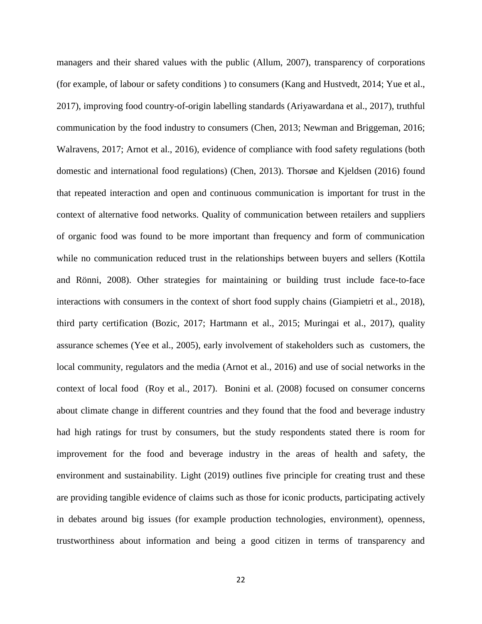managers and their shared values with the public (Allum, 2007), transparency of corporations (for example, of labour or safety conditions ) to consumers (Kang and Hustvedt, 2014; Yue et al., 2017), improving food country-of-origin labelling standards (Ariyawardana et al., 2017), truthful communication by the food industry to consumers (Chen, 2013; Newman and Briggeman, 2016; Walravens, 2017; Arnot et al., 2016), evidence of compliance with food safety regulations (both domestic and international food regulations) (Chen, 2013). Thorsøe and Kjeldsen (2016) found that repeated interaction and open and continuous communication is important for trust in the context of alternative food networks. Quality of communication between retailers and suppliers of organic food was found to be more important than frequency and form of communication while no communication reduced trust in the relationships between buyers and sellers (Kottila and Rönni, 2008). Other strategies for maintaining or building trust include face-to-face interactions with consumers in the context of short food supply chains (Giampietri et al., 2018), third party certification (Bozic, 2017; Hartmann et al., 2015; Muringai et al., 2017), quality assurance schemes (Yee et al., 2005), early involvement of stakeholders such as customers, the local community, regulators and the media (Arnot et al., 2016) and use of social networks in the context of local food (Roy et al., 2017). Bonini et al. (2008) focused on consumer concerns about climate change in different countries and they found that the food and beverage industry had high ratings for trust by consumers, but the study respondents stated there is room for improvement for the food and beverage industry in the areas of health and safety, the environment and sustainability. Light (2019) outlines five principle for creating trust and these are providing tangible evidence of claims such as those for iconic products, participating actively in debates around big issues (for example production technologies, environment), openness, trustworthiness about information and being a good citizen in terms of transparency and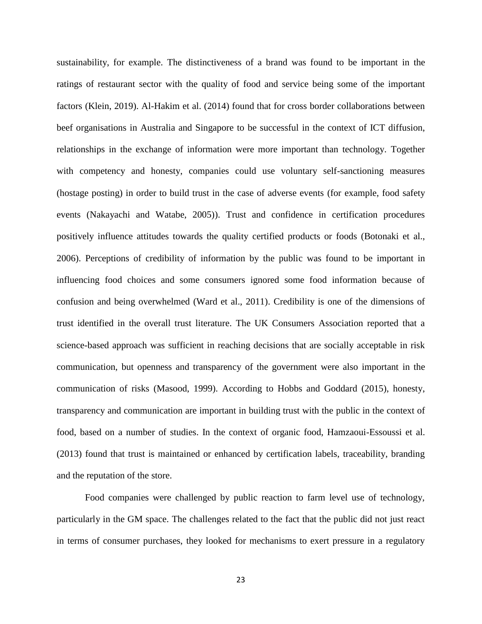sustainability, for example. The distinctiveness of a brand was found to be important in the ratings of restaurant sector with the quality of food and service being some of the important factors (Klein, 2019). Al-Hakim et al. (2014) found that for cross border collaborations between beef organisations in Australia and Singapore to be successful in the context of ICT diffusion, relationships in the exchange of information were more important than technology. Together with competency and honesty, companies could use voluntary self-sanctioning measures (hostage posting) in order to build trust in the case of adverse events (for example, food safety events (Nakayachi and Watabe, 2005)). Trust and confidence in certification procedures positively influence attitudes towards the quality certified products or foods (Botonaki et al., 2006). Perceptions of credibility of information by the public was found to be important in influencing food choices and some consumers ignored some food information because of confusion and being overwhelmed (Ward et al., 2011). Credibility is one of the dimensions of trust identified in the overall trust literature. The UK Consumers Association reported that a science-based approach was sufficient in reaching decisions that are socially acceptable in risk communication, but openness and transparency of the government were also important in the communication of risks (Masood, 1999). According to Hobbs and Goddard (2015), honesty, transparency and communication are important in building trust with the public in the context of food, based on a number of studies. In the context of organic food, Hamzaoui-Essoussi et al. (2013) found that trust is maintained or enhanced by certification labels, traceability, branding and the reputation of the store.

Food companies were challenged by public reaction to farm level use of technology, particularly in the GM space. The challenges related to the fact that the public did not just react in terms of consumer purchases, they looked for mechanisms to exert pressure in a regulatory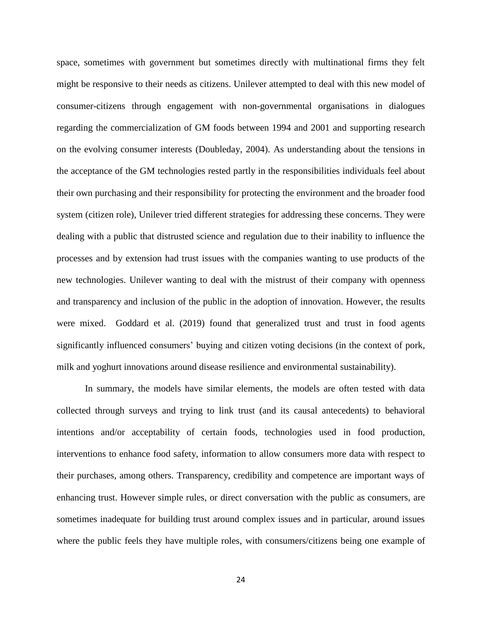space, sometimes with government but sometimes directly with multinational firms they felt might be responsive to their needs as citizens. Unilever attempted to deal with this new model of consumer-citizens through engagement with non-governmental organisations in dialogues regarding the commercialization of GM foods between 1994 and 2001 and supporting research on the evolving consumer interests (Doubleday, 2004). As understanding about the tensions in the acceptance of the GM technologies rested partly in the responsibilities individuals feel about their own purchasing and their responsibility for protecting the environment and the broader food system (citizen role), Unilever tried different strategies for addressing these concerns. They were dealing with a public that distrusted science and regulation due to their inability to influence the processes and by extension had trust issues with the companies wanting to use products of the new technologies. Unilever wanting to deal with the mistrust of their company with openness and transparency and inclusion of the public in the adoption of innovation. However, the results were mixed. Goddard et al. (2019) found that generalized trust and trust in food agents significantly influenced consumers' buying and citizen voting decisions (in the context of pork, milk and yoghurt innovations around disease resilience and environmental sustainability).

In summary, the models have similar elements, the models are often tested with data collected through surveys and trying to link trust (and its causal antecedents) to behavioral intentions and/or acceptability of certain foods, technologies used in food production, interventions to enhance food safety, information to allow consumers more data with respect to their purchases, among others. Transparency, credibility and competence are important ways of enhancing trust. However simple rules, or direct conversation with the public as consumers, are sometimes inadequate for building trust around complex issues and in particular, around issues where the public feels they have multiple roles, with consumers/citizens being one example of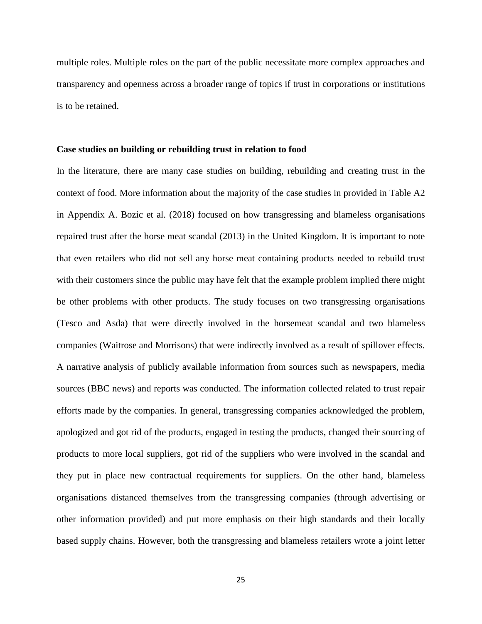multiple roles. Multiple roles on the part of the public necessitate more complex approaches and transparency and openness across a broader range of topics if trust in corporations or institutions is to be retained.

#### **Case studies on building or rebuilding trust in relation to food**

In the literature, there are many case studies on building, rebuilding and creating trust in the context of food. More information about the majority of the case studies in provided in Table A2 in Appendix A. Bozic et al. (2018) focused on how transgressing and blameless organisations repaired trust after the horse meat scandal (2013) in the United Kingdom. It is important to note that even retailers who did not sell any horse meat containing products needed to rebuild trust with their customers since the public may have felt that the example problem implied there might be other problems with other products. The study focuses on two transgressing organisations (Tesco and Asda) that were directly involved in the horsemeat scandal and two blameless companies (Waitrose and Morrisons) that were indirectly involved as a result of spillover effects. A narrative analysis of publicly available information from sources such as newspapers, media sources (BBC news) and reports was conducted. The information collected related to trust repair efforts made by the companies. In general, transgressing companies acknowledged the problem, apologized and got rid of the products, engaged in testing the products, changed their sourcing of products to more local suppliers, got rid of the suppliers who were involved in the scandal and they put in place new contractual requirements for suppliers. On the other hand, blameless organisations distanced themselves from the transgressing companies (through advertising or other information provided) and put more emphasis on their high standards and their locally based supply chains. However, both the transgressing and blameless retailers wrote a joint letter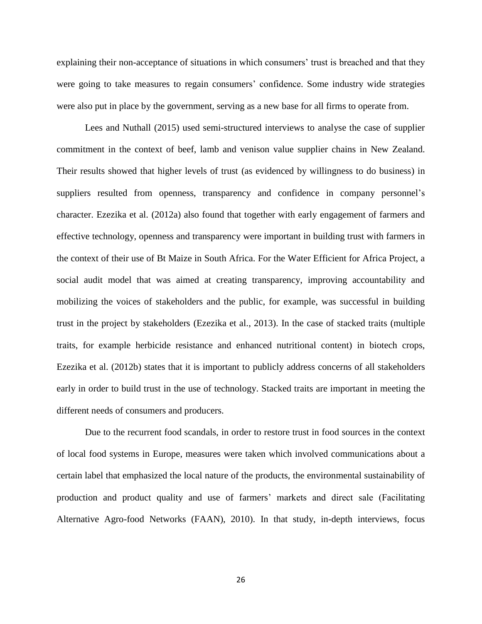explaining their non-acceptance of situations in which consumers' trust is breached and that they were going to take measures to regain consumers' confidence. Some industry wide strategies were also put in place by the government, serving as a new base for all firms to operate from.

Lees and Nuthall (2015) used semi-structured interviews to analyse the case of supplier commitment in the context of beef, lamb and venison value supplier chains in New Zealand. Their results showed that higher levels of trust (as evidenced by willingness to do business) in suppliers resulted from openness, transparency and confidence in company personnel's character. Ezezika et al. (2012a) also found that together with early engagement of farmers and effective technology, openness and transparency were important in building trust with farmers in the context of their use of Bt Maize in South Africa. For the Water Efficient for Africa Project, a social audit model that was aimed at creating transparency, improving accountability and mobilizing the voices of stakeholders and the public, for example, was successful in building trust in the project by stakeholders (Ezezika et al., 2013). In the case of stacked traits (multiple traits, for example herbicide resistance and enhanced nutritional content) in biotech crops, Ezezika et al. (2012b) states that it is important to publicly address concerns of all stakeholders early in order to build trust in the use of technology. Stacked traits are important in meeting the different needs of consumers and producers.

Due to the recurrent food scandals, in order to restore trust in food sources in the context of local food systems in Europe, measures were taken which involved communications about a certain label that emphasized the local nature of the products, the environmental sustainability of production and product quality and use of farmers' markets and direct sale (Facilitating Alternative Agro-food Networks (FAAN), 2010). In that study, in-depth interviews, focus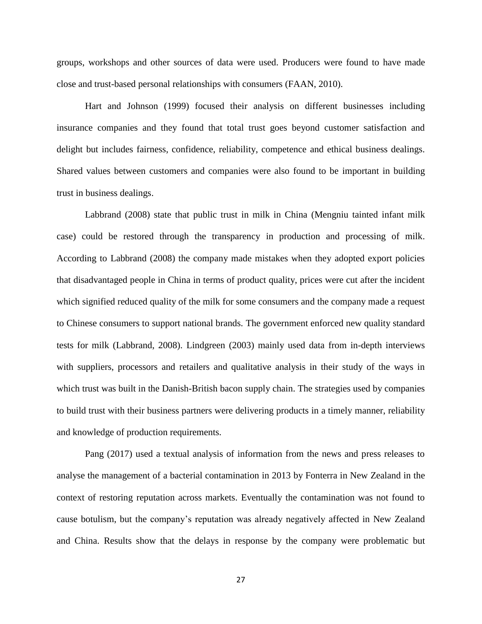groups, workshops and other sources of data were used. Producers were found to have made close and trust-based personal relationships with consumers (FAAN, 2010).

Hart and Johnson (1999) focused their analysis on different businesses including insurance companies and they found that total trust goes beyond customer satisfaction and delight but includes fairness, confidence, reliability, competence and ethical business dealings. Shared values between customers and companies were also found to be important in building trust in business dealings.

Labbrand (2008) state that public trust in milk in China (Mengniu tainted infant milk case) could be restored through the transparency in production and processing of milk. According to Labbrand (2008) the company made mistakes when they adopted export policies that disadvantaged people in China in terms of product quality, prices were cut after the incident which signified reduced quality of the milk for some consumers and the company made a request to Chinese consumers to support national brands. The government enforced new quality standard tests for milk (Labbrand, 2008). Lindgreen (2003) mainly used data from in-depth interviews with suppliers, processors and retailers and qualitative analysis in their study of the ways in which trust was built in the Danish-British bacon supply chain. The strategies used by companies to build trust with their business partners were delivering products in a timely manner, reliability and knowledge of production requirements.

Pang (2017) used a textual analysis of information from the news and press releases to analyse the management of a bacterial contamination in 2013 by Fonterra in New Zealand in the context of restoring reputation across markets. Eventually the contamination was not found to cause botulism, but the company's reputation was already negatively affected in New Zealand and China. Results show that the delays in response by the company were problematic but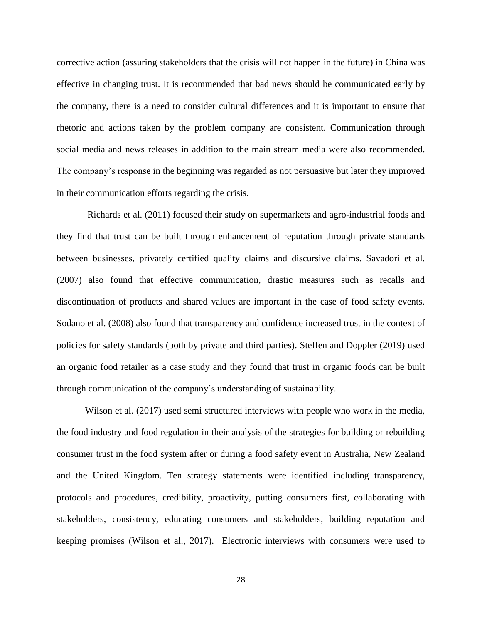corrective action (assuring stakeholders that the crisis will not happen in the future) in China was effective in changing trust. It is recommended that bad news should be communicated early by the company, there is a need to consider cultural differences and it is important to ensure that rhetoric and actions taken by the problem company are consistent. Communication through social media and news releases in addition to the main stream media were also recommended. The company's response in the beginning was regarded as not persuasive but later they improved in their communication efforts regarding the crisis.

Richards et al. (2011) focused their study on supermarkets and agro-industrial foods and they find that trust can be built through enhancement of reputation through private standards between businesses, privately certified quality claims and discursive claims. Savadori et al. (2007) also found that effective communication, drastic measures such as recalls and discontinuation of products and shared values are important in the case of food safety events. Sodano et al. (2008) also found that transparency and confidence increased trust in the context of policies for safety standards (both by private and third parties). Steffen and Doppler (2019) used an organic food retailer as a case study and they found that trust in organic foods can be built through communication of the company's understanding of sustainability.

Wilson et al. (2017) used semi structured interviews with people who work in the media, the food industry and food regulation in their analysis of the strategies for building or rebuilding consumer trust in the food system after or during a food safety event in Australia, New Zealand and the United Kingdom. Ten strategy statements were identified including transparency, protocols and procedures, credibility, proactivity, putting consumers first, collaborating with stakeholders, consistency, educating consumers and stakeholders, building reputation and keeping promises (Wilson et al., 2017). Electronic interviews with consumers were used to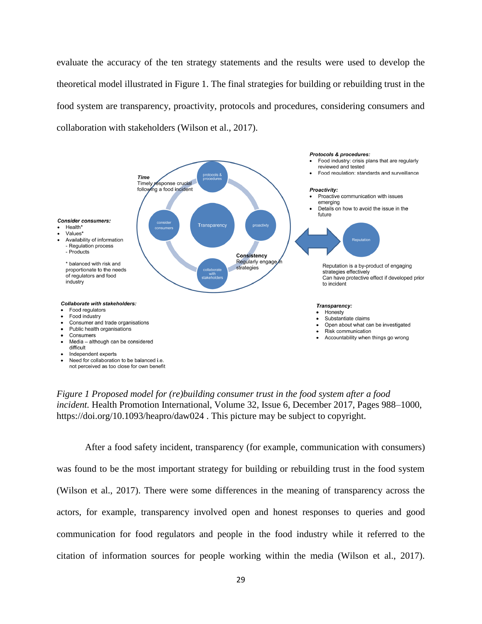evaluate the accuracy of the ten strategy statements and the results were used to develop the theoretical model illustrated in Figure 1. The final strategies for building or rebuilding trust in the food system are transparency, proactivity, protocols and procedures, considering consumers and collaboration with stakeholders (Wilson et al., 2017).



*Figure 1 Proposed model for (re)building consumer trust in the food system after a food incident.* Health Promotion International, Volume 32, Issue 6, December 2017, Pages 988–1000, <https://doi.org/10.1093/heapro/daw024> . This picture may be subject to copyright.

After a food safety incident, transparency (for example, communication with consumers) was found to be the most important strategy for building or rebuilding trust in the food system (Wilson et al., 2017). There were some differences in the meaning of transparency across the actors, for example, transparency involved open and honest responses to queries and good communication for food regulators and people in the food industry while it referred to the citation of information sources for people working within the media (Wilson et al., 2017).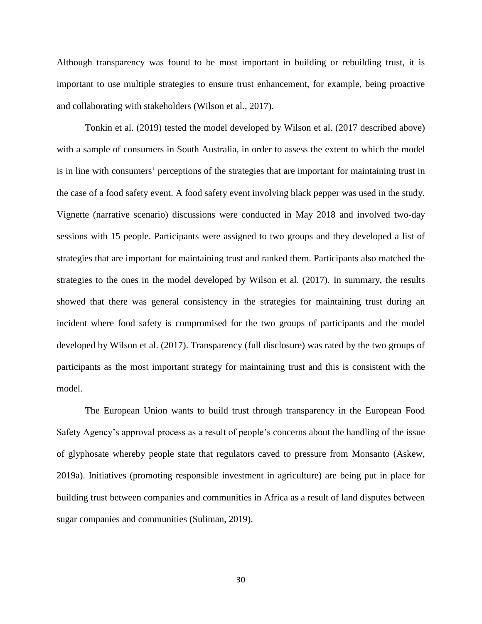Although transparency was found to be most important in building or rebuilding trust, it is important to use multiple strategies to ensure trust enhancement, for example, being proactive and collaborating with stakeholders (Wilson et al., 2017).

Tonkin et al. (2019) tested the model developed by Wilson et al. (2017 described above) with a sample of consumers in South Australia, in order to assess the extent to which the model is in line with consumers' perceptions of the strategies that are important for maintaining trust in the case of a food safety event. A food safety event involving black pepper was used in the study. Vignette (narrative scenario) discussions were conducted in May 2018 and involved two-day sessions with 15 people. Participants were assigned to two groups and they developed a list of strategies that are important for maintaining trust and ranked them. Participants also matched the strategies to the ones in the model developed by Wilson et al. (2017). In summary, the results showed that there was general consistency in the strategies for maintaining trust during an incident where food safety is compromised for the two groups of participants and the model developed by Wilson et al. (2017). Transparency (full disclosure) was rated by the two groups of participants as the most important strategy for maintaining trust and this is consistent with the model.

The European Union wants to build trust through transparency in the European Food Safety Agency's approval process as a result of people's concerns about the handling of the issue of glyphosate whereby people state that regulators caved to pressure from Monsanto (Askew, 2019a). Initiatives (promoting responsible investment in agriculture) are being put in place for building trust between companies and communities in Africa as a result of land disputes between sugar companies and communities (Suliman, 2019).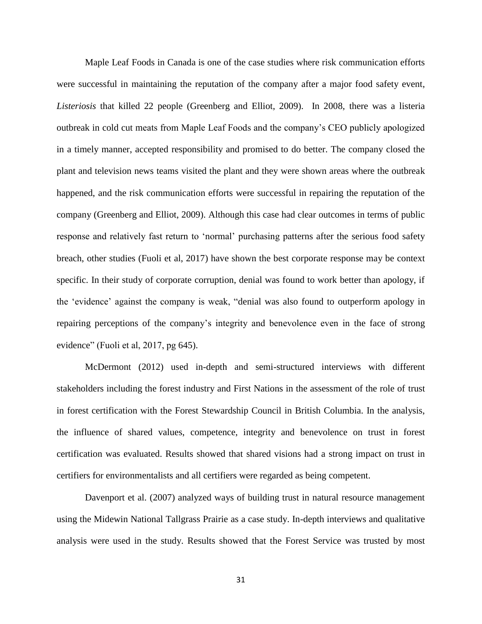Maple Leaf Foods in Canada is one of the case studies where risk communication efforts were successful in maintaining the reputation of the company after a major food safety event, *Listeriosis* that killed 22 people (Greenberg and Elliot, 2009). In 2008, there was a listeria outbreak in cold cut meats from Maple Leaf Foods and the company's CEO publicly apologized in a timely manner, accepted responsibility and promised to do better. The company closed the plant and television news teams visited the plant and they were shown areas where the outbreak happened, and the risk communication efforts were successful in repairing the reputation of the company (Greenberg and Elliot, 2009). Although this case had clear outcomes in terms of public response and relatively fast return to 'normal' purchasing patterns after the serious food safety breach, other studies (Fuoli et al, 2017) have shown the best corporate response may be context specific. In their study of corporate corruption, denial was found to work better than apology, if the 'evidence' against the company is weak, "denial was also found to outperform apology in repairing perceptions of the company's integrity and benevolence even in the face of strong evidence" (Fuoli et al, 2017, pg 645).

McDermont (2012) used in-depth and semi-structured interviews with different stakeholders including the forest industry and First Nations in the assessment of the role of trust in forest certification with the Forest Stewardship Council in British Columbia. In the analysis, the influence of shared values, competence, integrity and benevolence on trust in forest certification was evaluated. Results showed that shared visions had a strong impact on trust in certifiers for environmentalists and all certifiers were regarded as being competent.

Davenport et al. (2007) analyzed ways of building trust in natural resource management using the Midewin National Tallgrass Prairie as a case study. In-depth interviews and qualitative analysis were used in the study. Results showed that the Forest Service was trusted by most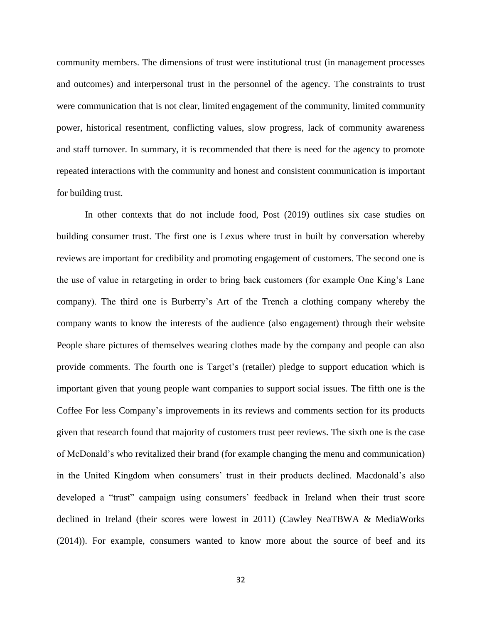community members. The dimensions of trust were institutional trust (in management processes and outcomes) and interpersonal trust in the personnel of the agency. The constraints to trust were communication that is not clear, limited engagement of the community, limited community power, historical resentment, conflicting values, slow progress, lack of community awareness and staff turnover. In summary, it is recommended that there is need for the agency to promote repeated interactions with the community and honest and consistent communication is important for building trust.

In other contexts that do not include food, Post (2019) outlines six case studies on building consumer trust. The first one is Lexus where trust in built by conversation whereby reviews are important for credibility and promoting engagement of customers. The second one is the use of value in retargeting in order to bring back customers (for example One King's Lane company). The third one is Burberry's Art of the Trench a clothing company whereby the company wants to know the interests of the audience (also engagement) through their website People share pictures of themselves wearing clothes made by the company and people can also provide comments. The fourth one is Target's (retailer) pledge to support education which is important given that young people want companies to support social issues. The fifth one is the Coffee For less Company's improvements in its reviews and comments section for its products given that research found that majority of customers trust peer reviews. The sixth one is the case of McDonald's who revitalized their brand (for example changing the menu and communication) in the United Kingdom when consumers' trust in their products declined. Macdonald's also developed a "trust" campaign using consumers' feedback in Ireland when their trust score declined in Ireland (their scores were lowest in 2011) (Cawley NeaTBWA & MediaWorks (2014)). For example, consumers wanted to know more about the source of beef and its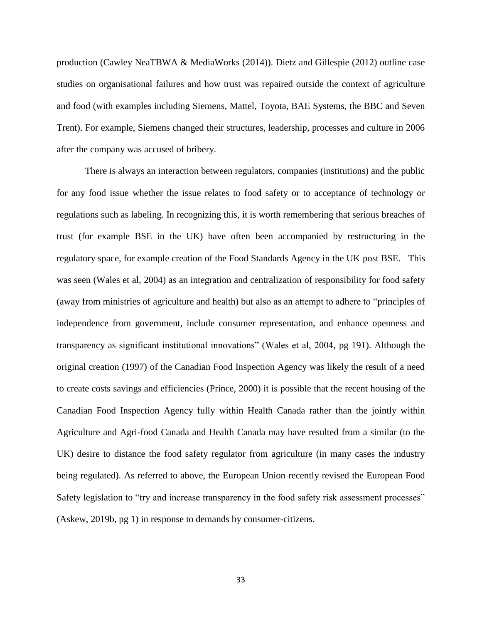production (Cawley NeaTBWA & MediaWorks (2014)). Dietz and Gillespie (2012) outline case studies on organisational failures and how trust was repaired outside the context of agriculture and food (with examples including Siemens, Mattel, Toyota, BAE Systems, the BBC and Seven Trent). For example, Siemens changed their structures, leadership, processes and culture in 2006 after the company was accused of bribery.

There is always an interaction between regulators, companies (institutions) and the public for any food issue whether the issue relates to food safety or to acceptance of technology or regulations such as labeling. In recognizing this, it is worth remembering that serious breaches of trust (for example BSE in the UK) have often been accompanied by restructuring in the regulatory space, for example creation of the Food Standards Agency in the UK post BSE. This was seen (Wales et al, 2004) as an integration and centralization of responsibility for food safety (away from ministries of agriculture and health) but also as an attempt to adhere to "principles of independence from government, include consumer representation, and enhance openness and transparency as significant institutional innovations" (Wales et al, 2004, pg 191). Although the original creation (1997) of the Canadian Food Inspection Agency was likely the result of a need to create costs savings and efficiencies (Prince, 2000) it is possible that the recent housing of the Canadian Food Inspection Agency fully within Health Canada rather than the jointly within Agriculture and Agri-food Canada and Health Canada may have resulted from a similar (to the UK) desire to distance the food safety regulator from agriculture (in many cases the industry being regulated). As referred to above, the European Union recently revised the European Food Safety legislation to "try and increase transparency in the food safety risk assessment processes" (Askew, 2019b, pg 1) in response to demands by consumer-citizens.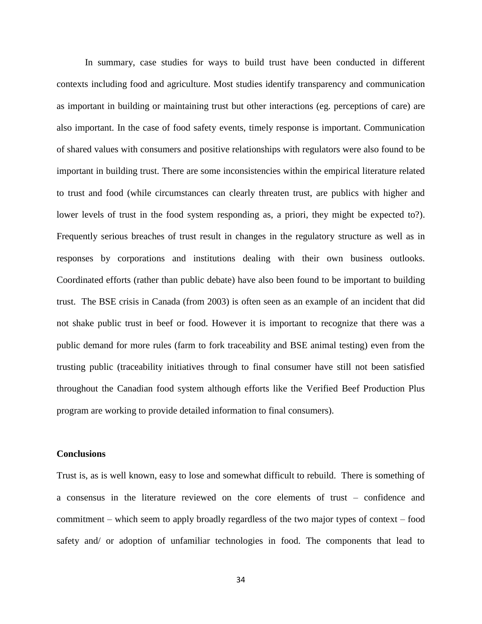In summary, case studies for ways to build trust have been conducted in different contexts including food and agriculture. Most studies identify transparency and communication as important in building or maintaining trust but other interactions (eg. perceptions of care) are also important. In the case of food safety events, timely response is important. Communication of shared values with consumers and positive relationships with regulators were also found to be important in building trust. There are some inconsistencies within the empirical literature related to trust and food (while circumstances can clearly threaten trust, are publics with higher and lower levels of trust in the food system responding as, a priori, they might be expected to?). Frequently serious breaches of trust result in changes in the regulatory structure as well as in responses by corporations and institutions dealing with their own business outlooks. Coordinated efforts (rather than public debate) have also been found to be important to building trust. The BSE crisis in Canada (from 2003) is often seen as an example of an incident that did not shake public trust in beef or food. However it is important to recognize that there was a public demand for more rules (farm to fork traceability and BSE animal testing) even from the trusting public (traceability initiatives through to final consumer have still not been satisfied throughout the Canadian food system although efforts like the Verified Beef Production Plus program are working to provide detailed information to final consumers).

#### **Conclusions**

Trust is, as is well known, easy to lose and somewhat difficult to rebuild. There is something of a consensus in the literature reviewed on the core elements of trust – confidence and commitment – which seem to apply broadly regardless of the two major types of context – food safety and/ or adoption of unfamiliar technologies in food. The components that lead to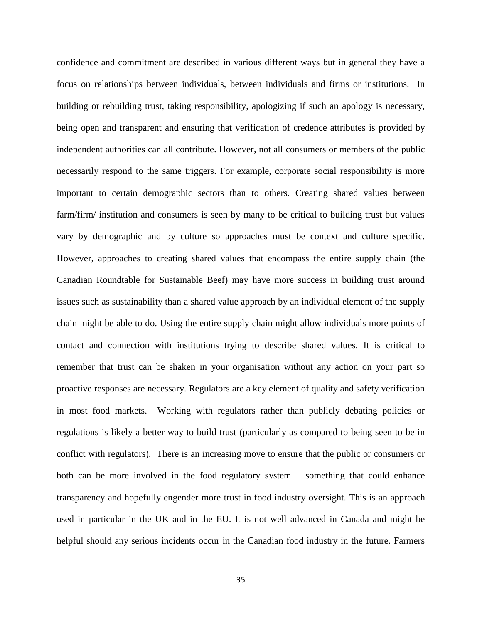confidence and commitment are described in various different ways but in general they have a focus on relationships between individuals, between individuals and firms or institutions. In building or rebuilding trust, taking responsibility, apologizing if such an apology is necessary, being open and transparent and ensuring that verification of credence attributes is provided by independent authorities can all contribute. However, not all consumers or members of the public necessarily respond to the same triggers. For example, corporate social responsibility is more important to certain demographic sectors than to others. Creating shared values between farm/firm/ institution and consumers is seen by many to be critical to building trust but values vary by demographic and by culture so approaches must be context and culture specific. However, approaches to creating shared values that encompass the entire supply chain (the Canadian Roundtable for Sustainable Beef) may have more success in building trust around issues such as sustainability than a shared value approach by an individual element of the supply chain might be able to do. Using the entire supply chain might allow individuals more points of contact and connection with institutions trying to describe shared values. It is critical to remember that trust can be shaken in your organisation without any action on your part so proactive responses are necessary. Regulators are a key element of quality and safety verification in most food markets. Working with regulators rather than publicly debating policies or regulations is likely a better way to build trust (particularly as compared to being seen to be in conflict with regulators). There is an increasing move to ensure that the public or consumers or both can be more involved in the food regulatory system – something that could enhance transparency and hopefully engender more trust in food industry oversight. This is an approach used in particular in the UK and in the EU. It is not well advanced in Canada and might be helpful should any serious incidents occur in the Canadian food industry in the future. Farmers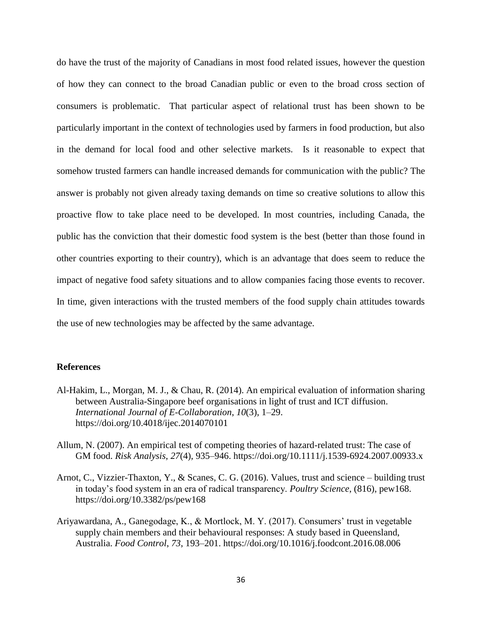do have the trust of the majority of Canadians in most food related issues, however the question of how they can connect to the broad Canadian public or even to the broad cross section of consumers is problematic. That particular aspect of relational trust has been shown to be particularly important in the context of technologies used by farmers in food production, but also in the demand for local food and other selective markets. Is it reasonable to expect that somehow trusted farmers can handle increased demands for communication with the public? The answer is probably not given already taxing demands on time so creative solutions to allow this proactive flow to take place need to be developed. In most countries, including Canada, the public has the conviction that their domestic food system is the best (better than those found in other countries exporting to their country), which is an advantage that does seem to reduce the impact of negative food safety situations and to allow companies facing those events to recover. In time, given interactions with the trusted members of the food supply chain attitudes towards the use of new technologies may be affected by the same advantage.

# **References**

- Al-Hakim, L., Morgan, M. J., & Chau, R. (2014). An empirical evaluation of information sharing between Australia-Singapore beef organisations in light of trust and ICT diffusion. *International Journal of E-Collaboration*, *10*(3), 1–29. https://doi.org/10.4018/ijec.2014070101
- Allum, N. (2007). An empirical test of competing theories of hazard-related trust: The case of GM food. *Risk Analysis*, *27*(4), 935–946.<https://doi.org/10.1111/j.1539-6924.2007.00933.x>
- Arnot, C., Vizzier-Thaxton, Y., & Scanes, C. G. (2016). Values, trust and science building trust in today's food system in an era of radical transparency. *Poultry Science*, (816), pew168. https://doi.org/10.3382/ps/pew168
- Ariyawardana, A., Ganegodage, K., & Mortlock, M. Y. (2017). Consumers' trust in vegetable supply chain members and their behavioural responses: A study based in Queensland, Australia. *Food Control*, *73*, 193–201.<https://doi.org/10.1016/j.foodcont.2016.08.006>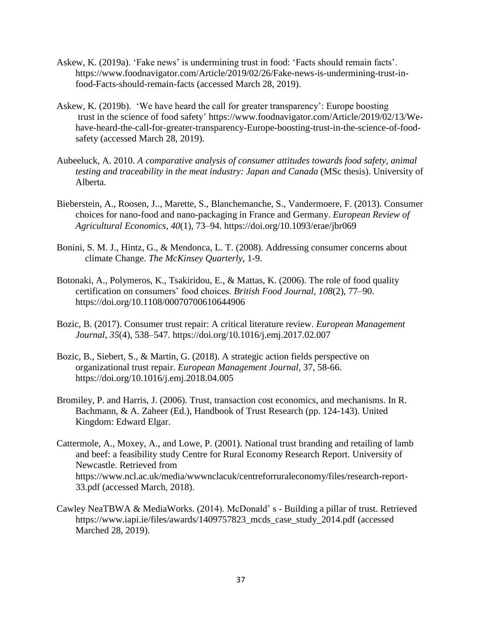- Askew, K. (2019a). 'Fake news' is undermining trust in food: 'Facts should remain facts'. [https://www.foodnavigator.com/Article/2019/02/26/Fake-news-is-undermining-trust-in](https://www.foodnavigator.com/Article/2019/02/26/Fake-news-is-undermining-trust-in-food-Facts-should-remain-facts)[food-Facts-should-remain-facts](https://www.foodnavigator.com/Article/2019/02/26/Fake-news-is-undermining-trust-in-food-Facts-should-remain-facts) (accessed March 28, 2019).
- Askew, K. (2019b). 'We have heard the call for greater transparency': Europe boosting trust in the science of food safety' [https://www.foodnavigator.com/Article/2019/02/13/We](https://www.foodnavigator.com/Article/2019/02/13/We-have-heard-the-call-for-greater-transparency-Europe-boosting-trust-in-the-science-of-food-safety)[have-heard-the-call-for-greater-transparency-Europe-boosting-trust-in-the-science-of-food](https://www.foodnavigator.com/Article/2019/02/13/We-have-heard-the-call-for-greater-transparency-Europe-boosting-trust-in-the-science-of-food-safety)[safety](https://www.foodnavigator.com/Article/2019/02/13/We-have-heard-the-call-for-greater-transparency-Europe-boosting-trust-in-the-science-of-food-safety) (accessed March 28, 2019).
- Aubeeluck, A. 2010. *A comparative analysis of consumer attitudes towards food safety, animal testing and traceability in the meat industry: Japan and Canada* (MSc thesis). University of Alberta.
- Bieberstein, A., Roosen, J.., Marette, S., Blanchemanche, S., Vandermoere, F. (2013). Consumer choices for nano-food and nano-packaging in France and Germany. *European Review of Agricultural Economics, 40*(1), 73–94. <https://doi.org/10.1093/erae/jbr069>
- Bonini, S. M. J., Hintz, G., & Mendonca, L. T. (2008). Addressing consumer concerns about climate Change. *The McKinsey Quarterly*, 1-9.
- Botonaki, A., Polymeros, K., Tsakiridou, E., & Mattas, K. (2006). The role of food quality certification on consumers' food choices. *British Food Journal*, *108*(2), 77–90. https://doi.org/10.1108/00070700610644906
- Bozic, B. (2017). Consumer trust repair: A critical literature review. *European Management Journal*, *35*(4), 538–547.<https://doi.org/10.1016/j.emj.2017.02.007>
- Bozic, B., Siebert, S., & Martin, G. (2018). A strategic action fields perspective on organizational trust repair. *European Management Journal,* 37, 58-66. https://doi.org/10.1016/j.emj.2018.04.005
- Bromiley, P. and Harris, J. (2006). Trust, transaction cost economics, and mechanisms. In R. Bachmann, & A. Zaheer (Ed.), Handbook of Trust Research (pp. 124-143). United Kingdom: Edward Elgar.
- Cattermole, A., Moxey, A., and Lowe, P. (2001). National trust branding and retailing of lamb and beef: a feasibility study Centre for Rural Economy Research Report. University of Newcastle. Retrieved from [https://www.ncl.ac.uk/media/wwwnclacuk/centreforruraleconomy/files/research-report-](https://www.ncl.ac.uk/media/wwwnclacuk/centreforruraleconomy/files/research-report-33.pdf)[33.pdf](https://www.ncl.ac.uk/media/wwwnclacuk/centreforruraleconomy/files/research-report-33.pdf) (accessed March, 2018).
- Cawley NeaTBWA & MediaWorks. (2014). McDonald' s Building a pillar of trust. Retrieved [https://www.iapi.ie/files/awards/1409757823\\_mcds\\_case\\_study\\_2014.pdf](https://www.iapi.ie/files/awards/1409757823_mcds_case_study_2014.pdf) (accessed Marched 28, 2019).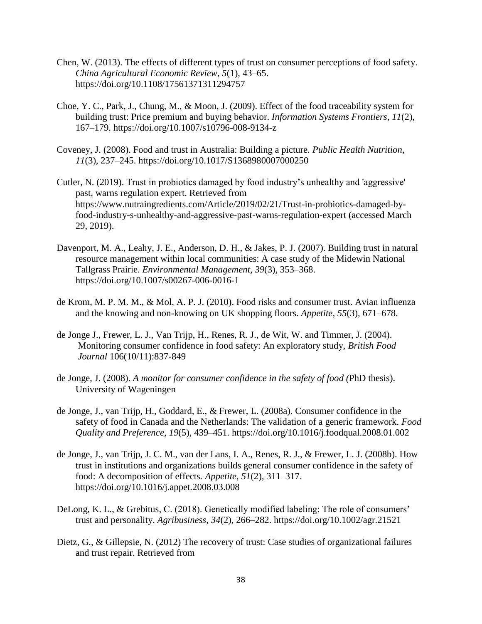- Chen, W. (2013). The effects of different types of trust on consumer perceptions of food safety. *China Agricultural Economic Review*, *5*(1), 43–65. <https://doi.org/10.1108/17561371311294757>
- Choe, Y. C., Park, J., Chung, M., & Moon, J. (2009). Effect of the food traceability system for building trust: Price premium and buying behavior. *Information Systems Frontiers*, *11*(2), 167–179. https://doi.org/10.1007/s10796-008-9134-z
- Coveney, J. (2008). Food and trust in Australia: Building a picture. *Public Health Nutrition*, *11*(3), 237–245.<https://doi.org/10.1017/S1368980007000250>
- Cutler, N. (2019). Trust in probiotics damaged by food industry's unhealthy and 'aggressive' past, warns regulation expert. Retrieved from [https://www.nutraingredients.com/Article/2019/02/21/Trust-in-probiotics-damaged-by](https://www.nutraingredients.com/Article/2019/02/21/Trust-in-probiotics-damaged-by-food-industry-s-unhealthy-and-aggressive-past-warns-regulation-expert)[food-industry-s-unhealthy-and-aggressive-past-warns-regulation-expert](https://www.nutraingredients.com/Article/2019/02/21/Trust-in-probiotics-damaged-by-food-industry-s-unhealthy-and-aggressive-past-warns-regulation-expert) (accessed March 29, 2019).
- Davenport, M. A., Leahy, J. E., Anderson, D. H., & Jakes, P. J. (2007). Building trust in natural resource management within local communities: A case study of the Midewin National Tallgrass Prairie. *Environmental Management*, *39*(3), 353–368. https://doi.org/10.1007/s00267-006-0016-1
- de Krom, M. P. M. M., & Mol, A. P. J. (2010). Food risks and consumer trust. Avian influenza and the knowing and non-knowing on UK shopping floors. *Appetite*, *55*(3), 671–678.
- de Jonge J., Frewer, L. J., Van Trijp, H., Renes, R. J., de Wit, W. and Timmer, J. (2004). Monitoring consumer confidence in food safety: An exploratory study, *British Food Journal* 106(10/11):837-849
- de Jonge, J. (2008). *A monitor for consumer confidence in the safety of food (*PhD thesis). University of Wageningen
- de Jonge, J., van Trijp, H., Goddard, E., & Frewer, L. (2008a). Consumer confidence in the safety of food in Canada and the Netherlands: The validation of a generic framework. *Food Quality and Preference*, *19*(5), 439–451.<https://doi.org/10.1016/j.foodqual.2008.01.002>
- de Jonge, J., van Trijp, J. C. M., van der Lans, I. A., Renes, R. J., & Frewer, L. J. (2008b). How trust in institutions and organizations builds general consumer confidence in the safety of food: A decomposition of effects. *Appetite*, *51*(2), 311–317. <https://doi.org/10.1016/j.appet.2008.03.008>
- DeLong, K. L., & Grebitus, C. (2018). Genetically modified labeling: The role of consumers' trust and personality. *Agribusiness*, *34*(2), 266–282. https://doi.org/10.1002/agr.21521
- Dietz, G., & Gillepsie, N. (2012) The recovery of trust: Case studies of organizational failures and trust repair. Retrieved from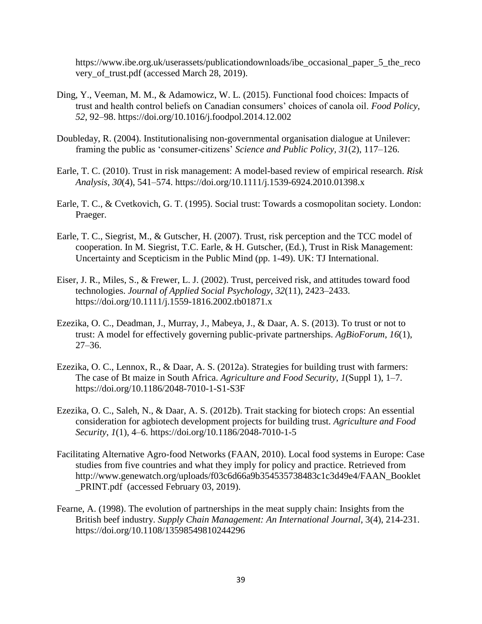[https://www.ibe.org.uk/userassets/publicationdownloads/ibe\\_occasional\\_paper\\_5\\_the\\_reco](https://www.ibe.org.uk/userassets/publicationdownloads/ibe_occasional_paper_5_the_recovery_of_trust.pdf) [very\\_of\\_trust.pdf](https://www.ibe.org.uk/userassets/publicationdownloads/ibe_occasional_paper_5_the_recovery_of_trust.pdf) (accessed March 28, 2019).

- Ding, Y., Veeman, M. M., & Adamowicz, W. L. (2015). Functional food choices: Impacts of trust and health control beliefs on Canadian consumers' choices of canola oil. *Food Policy*, *52*, 92–98.<https://doi.org/10.1016/j.foodpol.2014.12.002>
- Doubleday, R. (2004). Institutionalising non-governmental organisation dialogue at Unilever: framing the public as 'consumer-citizens' *Science and Public Policy, 31*(2), 117–126.
- Earle, T. C. (2010). Trust in risk management: A model-based review of empirical research. *Risk Analysis*, *30*(4), 541–574.<https://doi.org/10.1111/j.1539-6924.2010.01398.x>
- Earle, T. C., & Cvetkovich, G. T. (1995). Social trust: Towards a cosmopolitan society. London: Praeger.
- Earle, T. C., Siegrist, M., & Gutscher, H. (2007). Trust, risk perception and the TCC model of cooperation. In M. Siegrist, T.C. Earle, & H. Gutscher, (Ed.), Trust in Risk Management: Uncertainty and Scepticism in the Public Mind (pp. 1-49). UK: TJ International.
- Eiser, J. R., Miles, S., & Frewer, L. J. (2002). Trust, perceived risk, and attitudes toward food technologies. *Journal of Applied Social Psychology*, *32*(11), 2423–2433. <https://doi.org/10.1111/j.1559-1816.2002.tb01871.x>
- Ezezika, O. C., Deadman, J., Murray, J., Mabeya, J., & Daar, A. S. (2013). To trust or not to trust: A model for effectively governing public-private partnerships. *AgBioForum*, *16*(1), 27–36.
- Ezezika, O. C., Lennox, R., & Daar, A. S. (2012a). Strategies for building trust with farmers: The case of Bt maize in South Africa. *Agriculture and Food Security*, *1*(Suppl 1), 1–7. <https://doi.org/10.1186/2048-7010-1-S1-S3F>
- Ezezika, O. C., Saleh, N., & Daar, A. S. (2012b). Trait stacking for biotech crops: An essential consideration for agbiotech development projects for building trust. *Agriculture and Food Security*, *1*(1), 4–6. https://doi.org/10.1186/2048-7010-1-5
- Facilitating Alternative Agro-food Networks (FAAN, 2010). Local food systems in Europe: Case studies from five countries and what they imply for policy and practice. Retrieved from [http://www.genewatch.org/uploads/f03c6d66a9b354535738483c1c3d49e4/FAAN\\_Booklet](http://www.genewatch.org/uploads/f03c6d66a9b354535738483c1c3d49e4/FAAN_Booklet_PRINT.pdf) [\\_PRINT.pdf](http://www.genewatch.org/uploads/f03c6d66a9b354535738483c1c3d49e4/FAAN_Booklet_PRINT.pdf) (accessed February 03, 2019).
- Fearne, A. (1998). The evolution of partnerships in the meat supply chain: Insights from the British beef industry. *Supply Chain Management: An International Journal*, 3(4), 214-231. https://doi.org/10.1108/13598549810244296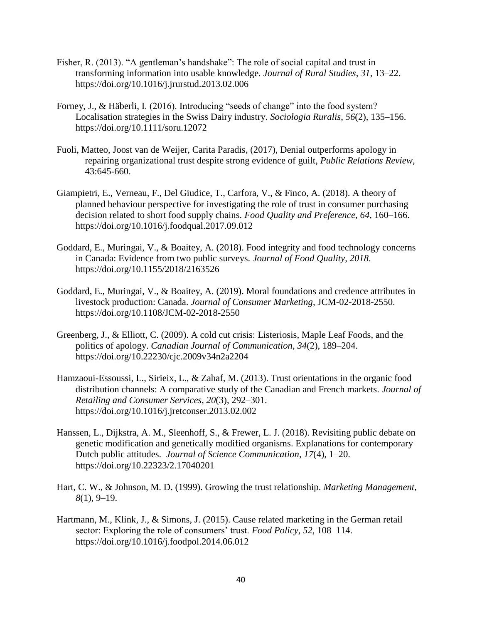- Fisher, R. (2013). "A gentleman's handshake": The role of social capital and trust in transforming information into usable knowledge. *Journal of Rural Studies*, *31*, 13–22. https://doi.org/10.1016/j.jrurstud.2013.02.006
- Forney, J., & Häberli, I. (2016). Introducing "seeds of change" into the food system? Localisation strategies in the Swiss Dairy industry. *Sociologia Ruralis*, *56*(2), 135–156. <https://doi.org/10.1111/soru.12072>
- Fuoli, Matteo, Joost van de Weijer, Carita Paradis, (2017), Denial outperforms apology in repairing organizational trust despite strong evidence of guilt, *Public Relations Review*, 43:645-660.
- Giampietri, E., Verneau, F., Del Giudice, T., Carfora, V., & Finco, A. (2018). A theory of planned behaviour perspective for investigating the role of trust in consumer purchasing decision related to short food supply chains. *Food Quality and Preference*, *64*, 160–166. <https://doi.org/10.1016/j.foodqual.2017.09.012>
- Goddard, E., Muringai, V., & Boaitey, A. (2018). Food integrity and food technology concerns in Canada: Evidence from two public surveys. *Journal of Food Quality*, *2018*. <https://doi.org/10.1155/2018/2163526>
- Goddard, E., Muringai, V., & Boaitey, A. (2019). Moral foundations and credence attributes in livestock production: Canada. *Journal of Consumer Marketing*, JCM-02-2018-2550. https://doi.org/10.1108/JCM-02-2018-2550
- Greenberg, J., & Elliott, C. (2009). A cold cut crisis: Listeriosis, Maple Leaf Foods, and the politics of apology. *Canadian Journal of Communication*, *34*(2), 189–204. https://doi.org/10.22230/cjc.2009v34n2a2204
- Hamzaoui-Essoussi, L., Sirieix, L., & Zahaf, M. (2013). Trust orientations in the organic food distribution channels: A comparative study of the Canadian and French markets. *Journal of Retailing and Consumer Services*, *20*(3), 292–301. <https://doi.org/10.1016/j.jretconser.2013.02.002>
- Hanssen, L., Dijkstra, A. M., Sleenhoff, S., & Frewer, L. J. (2018). Revisiting public debate on genetic modification and genetically modified organisms. Explanations for contemporary Dutch public attitudes. *Journal of Science Communication*, *17*(4), 1–20. <https://doi.org/10.22323/2.17040201>
- Hart, C. W., & Johnson, M. D. (1999). Growing the trust relationship. *Marketing Management*, *8*(1), 9–19.
- Hartmann, M., Klink, J., & Simons, J. (2015). Cause related marketing in the German retail sector: Exploring the role of consumers' trust. *Food Policy*, *52*, 108–114. <https://doi.org/10.1016/j.foodpol.2014.06.012>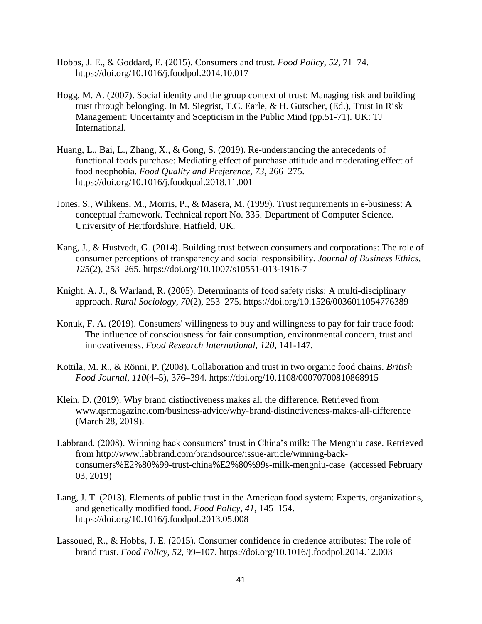- Hobbs, J. E., & Goddard, E. (2015). Consumers and trust. *Food Policy*, *52*, 71–74. https://doi.org/10.1016/j.foodpol.2014.10.017
- Hogg, M. A. (2007). Social identity and the group context of trust: Managing risk and building trust through belonging. In M. Siegrist, T.C. Earle, & H. Gutscher, (Ed.), Trust in Risk Management: Uncertainty and Scepticism in the Public Mind (pp.51-71). UK: TJ International.
- Huang, L., Bai, L., Zhang, X., & Gong, S. (2019). Re-understanding the antecedents of functional foods purchase: Mediating effect of purchase attitude and moderating effect of food neophobia. *Food Quality and Preference*, *73*, 266–275. <https://doi.org/10.1016/j.foodqual.2018.11.001>
- Jones, S., Wilikens, M., Morris, P., & Masera, M. (1999). Trust requirements in e-business: A conceptual framework. Technical report No. 335. Department of Computer Science. University of Hertfordshire, Hatfield, UK.
- Kang, J., & Hustvedt, G. (2014). Building trust between consumers and corporations: The role of consumer perceptions of transparency and social responsibility. *Journal of Business Ethics*, *125*(2), 253–265.<https://doi.org/10.1007/s10551-013-1916-7>
- Knight, A. J., & Warland, R. (2005). Determinants of food safety risks: A multi-disciplinary approach. *Rural Sociology*, *70*(2), 253–275.<https://doi.org/10.1526/0036011054776389>
- Konuk, F. A. (2019). Consumers' willingness to buy and willingness to pay for fair trade food: The influence of consciousness for fair consumption, environmental concern, trust and innovativeness. *Food Research International, 120*, 141-147.
- Kottila, M. R., & Rönni, P. (2008). Collaboration and trust in two organic food chains. *British Food Journal*, *110*(4–5), 376–394.<https://doi.org/10.1108/00070700810868915>
- Klein, D. (2019). Why brand distinctiveness makes all the difference. Retrieved from [www.qsrmagazine.com/business-advice/why-brand-distinctiveness-makes-all-difference](http://www.qsrmagazine.com/business-advice/why-brand-distinctiveness-makes-all-difference) (March 28, 2019).
- Labbrand. (2008). Winning back consumers' trust in China's milk: The Mengniu case. Retrieved from [http://www.labbrand.com/brandsource/issue-article/winning-back](http://www.labbrand.com/brandsource/issue-article/winning-back-consumers%E2%80%99-trust-china%E2%80%99s-milk-mengniu-case)[consumers%E2%80%99-trust-china%E2%80%99s-milk-mengniu-case](http://www.labbrand.com/brandsource/issue-article/winning-back-consumers%E2%80%99-trust-china%E2%80%99s-milk-mengniu-case) (accessed February 03, 2019)
- Lang, J. T. (2013). Elements of public trust in the American food system: Experts, organizations, and genetically modified food. *Food Policy*, *41*, 145–154. <https://doi.org/10.1016/j.foodpol.2013.05.008>
- Lassoued, R., & Hobbs, J. E. (2015). Consumer confidence in credence attributes: The role of brand trust. *Food Policy*, *52*, 99–107.<https://doi.org/10.1016/j.foodpol.2014.12.003>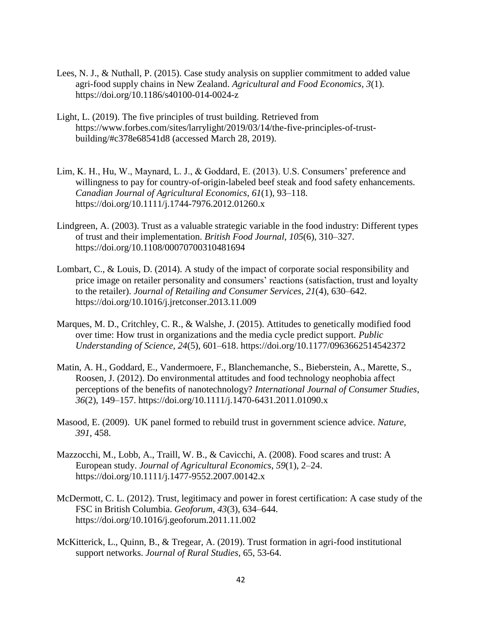- Lees, N. J., & Nuthall, P. (2015). Case study analysis on supplier commitment to added value agri-food supply chains in New Zealand. *Agricultural and Food Economics*, *3*(1). <https://doi.org/10.1186/s40100-014-0024-z>
- Light, L. (2019). The five principles of trust building. Retrieved from [https://www.forbes.com/sites/larrylight/2019/03/14/the-five-principles-of-trust](https://www.forbes.com/sites/larrylight/2019/03/14/the-five-principles-of-trust-building/#c378e68541d8)[building/#c378e68541d8](https://www.forbes.com/sites/larrylight/2019/03/14/the-five-principles-of-trust-building/#c378e68541d8) (accessed March 28, 2019).
- Lim, K. H., Hu, W., Maynard, L. J., & Goddard, E. (2013). U.S. Consumers' preference and willingness to pay for country-of-origin-labeled beef steak and food safety enhancements. *Canadian Journal of Agricultural Economics*, *61*(1), 93–118. https://doi.org/10.1111/j.1744-7976.2012.01260.x
- Lindgreen, A. (2003). Trust as a valuable strategic variable in the food industry: Different types of trust and their implementation. *British Food Journal*, *105*(6), 310–327. <https://doi.org/10.1108/00070700310481694>
- Lombart, C., & Louis, D. (2014). A study of the impact of corporate social responsibility and price image on retailer personality and consumers' reactions (satisfaction, trust and loyalty to the retailer). *Journal of Retailing and Consumer Services*, *21*(4), 630–642. <https://doi.org/10.1016/j.jretconser.2013.11.009>
- Marques, M. D., Critchley, C. R., & Walshe, J. (2015). Attitudes to genetically modified food over time: How trust in organizations and the media cycle predict support. *Public Understanding of Science*, *24*(5), 601–618. https://doi.org/10.1177/0963662514542372
- Matin, A. H., Goddard, E., Vandermoere, F., Blanchemanche, S., Bieberstein, A., Marette, S., Roosen, J. (2012). Do environmental attitudes and food technology neophobia affect perceptions of the benefits of nanotechnology? *International Journal of Consumer Studies*, *36*(2), 149–157. https://doi.org/10.1111/j.1470-6431.2011.01090.x
- Masood, E. (2009). UK panel formed to rebuild trust in government science advice. *Nature, 391*, 458.
- Mazzocchi, M., Lobb, A., Traill, W. B., & Cavicchi, A. (2008). Food scares and trust: A European study. *Journal of Agricultural Economics*, *59*(1), 2–24. <https://doi.org/10.1111/j.1477-9552.2007.00142.x>
- McDermott, C. L. (2012). Trust, legitimacy and power in forest certification: A case study of the FSC in British Columbia. *Geoforum*, *43*(3), 634–644. https://doi.org/10.1016/j.geoforum.2011.11.002
- McKitterick, L., Quinn, B., & Tregear, A. (2019). Trust formation in agri-food institutional support networks. *Journal of Rural Studies,* 65, 53-64.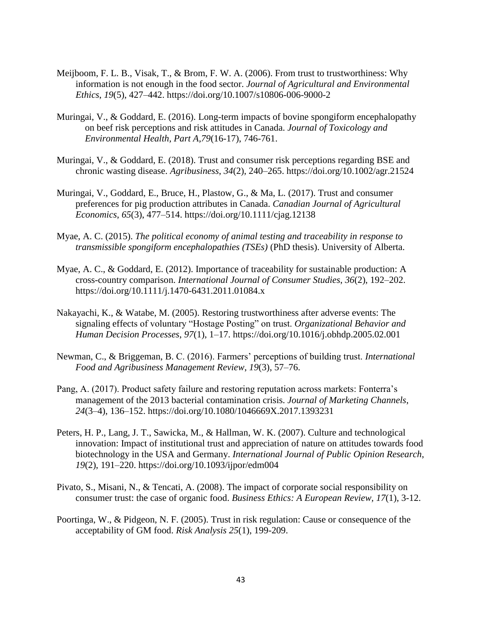- Meijboom, F. L. B., Visak, T., & Brom, F. W. A. (2006). From trust to trustworthiness: Why information is not enough in the food sector. *Journal of Agricultural and Environmental Ethics*, *19*(5), 427–442.<https://doi.org/10.1007/s10806-006-9000-2>
- Muringai, V., & Goddard, E. (2016). Long-term impacts of bovine spongiform encephalopathy on beef risk perceptions and risk attitudes in Canada. *Journal of Toxicology and Environmental Health, Part A,79*(16-17), 746-761.
- Muringai, V., & Goddard, E. (2018). Trust and consumer risk perceptions regarding BSE and chronic wasting disease. *Agribusiness*, *34*(2), 240–265.<https://doi.org/10.1002/agr.21524>
- Muringai, V., Goddard, E., Bruce, H., Plastow, G., & Ma, L. (2017). Trust and consumer preferences for pig production attributes in Canada. *Canadian Journal of Agricultural Economics*, *65*(3), 477–514.<https://doi.org/10.1111/cjag.12138>
- Myae, A. C. (2015). *The political economy of animal testing and traceability in response to transmissible spongiform encephalopathies (TSEs)* (PhD thesis). University of Alberta.
- Myae, A. C., & Goddard, E. (2012). Importance of traceability for sustainable production: A cross-country comparison. *International Journal of Consumer Studies*, *36*(2), 192–202. https://doi.org/10.1111/j.1470-6431.2011.01084.x
- Nakayachi, K., & Watabe, M. (2005). Restoring trustworthiness after adverse events: The signaling effects of voluntary "Hostage Posting" on trust. *Organizational Behavior and Human Decision Processes*, *97*(1), 1–17. https://doi.org/10.1016/j.obhdp.2005.02.001
- Newman, C., & Briggeman, B. C. (2016). Farmers' perceptions of building trust. *International Food and Agribusiness Management Review*, *19*(3), 57–76.
- Pang, A. (2017). Product safety failure and restoring reputation across markets: Fonterra's management of the 2013 bacterial contamination crisis. *Journal of Marketing Channels*, *24*(3–4), 136–152.<https://doi.org/10.1080/1046669X.2017.1393231>
- Peters, H. P., Lang, J. T., Sawicka, M., & Hallman, W. K. (2007). Culture and technological innovation: Impact of institutional trust and appreciation of nature on attitudes towards food biotechnology in the USA and Germany. *International Journal of Public Opinion Research*, *19*(2), 191–220.<https://doi.org/10.1093/ijpor/edm004>
- Pivato, S., Misani, N., & Tencati, A. (2008). The impact of corporate social responsibility on consumer trust: the case of organic food. *Business Ethics: A European Review, 17*(1), 3-12.
- Poortinga, W., & Pidgeon, N. F. (2005). Trust in risk regulation: Cause or consequence of the acceptability of GM food. *Risk Analysis 25*(1), 199-209.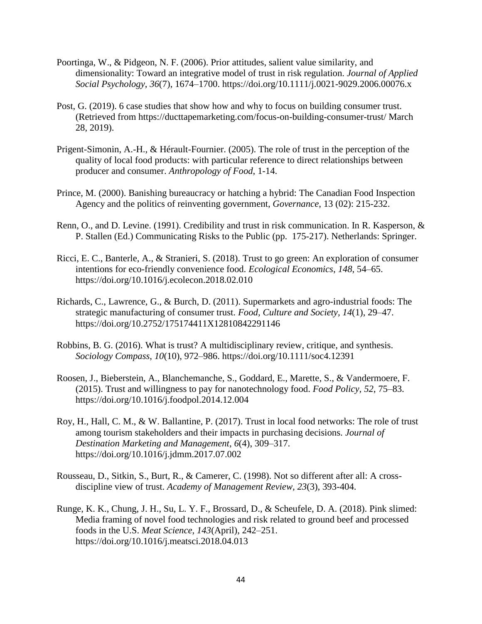- Poortinga, W., & Pidgeon, N. F. (2006). Prior attitudes, salient value similarity, and dimensionality: Toward an integrative model of trust in risk regulation. *Journal of Applied Social Psychology*, *36*(7), 1674–1700.<https://doi.org/10.1111/j.0021-9029.2006.00076.x>
- Post, G. (2019). 6 case studies that show how and why to focus on building consumer trust. (Retrieved from<https://ducttapemarketing.com/focus-on-building-consumer-trust/> March 28, 2019).
- Prigent-Simonin, A.-H., & Hérault-Fournier. (2005). The role of trust in the perception of the quality of local food products: with particular reference to direct relationships between producer and consumer. *Anthropology of Food*, 1-14.
- Prince, M. (2000). Banishing bureaucracy or hatching a hybrid: The Canadian Food Inspection Agency and the politics of reinventing government, *Governance*, 13 (02): 215-232.
- Renn, O., and D. Levine. (1991). Credibility and trust in risk communication. In R. Kasperson, & P. Stallen (Ed.) Communicating Risks to the Public (pp. 175-217). Netherlands: Springer.
- Ricci, E. C., Banterle, A., & Stranieri, S. (2018). Trust to go green: An exploration of consumer intentions for eco-friendly convenience food. *Ecological Economics*, *148*, 54–65. <https://doi.org/10.1016/j.ecolecon.2018.02.010>
- Richards, C., Lawrence, G., & Burch, D. (2011). Supermarkets and agro-industrial foods: The strategic manufacturing of consumer trust. *Food, Culture and Society*, *14*(1), 29–47. https://doi.org/10.2752/175174411X12810842291146
- Robbins, B. G. (2016). What is trust? A multidisciplinary review, critique, and synthesis. *Sociology Compass*, *10*(10), 972–986.<https://doi.org/10.1111/soc4.12391>
- Roosen, J., Bieberstein, A., Blanchemanche, S., Goddard, E., Marette, S., & Vandermoere, F. (2015). Trust and willingness to pay for nanotechnology food. *Food Policy, 52*, 75–83. <https://doi.org/10.1016/j.foodpol.2014.12.004>
- Roy, H., Hall, C. M., & W. Ballantine, P. (2017). Trust in local food networks: The role of trust among tourism stakeholders and their impacts in purchasing decisions. *Journal of Destination Marketing and Management*, *6*(4), 309–317. <https://doi.org/10.1016/j.jdmm.2017.07.002>
- Rousseau, D., Sitkin, S., Burt, R., & Camerer, C. (1998). Not so different after all: A crossdiscipline view of trust. *Academy of Management Review, 23*(3), 393-404.
- Runge, K. K., Chung, J. H., Su, L. Y. F., Brossard, D., & Scheufele, D. A. (2018). Pink slimed: Media framing of novel food technologies and risk related to ground beef and processed foods in the U.S. *Meat Science*, *143*(April), 242–251. <https://doi.org/10.1016/j.meatsci.2018.04.013>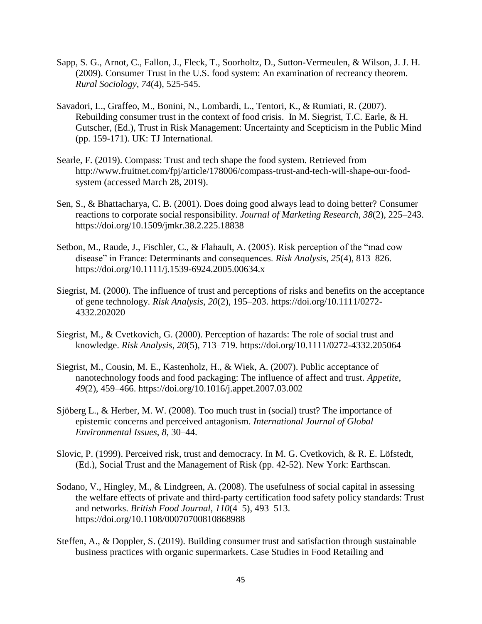- Sapp, S. G., Arnot, C., Fallon, J., Fleck, T., Soorholtz, D., Sutton-Vermeulen, & Wilson, J. J. H. (2009). Consumer Trust in the U.S. food system: An examination of recreancy theorem*. Rural Sociology, 74*(4), 525-545.
- Savadori, L., Graffeo, M., Bonini, N., Lombardi, L., Tentori, K., & Rumiati, R. (2007). Rebuilding consumer trust in the context of food crisis. In M. Siegrist, T.C. Earle, & H. Gutscher, (Ed.), Trust in Risk Management: Uncertainty and Scepticism in the Public Mind (pp. 159-171). UK: TJ International.
- Searle, F. (2019). Compass: Trust and tech shape the food system. Retrieved from [http://www.fruitnet.com/fpj/article/178006/compass-trust-and-tech-will-shape-our-food](http://www.fruitnet.com/fpj/article/178006/compass-trust-and-tech-will-shape-our-food-system)[system](http://www.fruitnet.com/fpj/article/178006/compass-trust-and-tech-will-shape-our-food-system) (accessed March 28, 2019).
- Sen, S., & Bhattacharya, C. B. (2001). Does doing good always lead to doing better? Consumer reactions to corporate social responsibility. *Journal of Marketing Research*, *38*(2), 225–243. <https://doi.org/10.1509/jmkr.38.2.225.18838>
- Setbon, M., Raude, J., Fischler, C., & Flahault, A. (2005). Risk perception of the "mad cow disease" in France: Determinants and consequences. *Risk Analysis*, *25*(4), 813–826. <https://doi.org/10.1111/j.1539-6924.2005.00634.x>
- Siegrist, M. (2000). The influence of trust and perceptions of risks and benefits on the acceptance of gene technology. *Risk Analysis*, *20*(2), 195–203. https://doi.org/10.1111/0272- 4332.202020
- Siegrist, M., & Cvetkovich, G. (2000). Perception of hazards: The role of social trust and knowledge. *Risk Analysis*, *20*(5), 713–719.<https://doi.org/10.1111/0272-4332.205064>
- Siegrist, M., Cousin, M. E., Kastenholz, H., & Wiek, A. (2007). Public acceptance of nanotechnology foods and food packaging: The influence of affect and trust. *Appetite*, *49*(2), 459–466.<https://doi.org/10.1016/j.appet.2007.03.002>
- Sjöberg L., & Herber, M. W. (2008). Too much trust in (social) trust? The importance of epistemic concerns and perceived antagonism. *International Journal of Global Environmental Issues*, *8*, 30–44.
- Slovic, P. (1999). Perceived risk, trust and democracy. In M. G. Cvetkovich, & R. E. Löfstedt, (Ed.), Social Trust and the Management of Risk (pp. 42-52). New York: Earthscan.
- Sodano, V., Hingley, M., & Lindgreen, A. (2008). The usefulness of social capital in assessing the welfare effects of private and third-party certification food safety policy standards: Trust and networks. *British Food Journal*, *110*(4–5), 493–513. https://doi.org/10.1108/00070700810868988
- Steffen, A., & Doppler, S. (2019). Building consumer trust and satisfaction through sustainable business practices with organic supermarkets. Case Studies in Food Retailing and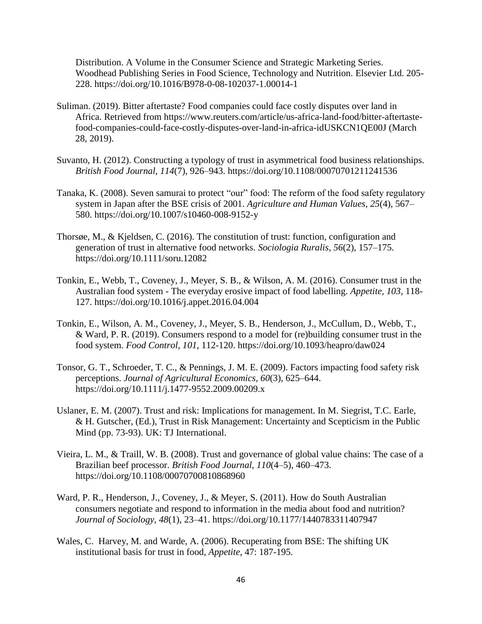Distribution. A Volume in the Consumer Science and Strategic Marketing Series. Woodhead Publishing Series in Food Science, Technology and Nutrition. Elsevier Ltd. 205- 228.<https://doi.org/10.1016/B978-0-08-102037-1.00014-1>

- Suliman. (2019). Bitter aftertaste? Food companies could face costly disputes over land in Africa. Retrieved from [https://www.reuters.com/article/us-africa-land-food/bitter-aftertaste](https://www.reuters.com/article/us-africa-land-food/bitter-aftertaste-food-companies-could-face-costly-disputes-over-land-in-africa-idUSKCN1QE00J)[food-companies-could-face-costly-disputes-over-land-in-africa-idUSKCN1QE00J](https://www.reuters.com/article/us-africa-land-food/bitter-aftertaste-food-companies-could-face-costly-disputes-over-land-in-africa-idUSKCN1QE00J) (March 28, 2019).
- Suvanto, H. (2012). Constructing a typology of trust in asymmetrical food business relationships. *British Food Journal*, *114*(7), 926–943.<https://doi.org/10.1108/00070701211241536>
- Tanaka, K. (2008). Seven samurai to protect "our" food: The reform of the food safety regulatory system in Japan after the BSE crisis of 2001. *Agriculture and Human Values*, *25*(4), 567– 580. https://doi.org/10.1007/s10460-008-9152-y
- Thorsøe, M., & Kjeldsen, C. (2016). The constitution of trust: function, configuration and generation of trust in alternative food networks. *Sociologia Ruralis*, *56*(2), 157–175. <https://doi.org/10.1111/soru.12082>
- Tonkin, E., Webb, T., Coveney, J., Meyer, S. B., & Wilson, A. M. (2016). Consumer trust in the Australian food system - The everyday erosive impact of food labelling. *Appetite, 103*, 118- 127.<https://doi.org/10.1016/j.appet.2016.04.004>
- Tonkin, E., Wilson, A. M., Coveney, J., Meyer, S. B., Henderson, J., McCullum, D., Webb, T., & Ward, P. R. (2019). Consumers respond to a model for (re)building consumer trust in the food system. *Food Control, 101*, 112-120. https://doi.org/10.1093/heapro/daw024
- Tonsor, G. T., Schroeder, T. C., & Pennings, J. M. E. (2009). Factors impacting food safety risk perceptions. *Journal of Agricultural Economics*, *60*(3), 625–644. <https://doi.org/10.1111/j.1477-9552.2009.00209.x>
- Uslaner, E. M. (2007). Trust and risk: Implications for management. In M. Siegrist, T.C. Earle, & H. Gutscher, (Ed.), Trust in Risk Management: Uncertainty and Scepticism in the Public Mind (pp. 73-93). UK: TJ International.
- Vieira, L. M., & Traill, W. B. (2008). Trust and governance of global value chains: The case of a Brazilian beef processor. *British Food Journal*, *110*(4–5), 460–473. <https://doi.org/10.1108/00070700810868960>
- Ward, P. R., Henderson, J., Coveney, J., & Meyer, S. (2011). How do South Australian consumers negotiate and respond to information in the media about food and nutrition? *Journal of Sociology*, *48*(1), 23–41.<https://doi.org/10.1177/1440783311407947>
- Wales, C. Harvey, M. and Warde, A. (2006). Recuperating from BSE: The shifting UK institutional basis for trust in food, *Appetite*, 47: 187-195.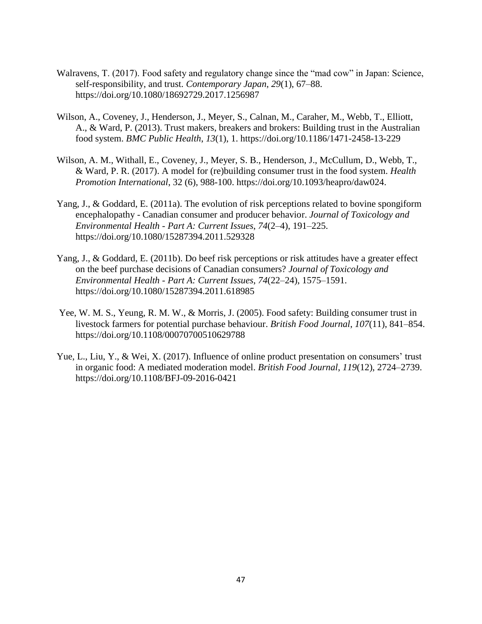- Walravens, T. (2017). Food safety and regulatory change since the "mad cow" in Japan: Science, self-responsibility, and trust. *Contemporary Japan*, *29*(1), 67–88. <https://doi.org/10.1080/18692729.2017.1256987>
- Wilson, A., Coveney, J., Henderson, J., Meyer, S., Calnan, M., Caraher, M., Webb, T., Elliott, A., & Ward, P. (2013). Trust makers, breakers and brokers: Building trust in the Australian food system. *BMC Public Health*, *13*(1), 1.<https://doi.org/10.1186/1471-2458-13-229>
- Wilson, A. M., Withall, E., Coveney, J., Meyer, S. B., Henderson, J., McCullum, D., Webb, T., & Ward, P. R. (2017). A model for (re)building consumer trust in the food system. *Health Promotion International*, 32 (6), 988-100. https://doi.org/10.1093/heapro/daw024.
- Yang, J., & Goddard, E. (2011a). The evolution of risk perceptions related to bovine spongiform encephalopathy - Canadian consumer and producer behavior. *Journal of Toxicology and Environmental Health - Part A: Current Issues*, *74*(2–4), 191–225. https://doi.org/10.1080/15287394.2011.529328
- Yang, J., & Goddard, E. (2011b). Do beef risk perceptions or risk attitudes have a greater effect on the beef purchase decisions of Canadian consumers? *Journal of Toxicology and Environmental Health - Part A: Current Issues*, *74*(22–24), 1575–1591. https://doi.org/10.1080/15287394.2011.618985
- Yee, W. M. S., Yeung, R. M. W., & Morris, J. (2005). Food safety: Building consumer trust in livestock farmers for potential purchase behaviour. *British Food Journal*, *107*(11), 841–854. <https://doi.org/10.1108/00070700510629788>
- Yue, L., Liu, Y., & Wei, X. (2017). Influence of online product presentation on consumers' trust in organic food: A mediated moderation model. *British Food Journal*, *119*(12), 2724–2739. https://doi.org/10.1108/BFJ-09-2016-0421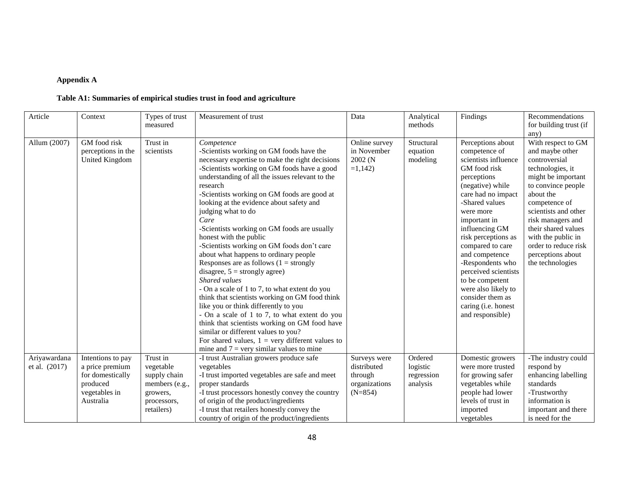## **Appendix A**

## **Table A1: Summaries of empirical studies trust in food and agriculture**

| Article                       | Context                                                                                            | Types of trust<br>measured                                                                       | Measurement of trust                                                                                                                                                                                                                                                                                                                                                                                                                                                                                                                                                                                                                                                                                                                                                                                                                                                                                                                                                                                           | Data                                                                 | Analytical<br>methods                         | Findings                                                                                                                                                                                                                                                                                                                                                                                                               | Recommendations<br>for building trust (if<br>any)                                                                                                                                                                                                                                                               |
|-------------------------------|----------------------------------------------------------------------------------------------------|--------------------------------------------------------------------------------------------------|----------------------------------------------------------------------------------------------------------------------------------------------------------------------------------------------------------------------------------------------------------------------------------------------------------------------------------------------------------------------------------------------------------------------------------------------------------------------------------------------------------------------------------------------------------------------------------------------------------------------------------------------------------------------------------------------------------------------------------------------------------------------------------------------------------------------------------------------------------------------------------------------------------------------------------------------------------------------------------------------------------------|----------------------------------------------------------------------|-----------------------------------------------|------------------------------------------------------------------------------------------------------------------------------------------------------------------------------------------------------------------------------------------------------------------------------------------------------------------------------------------------------------------------------------------------------------------------|-----------------------------------------------------------------------------------------------------------------------------------------------------------------------------------------------------------------------------------------------------------------------------------------------------------------|
| Allum (2007)                  | GM food risk<br>perceptions in the<br>United Kingdom                                               | Trust in<br>scientists                                                                           | Competence<br>-Scientists working on GM foods have the<br>necessary expertise to make the right decisions<br>-Scientists working on GM foods have a good<br>understanding of all the issues relevant to the<br>research<br>-Scientists working on GM foods are good at<br>looking at the evidence about safety and<br>judging what to do<br>Care<br>-Scientists working on GM foods are usually<br>honest with the public<br>-Scientists working on GM foods don't care<br>about what happens to ordinary people<br>Responses are as follows $(1 =$ strongly<br>disagree, $5 =$ strongly agree)<br>Shared values<br>- On a scale of 1 to 7, to what extent do you<br>think that scientists working on GM food think<br>like you or think differently to you<br>- On a scale of 1 to 7, to what extent do you<br>think that scientists working on GM food have<br>similar or different values to you?<br>For shared values, $1 = \text{very different values to}$<br>mine and $7 =$ very similar values to mine | Online survey<br>in November<br>2002 (N<br>$=1,142$                  | Structural<br>equation<br>modeling            | Perceptions about<br>competence of<br>scientists influence<br>GM food risk<br>perceptions<br>(negative) while<br>care had no impact<br>-Shared values<br>were more<br>important in<br>influencing GM<br>risk perceptions as<br>compared to care<br>and competence<br>-Respondents who<br>perceived scientists<br>to be competent<br>were also likely to<br>consider them as<br>caring (i.e. honest<br>and responsible) | With respect to GM<br>and maybe other<br>controversial<br>technologies, it<br>might be important<br>to convince people<br>about the<br>competence of<br>scientists and other<br>risk managers and<br>their shared values<br>with the public in<br>order to reduce risk<br>perceptions about<br>the technologies |
| Ariyawardana<br>et al. (2017) | Intentions to pay<br>a price premium<br>for domestically<br>produced<br>vegetables in<br>Australia | Trust in<br>vegetable<br>supply chain<br>members (e.g.,<br>growers,<br>processors,<br>retailers) | -I trust Australian growers produce safe<br>vegetables<br>-I trust imported vegetables are safe and meet<br>proper standards<br>-I trust processors honestly convey the country<br>of origin of the product/ingredients<br>-I trust that retailers honestly convey the<br>country of origin of the product/ingredients                                                                                                                                                                                                                                                                                                                                                                                                                                                                                                                                                                                                                                                                                         | Surveys were<br>distributed<br>through<br>organizations<br>$(N=854)$ | Ordered<br>logistic<br>regression<br>analysis | Domestic growers<br>were more trusted<br>for growing safer<br>vegetables while<br>people had lower<br>levels of trust in<br>imported<br>vegetables                                                                                                                                                                                                                                                                     | -The industry could<br>respond by<br>enhancing labelling<br>standards<br>-Trustworthy<br>information is<br>important and there<br>is need for the                                                                                                                                                               |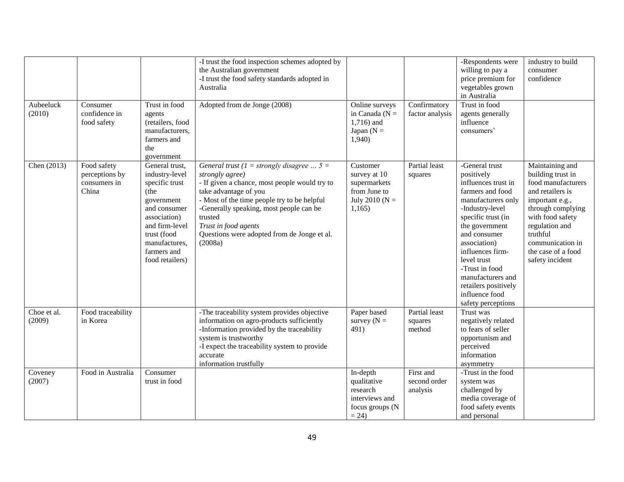| Aubeeluck             | Consumer                                               | Trust in food                                                                                                                                                                                | -I trust the food inspection schemes adopted by<br>the Australian government<br>-I trust the food safety standards adopted in<br>Australia<br>Adopted from de Jonge (2008)                                                                                                                                                        | Online surveys                                                                         | Confirmatory                          | -Respondents were<br>willing to pay a<br>price premium for<br>vegetables grown<br>in Australia<br>Trust in food                                                                                                                                                                                                                    | industry to build<br>consumer<br>confidence                                                                                                                                                                                           |
|-----------------------|--------------------------------------------------------|----------------------------------------------------------------------------------------------------------------------------------------------------------------------------------------------|-----------------------------------------------------------------------------------------------------------------------------------------------------------------------------------------------------------------------------------------------------------------------------------------------------------------------------------|----------------------------------------------------------------------------------------|---------------------------------------|------------------------------------------------------------------------------------------------------------------------------------------------------------------------------------------------------------------------------------------------------------------------------------------------------------------------------------|---------------------------------------------------------------------------------------------------------------------------------------------------------------------------------------------------------------------------------------|
| (2010)                | confidence in<br>food safety                           | agents<br>(retailers, food<br>manufacturers,<br>farmers and<br>the<br>government                                                                                                             |                                                                                                                                                                                                                                                                                                                                   | in Canada ( $N =$<br>1,716) and<br>Japan ( $N =$<br>1,940                              | factor analysis                       | agents generally<br>influence<br>consumers'                                                                                                                                                                                                                                                                                        |                                                                                                                                                                                                                                       |
| Chen (2013)           | Food safety<br>perceptions by<br>consumers in<br>China | General trust,<br>industry-level<br>specific trust<br>(the<br>government<br>and consumer<br>association)<br>and firm-level<br>trust (food<br>manufactures,<br>farmers and<br>food retailers) | General trust ( $1 =$ strongly disagree $5 =$<br>strongly agree)<br>- If given a chance, most people would try to<br>take advantage of you<br>- Most of the time people try to be helpful<br>-Generally speaking, most people can be<br>trusted<br>Trust in food agents<br>Questions were adopted from de Jonge et al.<br>(2008a) | Customer<br>survey at 10<br>supermarkets<br>from June to<br>July 2010 ( $N =$<br>1,165 | Partial least<br>squares              | -General trust<br>positively<br>influences trust in<br>farmers and food<br>manufacturers only<br>-Industry-level<br>specific trust (in<br>the government<br>and consumer<br>association)<br>influences firm-<br>level trust<br>-Trust in food<br>manufacturers and<br>retailers positively<br>influence food<br>safety perceptions | Maintaining and<br>building trust in<br>food manufacturers<br>and retailers is<br>important e.g.,<br>through complying<br>with food safety<br>regulation and<br>truthful<br>communication in<br>the case of a food<br>safety incident |
| Choe et al.<br>(2009) | Food traceability<br>in Korea                          |                                                                                                                                                                                              | -The traceability system provides objective<br>information on agro-products sufficiently<br>-Information provided by the traceability<br>system is trustworthy<br>-I expect the traceability system to provide<br>accurate<br>information trustfully                                                                              | Paper based<br>survey $(N =$<br>491)                                                   | Partial least<br>squares<br>method    | Trust was<br>negatively related<br>to fears of seller<br>opportunism and<br>perceived<br>information<br>asymmetry                                                                                                                                                                                                                  |                                                                                                                                                                                                                                       |
| Coveney<br>(2007)     | Food in Australia                                      | Consumer<br>trust in food                                                                                                                                                                    |                                                                                                                                                                                                                                                                                                                                   | In-depth<br>qualitative<br>research<br>interviews and<br>focus groups (N<br>$= 24$     | First and<br>second order<br>analysis | -Trust in the food<br>system was<br>challenged by<br>media coverage of<br>food safety events<br>and personal                                                                                                                                                                                                                       |                                                                                                                                                                                                                                       |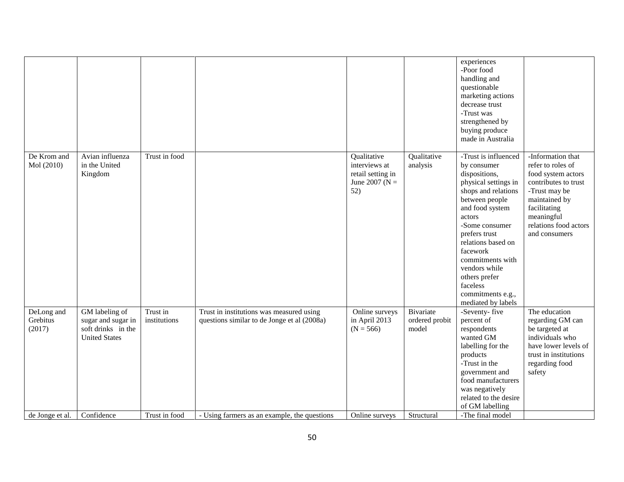|                                  |                                                                                    |                          |                                                                                         |                                                                               |                                      | experiences<br>-Poor food<br>handling and<br>questionable<br>marketing actions<br>decrease trust<br>-Trust was<br>strengthened by<br>buying produce<br>made in Australia                                                                                                                                                             |                                                                                                                                                                                                |
|----------------------------------|------------------------------------------------------------------------------------|--------------------------|-----------------------------------------------------------------------------------------|-------------------------------------------------------------------------------|--------------------------------------|--------------------------------------------------------------------------------------------------------------------------------------------------------------------------------------------------------------------------------------------------------------------------------------------------------------------------------------|------------------------------------------------------------------------------------------------------------------------------------------------------------------------------------------------|
| De Krom and<br>Mol (2010)        | Avian influenza<br>in the United<br>Kingdom                                        | Trust in food            |                                                                                         | Qualitative<br>interviews at<br>retail setting in<br>June 2007 ( $N =$<br>52) | Qualitative<br>analysis              | -Trust is influenced<br>by consumer<br>dispositions,<br>physical settings in<br>shops and relations<br>between people<br>and food system<br>actors<br>-Some consumer<br>prefers trust<br>relations based on<br>facework<br>commitments with<br>vendors while<br>others prefer<br>faceless<br>commitments e.g.,<br>mediated by labels | -Information that<br>refer to roles of<br>food system actors<br>contributes to trust<br>-Trust may be<br>maintained by<br>facilitating<br>meaningful<br>relations food actors<br>and consumers |
| DeLong and<br>Grebitus<br>(2017) | GM labeling of<br>sugar and sugar in<br>soft drinks in the<br><b>United States</b> | Trust in<br>institutions | Trust in institutions was measured using<br>questions similar to de Jonge et al (2008a) | Online surveys<br>in April 2013<br>$(N = 566)$                                | Bivariate<br>ordered probit<br>model | -Seventy-five<br>percent of<br>respondents<br>wanted GM<br>labelling for the<br>products<br>-Trust in the<br>government and<br>food manufacturers<br>was negatively<br>related to the desire<br>of GM labelling                                                                                                                      | The education<br>regarding GM can<br>be targeted at<br>individuals who<br>have lower levels of<br>trust in institutions<br>regarding food<br>safety                                            |
| de Jonge et al.                  | Confidence                                                                         | Trust in food            | - Using farmers as an example, the questions                                            | Online surveys                                                                | Structural                           | -The final model                                                                                                                                                                                                                                                                                                                     |                                                                                                                                                                                                |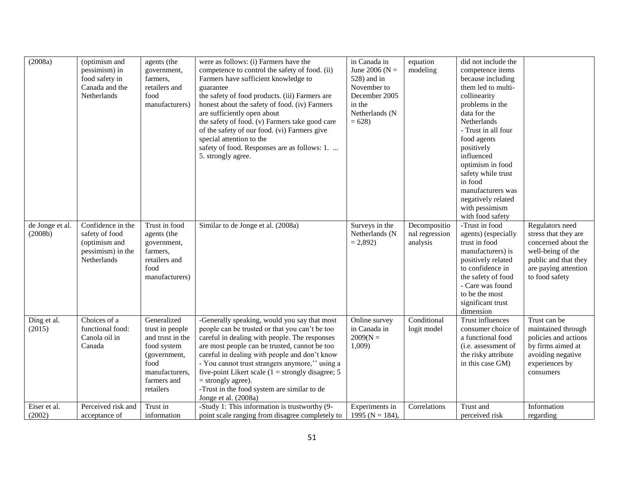| (2008a)                    | (optimism and<br>pessimism) in<br>food safety in<br>Canada and the<br>Netherlands        | agents (the<br>government,<br>farmers,<br>retailers and<br>food<br>manufacturers)                                                       | were as follows: (i) Farmers have the<br>competence to control the safety of food. (ii)<br>Farmers have sufficient knowledge to<br>guarantee<br>the safety of food products. (iii) Farmers are<br>honest about the safety of food. (iv) Farmers<br>are sufficiently open about<br>the safety of food. (v) Farmers take good care<br>of the safety of our food. (vi) Farmers give<br>special attention to the<br>safety of food. Responses are as follows: 1.<br>5. strongly agree. | in Canada in<br>June 2006 ( $N =$<br>528) and in<br>November to<br>December 2005<br>in the<br>Netherlands (N<br>$= 628$ | equation<br>modeling                       | did not include the<br>competence items<br>because including<br>them led to multi-<br>collinearity<br>problems in the<br>data for the<br>Netherlands<br>- Trust in all four<br>food agents<br>positively<br>influenced<br>optimism in food<br>safety while trust<br>in food<br>manufacturers was<br>negatively related<br>with pessimism<br>with food safety |                                                                                                                                                       |
|----------------------------|------------------------------------------------------------------------------------------|-----------------------------------------------------------------------------------------------------------------------------------------|------------------------------------------------------------------------------------------------------------------------------------------------------------------------------------------------------------------------------------------------------------------------------------------------------------------------------------------------------------------------------------------------------------------------------------------------------------------------------------|-------------------------------------------------------------------------------------------------------------------------|--------------------------------------------|--------------------------------------------------------------------------------------------------------------------------------------------------------------------------------------------------------------------------------------------------------------------------------------------------------------------------------------------------------------|-------------------------------------------------------------------------------------------------------------------------------------------------------|
| de Jonge et al.<br>(2008b) | Confidence in the<br>safety of food<br>(optimism and<br>pessimism) in the<br>Netherlands | Trust in food<br>agents (the<br>government,<br>farmers,<br>retailers and<br>food<br>manufacturers)                                      | Similar to de Jonge et al. (2008a)                                                                                                                                                                                                                                                                                                                                                                                                                                                 | Surveys in the<br>Netherlands (N<br>$= 2,892$                                                                           | Decompositio<br>nal regression<br>analysis | -Trust in food<br>agents) (especially<br>trust in food<br>manufacturers) is<br>positively related<br>to confidence in<br>the safety of food<br>- Care was found<br>to be the most<br>significant trust<br>dimension                                                                                                                                          | Regulators need<br>stress that they are<br>concerned about the<br>well-being of the<br>public and that they<br>are paying attention<br>to food safety |
| Ding et al.<br>(2015)      | Choices of a<br>functional food:<br>Canola oil in<br>Canada                              | Generalized<br>trust in people<br>and trust in the<br>food system<br>(government,<br>food<br>manufacturers,<br>farmers and<br>retailers | -Generally speaking, would you say that most<br>people can be trusted or that you can't be too<br>careful in dealing with people. The responses<br>are most people can be trusted, cannot be too<br>careful in dealing with people and don't know<br>- You cannot trust strangers anymore," using a<br>five-point Likert scale $(1 =$ strongly disagree; 5<br>$=$ strongly agree).<br>-Trust in the food system are similar to de<br>Jonge et al. (2008a)                          | Online survey<br>in Canada in<br>$2009(N =$<br>1,009                                                                    | Conditional<br>logit model                 | Trust influences<br>consumer choice of<br>a functional food<br>(i.e. assessment of<br>the risky attribute<br>in this case GM)                                                                                                                                                                                                                                | Trust can be<br>maintained through<br>policies and actions<br>by firms aimed at<br>avoiding negative<br>experiences by<br>consumers                   |
| Eiser et al.<br>(2002)     | Perceived risk and<br>acceptance of                                                      | Trust in<br>information                                                                                                                 | -Study 1: This information is trustworthy (9-<br>point scale ranging from disagree completely to                                                                                                                                                                                                                                                                                                                                                                                   | Experiments in<br>1995 ( $N = 184$ ),                                                                                   | Correlations                               | Trust and<br>perceived risk                                                                                                                                                                                                                                                                                                                                  | Information<br>regarding                                                                                                                              |
|                            |                                                                                          |                                                                                                                                         |                                                                                                                                                                                                                                                                                                                                                                                                                                                                                    |                                                                                                                         |                                            |                                                                                                                                                                                                                                                                                                                                                              |                                                                                                                                                       |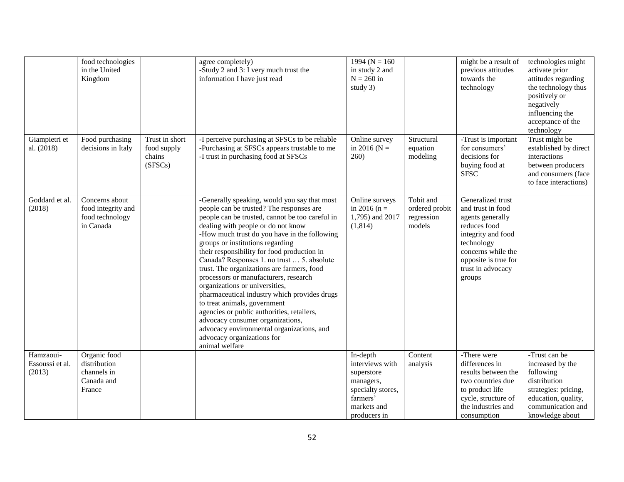|                                        | food technologies<br>in the United<br>Kingdom                        |                                                    | agree completely)<br>-Study 2 and 3: I very much trust the<br>information I have just read                                                                                                                                                                                                                                                                                                                                                                                                                                                                                                                                                                                                                                                                 | 1994 ( $N = 160$<br>in study 2 and<br>$N = 260$ in<br>study 3)                                                         |                                                     | might be a result of<br>previous attitudes<br>towards the<br>technology                                                                                                                     | technologies might<br>activate prior<br>attitudes regarding<br>the technology thus<br>positively or<br>negatively<br>influencing the<br>acceptance of the<br>technology |
|----------------------------------------|----------------------------------------------------------------------|----------------------------------------------------|------------------------------------------------------------------------------------------------------------------------------------------------------------------------------------------------------------------------------------------------------------------------------------------------------------------------------------------------------------------------------------------------------------------------------------------------------------------------------------------------------------------------------------------------------------------------------------------------------------------------------------------------------------------------------------------------------------------------------------------------------------|------------------------------------------------------------------------------------------------------------------------|-----------------------------------------------------|---------------------------------------------------------------------------------------------------------------------------------------------------------------------------------------------|-------------------------------------------------------------------------------------------------------------------------------------------------------------------------|
| Giampietri et<br>al. (2018)            | Food purchasing<br>decisions in Italy                                | Trust in short<br>food supply<br>chains<br>(SFSCs) | -I perceive purchasing at SFSCs to be reliable<br>-Purchasing at SFSCs appears trustable to me<br>-I trust in purchasing food at SFSCs                                                                                                                                                                                                                                                                                                                                                                                                                                                                                                                                                                                                                     | Online survey<br>in 2016 ( $N =$<br>260)                                                                               | Structural<br>equation<br>modeling                  | -Trust is important<br>for consumers'<br>decisions for<br>buying food at<br><b>SFSC</b>                                                                                                     | Trust might be<br>established by direct<br>interactions<br>between producers<br>and consumers (face<br>to face interactions)                                            |
| Goddard et al.<br>(2018)               | Concerns about<br>food integrity and<br>food technology<br>in Canada |                                                    | -Generally speaking, would you say that most<br>people can be trusted? The responses are<br>people can be trusted, cannot be too careful in<br>dealing with people or do not know<br>-How much trust do you have in the following<br>groups or institutions regarding<br>their responsibility for food production in<br>Canada? Responses 1. no trust  5. absolute<br>trust. The organizations are farmers, food<br>processors or manufacturers, research<br>organizations or universities,<br>pharmaceutical industry which provides drugs<br>to treat animals, government<br>agencies or public authorities, retailers,<br>advocacy consumer organizations,<br>advocacy environmental organizations, and<br>advocacy organizations for<br>animal welfare | Online surveys<br>in 2016 ( $n =$<br>1,795) and 2017<br>(1,814)                                                        | Tobit and<br>ordered probit<br>regression<br>models | Generalized trust<br>and trust in food<br>agents generally<br>reduces food<br>integrity and food<br>technology<br>concerns while the<br>opposite is true for<br>trust in advocacy<br>groups |                                                                                                                                                                         |
| Hamzaoui-<br>Essoussi et al.<br>(2013) | Organic food<br>distribution<br>channels in<br>Canada and<br>France  |                                                    |                                                                                                                                                                                                                                                                                                                                                                                                                                                                                                                                                                                                                                                                                                                                                            | In-depth<br>interviews with<br>superstore<br>managers,<br>specialty stores,<br>farmers'<br>markets and<br>producers in | Content<br>analysis                                 | -There were<br>differences in<br>results between the<br>two countries due<br>to product life<br>cycle, structure of<br>the industries and<br>consumption                                    | -Trust can be<br>increased by the<br>following<br>distribution<br>strategies: pricing,<br>education, quality,<br>communication and<br>knowledge about                   |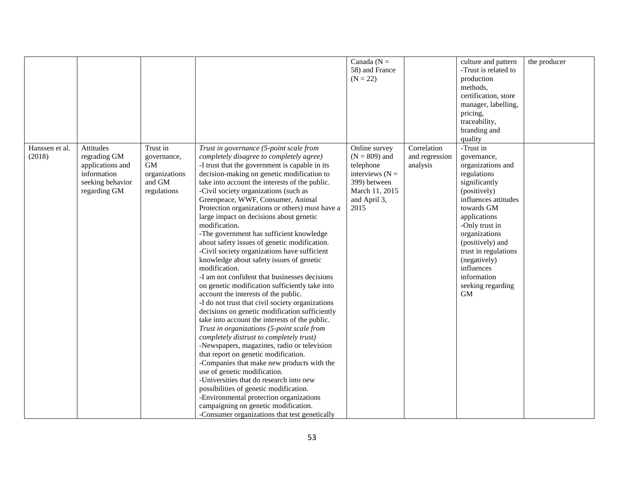|                          |                                                                                                  |                                                                                |                                                                                                                                                                                                                                                                                                                                                                                                                                                                                                                                                                                                                                                                                                                                                                                                                                                                                                                                                                                                                                                                                                                                                                                                                                                                                                                                                                                                                                        | Canada ( $N =$<br>58) and France<br>$(N = 22)$                                                                               |                                           | culture and pattern<br>-Trust is related to<br>production<br>methods,<br>certification, store<br>manager, labelling,<br>pricing,<br>traceability,<br>branding and<br>quality                                                                                                                                      | the producer |
|--------------------------|--------------------------------------------------------------------------------------------------|--------------------------------------------------------------------------------|----------------------------------------------------------------------------------------------------------------------------------------------------------------------------------------------------------------------------------------------------------------------------------------------------------------------------------------------------------------------------------------------------------------------------------------------------------------------------------------------------------------------------------------------------------------------------------------------------------------------------------------------------------------------------------------------------------------------------------------------------------------------------------------------------------------------------------------------------------------------------------------------------------------------------------------------------------------------------------------------------------------------------------------------------------------------------------------------------------------------------------------------------------------------------------------------------------------------------------------------------------------------------------------------------------------------------------------------------------------------------------------------------------------------------------------|------------------------------------------------------------------------------------------------------------------------------|-------------------------------------------|-------------------------------------------------------------------------------------------------------------------------------------------------------------------------------------------------------------------------------------------------------------------------------------------------------------------|--------------|
| Hanssen et al.<br>(2018) | Attitudes<br>regrading GM<br>applications and<br>information<br>seeking behavior<br>regarding GM | Trust in<br>governance,<br><b>GM</b><br>organizations<br>and GM<br>regulations | Trust in governance (5-point scale from<br>completely disagree to completely agree)<br>-I trust that the government is capable in its<br>decision-making on genetic modification to<br>take into account the interests of the public.<br>-Civil society organizations (such as<br>Greenpeace, WWF, Consumer, Animal<br>Protection organizations or others) must have a<br>large impact on decisions about genetic<br>modification.<br>-The government has sufficient knowledge<br>about safety issues of genetic modification.<br>-Civil society organizations have sufficient<br>knowledge about safety issues of genetic<br>modification.<br>-I am not confident that businesses decisions<br>on genetic modification sufficiently take into<br>account the interests of the public.<br>-I do not trust that civil society organizations<br>decisions on genetic modification sufficiently<br>take into account the interests of the public.<br>Trust in organizations (5-point scale from<br>completely distrust to completely trust)<br>-Newspapers, magazines, radio or television<br>that report on genetic modification.<br>-Companies that make new products with the<br>use of genetic modification.<br>-Universities that do research into new<br>possibilities of genetic modification.<br>-Environmental protection organizations<br>campaigning on genetic modification.<br>-Consumer organizations that test genetically | Online survey<br>$(N = 809)$ and<br>telephone<br>interviews $(N =$<br>399) between<br>March 11, 2015<br>and April 3,<br>2015 | Correlation<br>and regression<br>analysis | -Trust in<br>governance,<br>organizations and<br>regulations<br>significantly<br>(positively)<br>influences attitudes<br>towards GM<br>applications<br>-Only trust in<br>organizations<br>(positively) and<br>trust in regulations<br>(negatively)<br>influences<br>information<br>seeking regarding<br><b>GM</b> |              |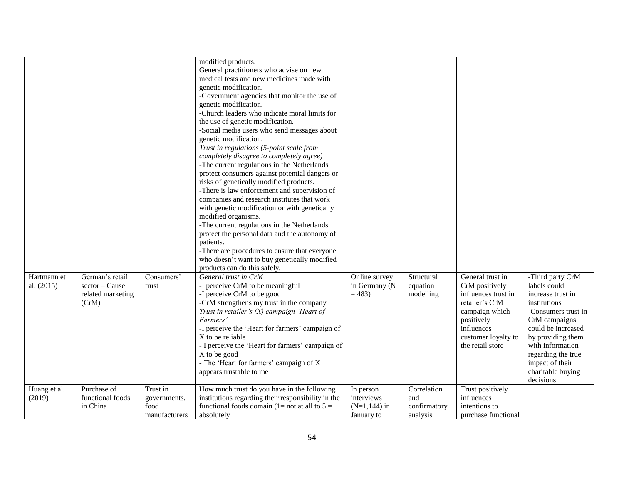|                           |                                                                 |                                                   | modified products.<br>General practitioners who advise on new<br>medical tests and new medicines made with<br>genetic modification.<br>-Government agencies that monitor the use of<br>genetic modification.<br>-Church leaders who indicate moral limits for<br>the use of genetic modification.<br>-Social media users who send messages about<br>genetic modification.<br>Trust in regulations (5-point scale from<br>completely disagree to completely agree)                                                                                             |                                                          |                                                |                                                                                                                                                                      |                                                                                                                                                                                                                                                         |
|---------------------------|-----------------------------------------------------------------|---------------------------------------------------|---------------------------------------------------------------------------------------------------------------------------------------------------------------------------------------------------------------------------------------------------------------------------------------------------------------------------------------------------------------------------------------------------------------------------------------------------------------------------------------------------------------------------------------------------------------|----------------------------------------------------------|------------------------------------------------|----------------------------------------------------------------------------------------------------------------------------------------------------------------------|---------------------------------------------------------------------------------------------------------------------------------------------------------------------------------------------------------------------------------------------------------|
|                           |                                                                 |                                                   | -The current regulations in the Netherlands<br>protect consumers against potential dangers or<br>risks of genetically modified products.<br>-There is law enforcement and supervision of<br>companies and research institutes that work<br>with genetic modification or with genetically<br>modified organisms.<br>-The current regulations in the Netherlands<br>protect the personal data and the autonomy of<br>patients.<br>-There are procedures to ensure that everyone<br>who doesn't want to buy genetically modified<br>products can do this safely. |                                                          |                                                |                                                                                                                                                                      |                                                                                                                                                                                                                                                         |
| Hartmann et<br>al. (2015) | German's retail<br>sector – Cause<br>related marketing<br>(CrM) | Consumers'<br>trust                               | General trust in CrM<br>-I perceive CrM to be meaningful<br>-I perceive CrM to be good<br>-CrM strengthens my trust in the company<br>Trust in retailer's $(X)$ campaign 'Heart of<br>Farmers<br>-I perceive the 'Heart for farmers' campaign of<br>X to be reliable<br>- I perceive the 'Heart for farmers' campaign of<br>X to be good<br>- The 'Heart for farmers' campaign of X<br>appears trustable to me                                                                                                                                                | Online survey<br>in Germany (N<br>$= 483$                | Structural<br>equation<br>modelling            | General trust in<br>CrM positively<br>influences trust in<br>retailer's CrM<br>campaign which<br>positively<br>influences<br>customer loyalty to<br>the retail store | -Third party CrM<br>labels could<br>increase trust in<br>institutions<br>-Consumers trust in<br>CrM campaigns<br>could be increased<br>by providing them<br>with information<br>regarding the true<br>impact of their<br>charitable buying<br>decisions |
| Huang et al.<br>(2019)    | Purchase of<br>functional foods<br>in China                     | Trust in<br>governments,<br>food<br>manufacturers | How much trust do you have in the following<br>institutions regarding their responsibility in the<br>functional foods domain (1= not at all to $5 =$<br>absolutely                                                                                                                                                                                                                                                                                                                                                                                            | In person<br>interviews<br>$(N=1, 144)$ in<br>January to | Correlation<br>and<br>confirmatory<br>analysis | Trust positively<br>influences<br>intentions to<br>purchase functional                                                                                               |                                                                                                                                                                                                                                                         |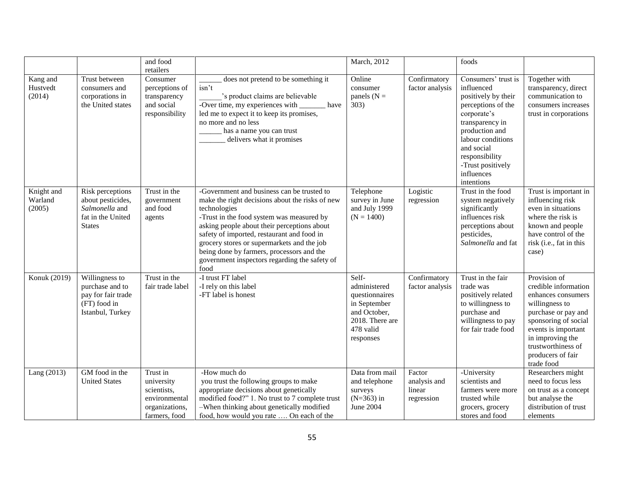|                                 |                                                                                               | and food<br>retailers                                                                     |                                                                                                                                                                                                                                                                                                                                                                                                             | March, 2012                                                                                                          |                                                | foods                                                                                                                                                                                                                                    |                                                                                                                                                                                                                                 |
|---------------------------------|-----------------------------------------------------------------------------------------------|-------------------------------------------------------------------------------------------|-------------------------------------------------------------------------------------------------------------------------------------------------------------------------------------------------------------------------------------------------------------------------------------------------------------------------------------------------------------------------------------------------------------|----------------------------------------------------------------------------------------------------------------------|------------------------------------------------|------------------------------------------------------------------------------------------------------------------------------------------------------------------------------------------------------------------------------------------|---------------------------------------------------------------------------------------------------------------------------------------------------------------------------------------------------------------------------------|
| Kang and<br>Hustvedt<br>(2014)  | Trust between<br>consumers and<br>corporations in<br>the United states                        | Consumer<br>perceptions of<br>transparency<br>and social<br>responsibility                | does not pretend to be something it<br>isn't<br>'s product claims are believable<br>-Over time, my experiences with<br>have<br>led me to expect it to keep its promises,<br>no more and no less<br>has a name you can trust<br>delivers what it promises                                                                                                                                                    | Online<br>consumer<br>panels ( $N =$<br>303)                                                                         | Confirmatory<br>factor analysis                | Consumers' trust is<br>influenced<br>positively by their<br>perceptions of the<br>corporate's<br>transparency in<br>production and<br>labour conditions<br>and social<br>responsibility<br>-Trust positively<br>influences<br>intentions | Together with<br>transparency, direct<br>communication to<br>consumers increases<br>trust in corporations                                                                                                                       |
| Knight and<br>Warland<br>(2005) | Risk perceptions<br>about pesticides,<br>Salmonella and<br>fat in the United<br><b>States</b> | Trust in the<br>government<br>and food<br>agents                                          | -Government and business can be trusted to<br>make the right decisions about the risks of new<br>technologies<br>-Trust in the food system was measured by<br>asking people about their perceptions about<br>safety of imported, restaurant and food in<br>grocery stores or supermarkets and the job<br>being done by farmers, processors and the<br>government inspectors regarding the safety of<br>food | Telephone<br>survey in June<br>and July 1999<br>$(N = 1400)$                                                         | Logistic<br>regression                         | Trust in the food<br>system negatively<br>significantly<br>influences risk<br>perceptions about<br>pesticides,<br>Salmonella and fat                                                                                                     | Trust is important in<br>influencing risk<br>even in situations<br>where the risk is<br>known and people<br>have control of the<br>risk (i.e., fat in this<br>case)                                                             |
| Konuk (2019)                    | Willingness to<br>purchase and to<br>pay for fair trade<br>(FT) food in<br>Istanbul, Turkey   | Trust in the<br>fair trade label                                                          | -I trust FT label<br>-I rely on this label<br>-FT label is honest                                                                                                                                                                                                                                                                                                                                           | Self-<br>administered<br>questionnaires<br>in September<br>and October,<br>2018. There are<br>478 valid<br>responses | Confirmatory<br>factor analysis                | Trust in the fair<br>trade was<br>positively related<br>to willingness to<br>purchase and<br>willingness to pay<br>for fair trade food                                                                                                   | Provision of<br>credible information<br>enhances consumers<br>willingness to<br>purchase or pay and<br>sponsoring of social<br>events is important<br>in improving the<br>trustworthiness of<br>producers of fair<br>trade food |
| Lang (2013)                     | GM food in the<br><b>United States</b>                                                        | Trust in<br>university<br>scientists,<br>environmental<br>organizations,<br>farmers, food | -How much do<br>you trust the following groups to make<br>appropriate decisions about genetically<br>modified food?" 1. No trust to 7 complete trust<br>-When thinking about genetically modified<br>food, how would you rate  On each of the                                                                                                                                                               | Data from mail<br>and telephone<br>surveys<br>$(N=363)$ in<br>June 2004                                              | Factor<br>analysis and<br>linear<br>regression | -University<br>scientists and<br>farmers were more<br>trusted while<br>grocers, grocery<br>stores and food                                                                                                                               | Researchers might<br>need to focus less<br>on trust as a concept<br>but analyse the<br>distribution of trust<br>elements                                                                                                        |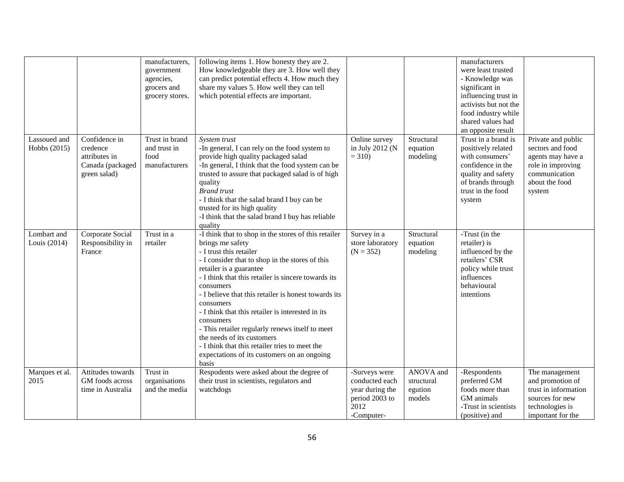|                              |                                                                                | manufacturers,<br>government<br>agencies,<br>grocers and<br>grocery stores. | following items 1. How honesty they are 2.<br>How knowledgeable they are 3. How well they<br>can predict potential effects 4. How much they<br>share my values 5. How well they can tell<br>which potential effects are important.                                                                                                                                                                                                                                                                                                                                                      |                                                                                            |                                              | manufacturers<br>were least trusted<br>- Knowledge was<br>significant in<br>influencing trust in<br>activists but not the<br>food industry while<br>shared values had<br>an opposite result |                                                                                                                               |
|------------------------------|--------------------------------------------------------------------------------|-----------------------------------------------------------------------------|-----------------------------------------------------------------------------------------------------------------------------------------------------------------------------------------------------------------------------------------------------------------------------------------------------------------------------------------------------------------------------------------------------------------------------------------------------------------------------------------------------------------------------------------------------------------------------------------|--------------------------------------------------------------------------------------------|----------------------------------------------|---------------------------------------------------------------------------------------------------------------------------------------------------------------------------------------------|-------------------------------------------------------------------------------------------------------------------------------|
| Lassoued and<br>Hobbs (2015) | Confidence in<br>credence<br>attributes in<br>Canada (packaged<br>green salad) | Trust in brand<br>and trust in<br>food<br>manufacturers                     | System trust<br>-In general, I can rely on the food system to<br>provide high quality packaged salad<br>-In general, I think that the food system can be<br>trusted to assure that packaged salad is of high<br>quality<br><b>Brand</b> trust<br>- I think that the salad brand I buy can be<br>trusted for its high quality<br>-I think that the salad brand I buy has reliable<br>quality                                                                                                                                                                                             | Online survey<br>in July 2012 (N<br>$= 310$                                                | Structural<br>equation<br>modeling           | Trust in a brand is<br>positively related<br>with consumers'<br>confidence in the<br>quality and safety<br>of brands through<br>trust in the food<br>system                                 | Private and public<br>sectors and food<br>agents may have a<br>role in improving<br>communication<br>about the food<br>system |
| Lombart and<br>Louis (2014)  | Corporate Social<br>Responsibility in<br>France                                | Trust in a<br>retailer                                                      | -I think that to shop in the stores of this retailer<br>brings me safety<br>- I trust this retailer<br>- I consider that to shop in the stores of this<br>retailer is a guarantee<br>- I think that this retailer is sincere towards its<br>consumers<br>- I believe that this retailer is honest towards its<br>consumers<br>- I think that this retailer is interested in its<br>consumers<br>- This retailer regularly renews itself to meet<br>the needs of its customers<br>- I think that this retailer tries to meet the<br>expectations of its customers on an ongoing<br>basis | Survey in a<br>store laboratory<br>$(N = 352)$                                             | Structural<br>equation<br>modeling           | -Trust (in the<br>retailer) is<br>influenced by the<br>retailers' CSR<br>policy while trust<br>influences<br>behavioural<br>intentions                                                      |                                                                                                                               |
| Marques et al.<br>2015       | Attitudes towards<br>GM foods across<br>time in Australia                      | Trust in<br>organisations<br>and the media                                  | Respodents were asked about the degree of<br>their trust in scientists, regulators and<br>watchdogs                                                                                                                                                                                                                                                                                                                                                                                                                                                                                     | -Surveys were<br>conducted each<br>year during the<br>period 2003 to<br>2012<br>-Computer- | ANOVA and<br>structural<br>egution<br>models | -Respondents<br>preferred GM<br>foods more than<br>GM animals<br>-Trust in scientists<br>(positive) and                                                                                     | The management<br>and promotion of<br>trust in information<br>sources for new<br>technologies is<br>important for the         |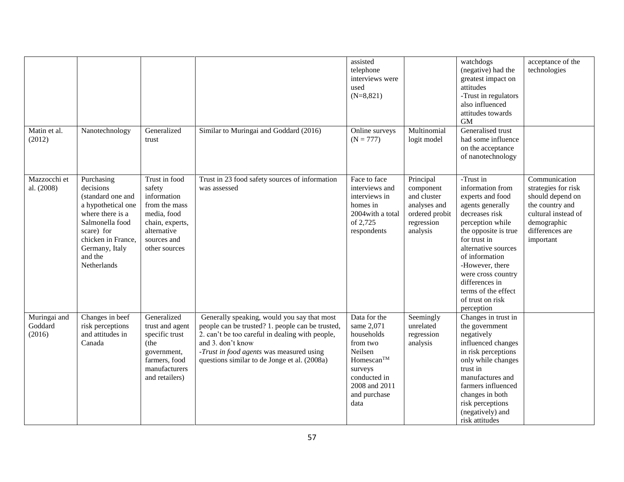|                                   |                                                                                                                                                                                           |                                                                                                                                          |                                                                                                                                                                                                                                                                     | assisted<br>telephone<br>interviews were<br>used<br>$(N=8,821)$                                                                                               |                                                                                                   | watchdogs<br>(negative) had the<br>greatest impact on<br>attitudes<br>-Trust in regulators<br>also influenced<br>attitudes towards<br><b>GM</b>                                                                                                                                                                  | acceptance of the<br>technologies                                                                                                                 |
|-----------------------------------|-------------------------------------------------------------------------------------------------------------------------------------------------------------------------------------------|------------------------------------------------------------------------------------------------------------------------------------------|---------------------------------------------------------------------------------------------------------------------------------------------------------------------------------------------------------------------------------------------------------------------|---------------------------------------------------------------------------------------------------------------------------------------------------------------|---------------------------------------------------------------------------------------------------|------------------------------------------------------------------------------------------------------------------------------------------------------------------------------------------------------------------------------------------------------------------------------------------------------------------|---------------------------------------------------------------------------------------------------------------------------------------------------|
| Matin et al.<br>(2012)            | Nanotechnology                                                                                                                                                                            | Generalized<br>trust                                                                                                                     | Similar to Muringai and Goddard (2016)                                                                                                                                                                                                                              | Online surveys<br>$(N = 777)$                                                                                                                                 | Multinomial<br>logit model                                                                        | Generalised trust<br>had some influence<br>on the acceptance<br>of nanotechnology                                                                                                                                                                                                                                |                                                                                                                                                   |
| Mazzocchi et<br>al. (2008)        | Purchasing<br>decisions<br>(standard one and<br>a hypothetical one<br>where there is a<br>Salmonella food<br>scare) for<br>chicken in France,<br>Germany, Italy<br>and the<br>Netherlands | Trust in food<br>safety<br>information<br>from the mass<br>media, food<br>chain, experts,<br>alternative<br>sources and<br>other sources | Trust in 23 food safety sources of information<br>was assessed                                                                                                                                                                                                      | Face to face<br>interviews and<br>interviews in<br>homes in<br>2004 with a total<br>of 2,725<br>respondents                                                   | Principal<br>component<br>and cluster<br>analyses and<br>ordered probit<br>regression<br>analysis | -Trust in<br>information from<br>experts and food<br>agents generally<br>decreases risk<br>perception while<br>the opposite is true<br>for trust in<br>alternative sources<br>of information<br>-However, there<br>were cross country<br>differences in<br>terms of the effect<br>of trust on risk<br>perception | Communication<br>strategies for risk<br>should depend on<br>the country and<br>cultural instead of<br>demographic<br>differences are<br>important |
| Muringai and<br>Goddard<br>(2016) | Changes in beef<br>risk perceptions<br>and attitudes in<br>Canada                                                                                                                         | Generalized<br>trust and agent<br>specific trust<br>(the<br>government,<br>farmers, food<br>manufacturers<br>and retailers)              | Generally speaking, would you say that most<br>people can be trusted? 1. people can be trusted,<br>2. can't be too careful in dealing with people,<br>and 3. don't know<br>-Trust in food agents was measured using<br>questions similar to de Jonge et al. (2008a) | Data for the<br>same 2,071<br>households<br>from two<br>Neilsen<br>Homescan <sup>TM</sup><br>surveys<br>conducted in<br>2008 and 2011<br>and purchase<br>data | Seemingly<br>unrelated<br>regression<br>analysis                                                  | Changes in trust in<br>the government<br>negatively<br>influenced changes<br>in risk perceptions<br>only while changes<br>trust in<br>manufactures and<br>farmers influenced<br>changes in both<br>risk perceptions<br>(negatively) and<br>risk attitudes                                                        |                                                                                                                                                   |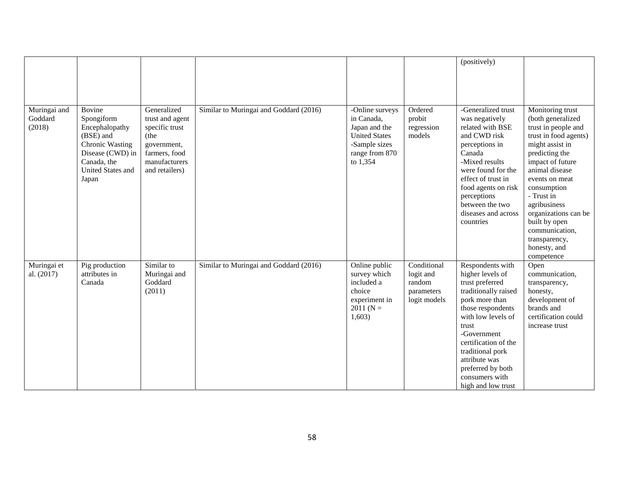|                                   |                                                                                                           |                                                                                                           |                                        |                                                                                                                       |                                                                  | (positively)                                                                                                                                                                                                                                                                                   |                                                                                                                                                                                                             |
|-----------------------------------|-----------------------------------------------------------------------------------------------------------|-----------------------------------------------------------------------------------------------------------|----------------------------------------|-----------------------------------------------------------------------------------------------------------------------|------------------------------------------------------------------|------------------------------------------------------------------------------------------------------------------------------------------------------------------------------------------------------------------------------------------------------------------------------------------------|-------------------------------------------------------------------------------------------------------------------------------------------------------------------------------------------------------------|
| Muringai and<br>Goddard<br>(2018) | Bovine<br>Spongiform<br>Encephalopathy<br>(BSE) and<br>Chronic Wasting<br>Disease (CWD) in<br>Canada, the | Generalized<br>trust and agent<br>specific trust<br>(the<br>government,<br>farmers, food<br>manufacturers | Similar to Muringai and Goddard (2016) | -Online surveys<br>in Canada,<br>Japan and the<br><b>United States</b><br>-Sample sizes<br>range from 870<br>to 1,354 | Ordered<br>probit<br>regression<br>models                        | -Generalized trust<br>was negatively<br>related with BSE<br>and CWD risk<br>perceptions in<br>Canada<br>-Mixed results                                                                                                                                                                         | Monitoring trust<br>(both generalized<br>trust in people and<br>trust in food agents)<br>might assist in<br>predicting the                                                                                  |
|                                   | United States and<br>Japan                                                                                | and retailers)                                                                                            |                                        |                                                                                                                       |                                                                  | were found for the<br>effect of trust in<br>food agents on risk<br>perceptions<br>between the two<br>diseases and across<br>countries                                                                                                                                                          | impact of future<br>animal disease<br>events on meat<br>consumption<br>- Trust in<br>agribusiness<br>organizations can be<br>built by open<br>communication,<br>transparency,<br>honesty, and<br>competence |
| Muringai et<br>al. (2017)         | Pig production<br>attributes in<br>Canada                                                                 | Similar to<br>Muringai and<br>Goddard<br>(2011)                                                           | Similar to Muringai and Goddard (2016) | Online public<br>survey which<br>included a<br>choice<br>experiment in<br>$2011(N =$<br>1,603)                        | Conditional<br>logit and<br>random<br>parameters<br>logit models | Respondents with<br>higher levels of<br>trust preferred<br>traditionally raised<br>pork more than<br>those respondents<br>with low levels of<br>trust<br>-Government<br>certification of the<br>traditional pork<br>attribute was<br>preferred by both<br>consumers with<br>high and low trust | Open<br>communication,<br>transparency,<br>honesty,<br>development of<br>brands and<br>certification could<br>increase trust                                                                                |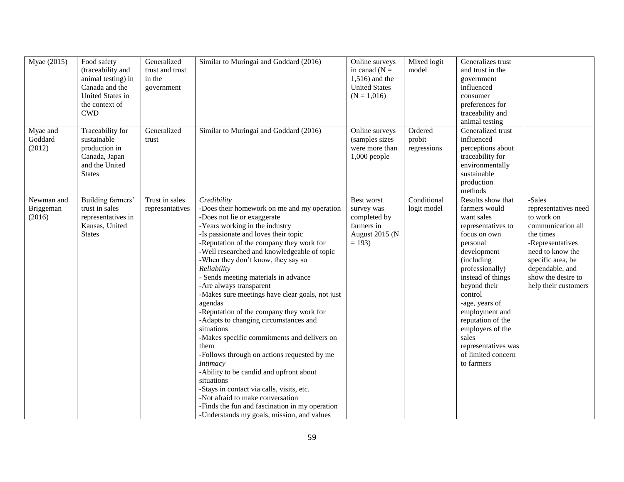| Myae (2015)                       | Food safety<br>(traceability and<br>animal testing) in<br>Canada and the<br>United States in<br>the context of<br><b>CWD</b> | Generalized<br>trust and trust<br>in the<br>government | Similar to Muringai and Goddard (2016)                                                                                                                                                                                                                                                                                                                                                                                                                                                                                                                                                                                                                                                                                                                                                                                                                                                                                     | Online surveys<br>in canad $(N =$<br>$1,516$ ) and the<br><b>United States</b><br>$(N = 1,016)$ | Mixed logit<br>model             | Generalizes trust<br>and trust in the<br>government<br>influenced<br>consumer<br>preferences for<br>traceability and<br>animal testing                                                                                                                                                                                                              |                                                                                                                                                                                                              |
|-----------------------------------|------------------------------------------------------------------------------------------------------------------------------|--------------------------------------------------------|----------------------------------------------------------------------------------------------------------------------------------------------------------------------------------------------------------------------------------------------------------------------------------------------------------------------------------------------------------------------------------------------------------------------------------------------------------------------------------------------------------------------------------------------------------------------------------------------------------------------------------------------------------------------------------------------------------------------------------------------------------------------------------------------------------------------------------------------------------------------------------------------------------------------------|-------------------------------------------------------------------------------------------------|----------------------------------|-----------------------------------------------------------------------------------------------------------------------------------------------------------------------------------------------------------------------------------------------------------------------------------------------------------------------------------------------------|--------------------------------------------------------------------------------------------------------------------------------------------------------------------------------------------------------------|
| Myae and<br>Goddard<br>(2012)     | Traceability for<br>sustainable<br>production in<br>Canada, Japan<br>and the United<br><b>States</b>                         | Generalized<br>trust                                   | Similar to Muringai and Goddard (2016)                                                                                                                                                                                                                                                                                                                                                                                                                                                                                                                                                                                                                                                                                                                                                                                                                                                                                     | Online surveys<br>(samples sizes<br>were more than<br>$1,000$ people                            | Ordered<br>probit<br>regressions | Generalized trust<br>influenced<br>perceptions about<br>traceability for<br>environmentally<br>sustainable<br>production<br>methods                                                                                                                                                                                                                 |                                                                                                                                                                                                              |
| Newman and<br>Briggeman<br>(2016) | Building farmers'<br>trust in sales<br>representatives in<br>Kansas, United<br><b>States</b>                                 | Trust in sales<br>represantatives                      | Credibility<br>-Does their homework on me and my operation<br>-Does not lie or exaggerate<br>-Years working in the industry<br>-Is passionate and loves their topic<br>-Reputation of the company they work for<br>-Well researched and knowledgeable of topic<br>-When they don't know, they say so<br>Reliability<br>- Sends meeting materials in advance<br>-Are always transparent<br>-Makes sure meetings have clear goals, not just<br>agendas<br>-Reputation of the company they work for<br>-Adapts to changing circumstances and<br>situations<br>-Makes specific commitments and delivers on<br>them<br>-Follows through on actions requested by me<br><b>Intimacy</b><br>-Ability to be candid and upfront about<br>situations<br>-Stays in contact via calls, visits, etc.<br>-Not afraid to make conversation<br>-Finds the fun and fascination in my operation<br>-Understands my goals, mission, and values | Best worst<br>survey was<br>completed by<br>farmers in<br>August 2015 (N<br>$= 193$             | Conditional<br>logit model       | Results show that<br>farmers would<br>want sales<br>representatives to<br>focus on own<br>personal<br>development<br>(including<br>professionally)<br>instead of things<br>beyond their<br>control<br>-age, years of<br>employment and<br>reputation of the<br>employers of the<br>sales<br>representatives was<br>of limited concern<br>to farmers | -Sales<br>representatives need<br>to work on<br>communication all<br>the times<br>-Representatives<br>need to know the<br>specific area, be<br>dependable, and<br>show the desire to<br>help their customers |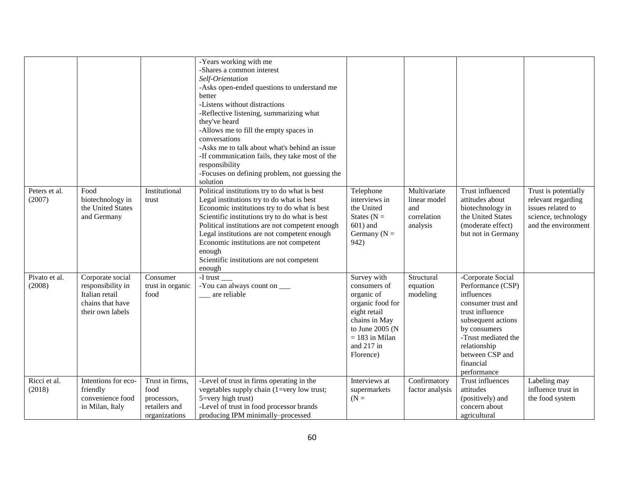|                         |                                                                                                 |                                                                          | -Years working with me<br>-Shares a common interest<br>Self-Orientation<br>-Asks open-ended questions to understand me<br>better<br>-Listens without distractions<br>-Reflective listening, summarizing what<br>they've heard<br>-Allows me to fill the empty spaces in<br>conversations<br>-Asks me to talk about what's behind an issue<br>-If communication fails, they take most of the<br>responsibility<br>-Focuses on defining problem, not guessing the<br>solution |                                                                                                                                                                  |                                                                |                                                                                                                                                                                                                           |                                                                                                               |
|-------------------------|-------------------------------------------------------------------------------------------------|--------------------------------------------------------------------------|-----------------------------------------------------------------------------------------------------------------------------------------------------------------------------------------------------------------------------------------------------------------------------------------------------------------------------------------------------------------------------------------------------------------------------------------------------------------------------|------------------------------------------------------------------------------------------------------------------------------------------------------------------|----------------------------------------------------------------|---------------------------------------------------------------------------------------------------------------------------------------------------------------------------------------------------------------------------|---------------------------------------------------------------------------------------------------------------|
| Peters et al.<br>(2007) | Food<br>biotechnology in<br>the United States<br>and Germany                                    | Institutional<br>trust                                                   | Political institutions try to do what is best<br>Legal institutions try to do what is best<br>Economic institutions try to do what is best<br>Scientific institutions try to do what is best<br>Political institutions are not competent enough<br>Legal institutions are not competent enough<br>Economic institutions are not competent<br>enough<br>Scientific institutions are not competent<br>enough                                                                  | Telephone<br>interviews in<br>the United<br>States ( $N =$<br>$601$ ) and<br>Germany ( $N =$<br>942)                                                             | Multivariate<br>linear model<br>and<br>correlation<br>analysis | Trust influenced<br>attitudes about<br>biotechnology in<br>the United States<br>(moderate effect)<br>but not in Germany                                                                                                   | Trust is potentially<br>relevant regarding<br>issues related to<br>science, technology<br>and the environment |
| Pivato et al.<br>(2008) | Corporate social<br>responsibility in<br>Italian retail<br>chains that have<br>their own labels | Consumer<br>trust in organic<br>food                                     | -I trust<br>-You can always count on ____<br>are reliable                                                                                                                                                                                                                                                                                                                                                                                                                   | Survey with<br>consumers of<br>organic of<br>organic food for<br>eight retail<br>chains in May<br>to June 2005 (N<br>$= 183$ in Milan<br>and 217 in<br>Florence) | Structural<br>equation<br>modeling                             | -Corporate Social<br>Performance (CSP)<br>influences<br>consumer trust and<br>trust influence<br>subsequent actions<br>by consumers<br>-Trust mediated the<br>relationship<br>between CSP and<br>financial<br>performance |                                                                                                               |
| Ricci et al.<br>(2018)  | Intentions for eco-<br>friendly<br>convenience food<br>in Milan, Italy                          | Trust in firms,<br>food<br>processors,<br>retailers and<br>organizations | -Level of trust in firms operating in the<br>vegetables supply chain (1=very low trust;<br>$5 = \text{very high trust}$<br>-Level of trust in food processor brands<br>producing IPM minimally-processed                                                                                                                                                                                                                                                                    | Interviews at<br>supermarkets<br>$(N =$                                                                                                                          | Confirmatory<br>factor analysis                                | Trust influences<br>attitudes<br>(positively) and<br>concern about<br>agricultural                                                                                                                                        | Labeling may<br>influence trust in<br>the food system                                                         |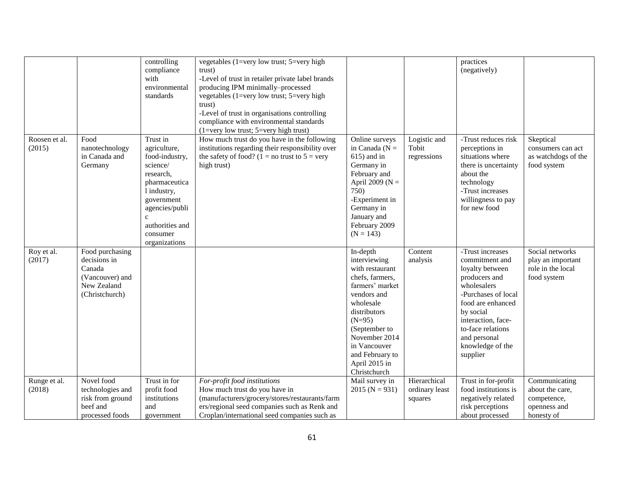|                         |                                                                                               | controlling<br>compliance<br>with<br>environmental<br>standards                                                                                                                                     | vegetables (1=very low trust; $5=$ very high<br>trust)<br>-Level of trust in retailer private label brands<br>producing IPM minimally-processed<br>vegetables (1=very low trust; 5=very high<br>trust)<br>-Level of trust in organisations controlling<br>compliance with environmental standards<br>$(1=very low trust; 5=very high trust)$ |                                                                                                                                                                                                                                                 |                                           | practices<br>(negatively)                                                                                                                                                                                                                 |                                                                               |
|-------------------------|-----------------------------------------------------------------------------------------------|-----------------------------------------------------------------------------------------------------------------------------------------------------------------------------------------------------|----------------------------------------------------------------------------------------------------------------------------------------------------------------------------------------------------------------------------------------------------------------------------------------------------------------------------------------------|-------------------------------------------------------------------------------------------------------------------------------------------------------------------------------------------------------------------------------------------------|-------------------------------------------|-------------------------------------------------------------------------------------------------------------------------------------------------------------------------------------------------------------------------------------------|-------------------------------------------------------------------------------|
| Roosen et al.<br>(2015) | Food<br>nanotechnology<br>in Canada and<br>Germany                                            | Trust in<br>agriculture,<br>food-industry,<br>science/<br>research,<br>pharmaceutica<br>1 industry,<br>government<br>agencies/publi<br>$\mathbf{c}$<br>authorities and<br>consumer<br>organizations | How much trust do you have in the following<br>institutions regarding their responsibility over<br>the safety of food? (1 = no trust to $5 = \text{very}$ )<br>high trust)                                                                                                                                                                   | Online surveys<br>in Canada ( $N =$<br>$615$ ) and in<br>Germany in<br>February and<br>April 2009 ( $N =$<br>750)<br>-Experiment in<br>Germany in<br>January and<br>February 2009<br>$(N = 143)$                                                | Logistic and<br>Tobit<br>regressions      | -Trust reduces risk<br>perceptions in<br>situations where<br>there is uncertainty<br>about the<br>technology<br>-Trust increases<br>willingness to pay<br>for new food                                                                    | Skeptical<br>consumers can act<br>as watchdogs of the<br>food system          |
| Roy et al.<br>(2017)    | Food purchasing<br>decisions in<br>Canada<br>(Vancouver) and<br>New Zealand<br>(Christchurch) |                                                                                                                                                                                                     |                                                                                                                                                                                                                                                                                                                                              | In-depth<br>interviewing<br>with restaurant<br>chefs, farmers,<br>farmers' market<br>vendors and<br>wholesale<br>distributors<br>$(N=95)$<br>(September to<br>November 2014<br>in Vancouver<br>and February to<br>April 2015 in<br>Christchurch | Content<br>analysis                       | -Trust increases<br>commitment and<br>loyalty between<br>producers and<br>wholesalers<br>-Purchases of local<br>food are enhanced<br>by social<br>interaction, face-<br>to-face relations<br>and personal<br>knowledge of the<br>supplier | Social networks<br>play an important<br>role in the local<br>food system      |
| Runge et al.<br>(2018)  | Novel food<br>technologies and<br>risk from ground<br>beef and<br>processed foods             | Trust in for<br>profit food<br>institutions<br>and<br>government                                                                                                                                    | For-profit food institutions<br>How much trust do you have in<br>(manufacturers/grocery/stores/restaurants/farm<br>ers/regional seed companies such as Renk and<br>Croplan/international seed companies such as                                                                                                                              | Mail survey in<br>$2015 (N = 931)$                                                                                                                                                                                                              | Hierarchical<br>ordinary least<br>squares | Trust in for-profit<br>food institutions is<br>negatively related<br>risk perceptions<br>about processed                                                                                                                                  | Communicating<br>about the care,<br>competence,<br>openness and<br>honesty of |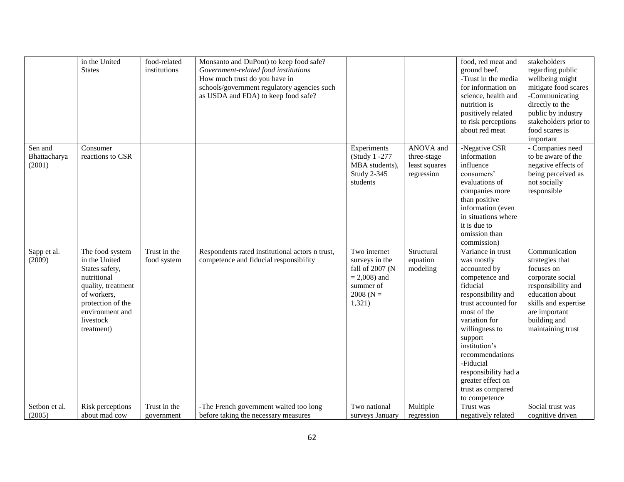| about red meat                                                                                                                                                                                                                                                                                                                                                                                                                                                                                                                                                                                                                                                                                                                                                                                                     | food scares is<br>important                                                                                                                                                               |
|--------------------------------------------------------------------------------------------------------------------------------------------------------------------------------------------------------------------------------------------------------------------------------------------------------------------------------------------------------------------------------------------------------------------------------------------------------------------------------------------------------------------------------------------------------------------------------------------------------------------------------------------------------------------------------------------------------------------------------------------------------------------------------------------------------------------|-------------------------------------------------------------------------------------------------------------------------------------------------------------------------------------------|
| ANOVA and<br>Sen and<br>-Negative CSR<br>Consumer<br>Experiments<br>reactions to CSR<br>information<br>Bhattacharya<br>(Study 1 -277<br>three-stage<br>(2001)<br>influence<br>MBA students),<br>least squares<br>Study 2-345<br>consumers'<br>regression<br>students<br>evaluations of<br>companies more<br>than positive<br>information (even<br>in situations where<br>it is due to<br>omission than<br>commission)                                                                                                                                                                                                                                                                                                                                                                                              | - Companies need<br>to be aware of the<br>negative effects of<br>being perceived as<br>not socially<br>responsible                                                                        |
| Trust in the<br>The food system<br>Respondents rated institutional actors n trust,<br>Two internet<br>Structural<br>Sapp et al.<br>Variance in trust<br>(2009)<br>in the United<br>equation<br>food system<br>competence and fiducial responsibility<br>surveys in the<br>was mostly<br>States safety,<br>fall of 2007 (N<br>modeling<br>accounted by<br>nutritional<br>$= 2,008$ ) and<br>competence and<br>fiducial<br>quality, treatment<br>summer of<br>of workers,<br>2008 ( $N =$<br>responsibility and<br>trust accounted for<br>protection of the<br>1,321)<br>environment and<br>most of the<br>livestock<br>variation for<br>willingness to<br>treatment)<br>support<br>institution's<br>recommendations<br>-Fiducial<br>responsibility had a<br>greater effect on<br>trust as compared<br>to competence | Communication<br>strategies that<br>focuses on<br>corporate social<br>responsibility and<br>education about<br>skills and expertise<br>are important<br>building and<br>maintaining trust |
| Multiple<br>Setbon et al.<br>Risk perceptions<br>Trust in the<br>-The French government waited too long<br>Two national<br>Trust was<br>(2005)<br>about mad cow<br>before taking the necessary measures<br>surveys January<br>regression<br>negatively related<br>government                                                                                                                                                                                                                                                                                                                                                                                                                                                                                                                                       | Social trust was<br>cognitive driven                                                                                                                                                      |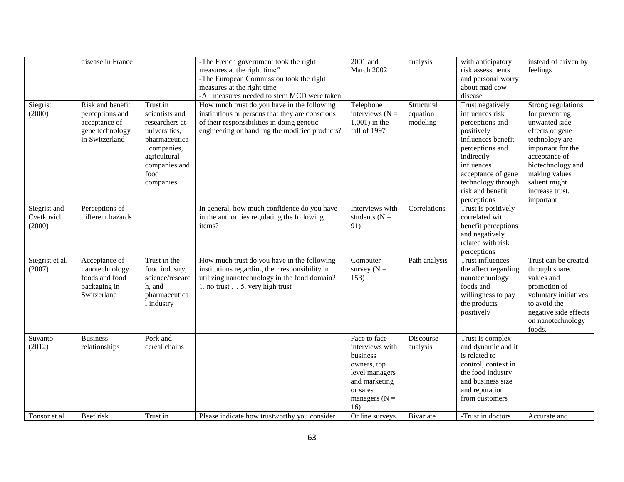|                                      | disease in France                                                                         |                                                                                                                                                      | -The French government took the right<br>measures at the right time"<br>-The European Commission took the right<br>measures at the right time<br>-All measures needed to stem MCD were taken   | 2001 and<br>March 2002                                                                                                              | analysis                           | with anticipatory<br>risk assessments<br>and personal worry<br>about mad cow<br>disease                                                                                                                                  | instead of driven by<br>feelings                                                                                                                                                                                        |
|--------------------------------------|-------------------------------------------------------------------------------------------|------------------------------------------------------------------------------------------------------------------------------------------------------|------------------------------------------------------------------------------------------------------------------------------------------------------------------------------------------------|-------------------------------------------------------------------------------------------------------------------------------------|------------------------------------|--------------------------------------------------------------------------------------------------------------------------------------------------------------------------------------------------------------------------|-------------------------------------------------------------------------------------------------------------------------------------------------------------------------------------------------------------------------|
| Siegrist<br>(2000)                   | Risk and benefit<br>perceptions and<br>acceptance of<br>gene technology<br>in Switzerland | Trust in<br>scientists and<br>researchers at<br>universities,<br>pharmaceutica<br>1 companies,<br>agricultural<br>companies and<br>food<br>companies | How much trust do you have in the following<br>institutions or persons that they are conscious<br>of their responsibilities in doing genetic<br>engineering or handling the modified products? | Telephone<br>interviews $(N =$<br>$1,001$ ) in the<br>fall of 1997                                                                  | Structural<br>equation<br>modeling | Trust negatively<br>influences risk<br>perceptions and<br>positively<br>influences benefit<br>perceptions and<br>indirectly<br>influences<br>acceptance of gene<br>technology through<br>risk and benefit<br>perceptions | Strong regulations<br>for preventing<br>unwanted side<br>effects of gene<br>technology are<br>important for the<br>acceptance of<br>biotechnology and<br>making values<br>salient might<br>increase trust.<br>important |
| Siegrist and<br>Cvetkovich<br>(2000) | Perceptions of<br>different hazards                                                       |                                                                                                                                                      | In general, how much confidence do you have<br>in the authorities regulating the following<br>items?                                                                                           | Interviews with<br>students ( $N =$<br>91)                                                                                          | Correlations                       | Trust is positively<br>correlated with<br>benefit perceptions<br>and negatively<br>related with risk<br>perceptions                                                                                                      |                                                                                                                                                                                                                         |
| Siegrist et al.<br>(2007)            | Acceptance of<br>nanotechnology<br>foods and food<br>packaging in<br>Switzerland          | Trust in the<br>food industry,<br>science/researc<br>h, and<br>pharmaceutica<br>1 industry                                                           | How much trust do you have in the following<br>institutions regarding their responsibility in<br>utilizing nanotechnology in the food domain?<br>1. no trust  5. very high trust               | Computer<br>survey $(N =$<br>153)                                                                                                   | Path analysis                      | Trust influences<br>the affect regarding<br>nanotechnology<br>foods and<br>willingness to pay<br>the products<br>positively                                                                                              | Trust can be created<br>through shared<br>values and<br>promotion of<br>voluntary initiatives<br>to avoid the<br>negative side effects<br>on nanotechnology<br>foods.                                                   |
| Suvanto<br>(2012)                    | <b>Business</b><br>relationships                                                          | Pork and<br>cereal chains                                                                                                                            |                                                                                                                                                                                                | Face to face<br>interviews with<br>business<br>owners, top<br>level managers<br>and marketing<br>or sales<br>managers $(N =$<br>16) | Discourse<br>analysis              | Trust is complex<br>and dynamic and it<br>is related to<br>control, context in<br>the food industry<br>and business size<br>and reputation<br>from customers                                                             |                                                                                                                                                                                                                         |
| Tonsor et al.                        | Beef risk                                                                                 | Trust in                                                                                                                                             | Please indicate how trustworthy you consider                                                                                                                                                   | Online surveys                                                                                                                      | Bivariate                          | -Trust in doctors                                                                                                                                                                                                        | Accurate and                                                                                                                                                                                                            |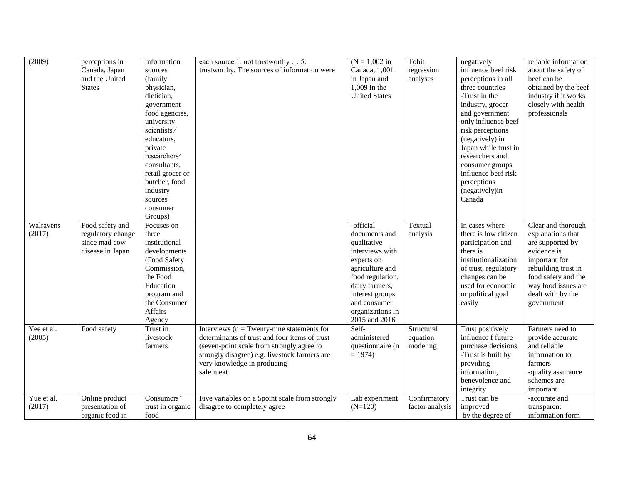| (2009)               | perceptions in<br>Canada, Japan<br>and the United<br><b>States</b>        | information<br>sources<br>(family)<br>physician,<br>dietician,<br>government<br>food agencies,<br>university<br>scientists/<br>educators,<br>private<br>researchers/<br>consultants,<br>retail grocer or<br>butcher, food<br>industry<br>sources<br>consumer<br>Groups) | each source.1. not trustworthy  5.<br>trustworthy. The sources of information were                                                                                                                                                       | $(N = 1,002)$ in<br>Canada, 1,001<br>in Japan and<br>$1,009$ in the<br><b>United States</b>                                                                                                                 | Tobit<br>regression<br>analyses    | negatively<br>influence beef risk<br>perceptions in all<br>three countries<br>-Trust in the<br>industry, grocer<br>and government<br>only influence beef<br>risk perceptions<br>(negatively) in<br>Japan while trust in<br>researchers and<br>consumer groups<br>influence beef risk<br>perceptions<br>(negatively)in<br>Canada | reliable information<br>about the safety of<br>beef can be<br>obtained by the beef<br>industry if it works<br>closely with health<br>professionals                                                  |
|----------------------|---------------------------------------------------------------------------|-------------------------------------------------------------------------------------------------------------------------------------------------------------------------------------------------------------------------------------------------------------------------|------------------------------------------------------------------------------------------------------------------------------------------------------------------------------------------------------------------------------------------|-------------------------------------------------------------------------------------------------------------------------------------------------------------------------------------------------------------|------------------------------------|---------------------------------------------------------------------------------------------------------------------------------------------------------------------------------------------------------------------------------------------------------------------------------------------------------------------------------|-----------------------------------------------------------------------------------------------------------------------------------------------------------------------------------------------------|
| Walravens<br>(2017)  | Food safety and<br>regulatory change<br>since mad cow<br>disease in Japan | Focuses on<br>three<br>institutional<br>developments<br>(Food Safety<br>Commission,<br>the Food<br>Education<br>program and<br>the Consumer<br>Affairs<br>Agency                                                                                                        |                                                                                                                                                                                                                                          | -official<br>documents and<br>qualitative<br>interviews with<br>experts on<br>agriculture and<br>food regulation,<br>dairy farmers,<br>interest groups<br>and consumer<br>organizations in<br>2015 and 2016 | Textual<br>analysis                | In cases where<br>there is low citizen<br>participation and<br>there is<br>institutionalization<br>of trust, regulatory<br>changes can be<br>used for economic<br>or political goal<br>easily                                                                                                                                   | Clear and thorough<br>explanations that<br>are supported by<br>evidence is<br>important for<br>rebuilding trust in<br>food safety and the<br>way food issues ate<br>dealt with by the<br>government |
| Yee et al.<br>(2005) | Food safety                                                               | Trust in<br>livestock<br>farmers                                                                                                                                                                                                                                        | Interviews ( $n =$ Twenty-nine statements for<br>determinants of trust and four items of trust<br>(seven-point scale from strongly agree to<br>strongly disagree) e.g. livestock farmers are<br>very knowledge in producing<br>safe meat | Self-<br>administered<br>questionnaire (n<br>$= 1974$                                                                                                                                                       | Structural<br>equation<br>modeling | Trust positively<br>influence f future<br>purchase decisions<br>-Trust is built by<br>providing<br>information,<br>benevolence and<br>integrity                                                                                                                                                                                 | Farmers need to<br>provide accurate<br>and reliable<br>information to<br>farmers<br>-quality assurance<br>schemes are<br>important                                                                  |
| Yue et al.<br>(2017) | Online product<br>presentation of<br>organic food in                      | Consumers'<br>trust in organic<br>food                                                                                                                                                                                                                                  | Five variables on a 5point scale from strongly<br>disagree to completely agree                                                                                                                                                           | Lab experiment<br>$(N=120)$                                                                                                                                                                                 | Confirmatory<br>factor analysis    | Trust can be<br>improved<br>by the degree of                                                                                                                                                                                                                                                                                    | -accurate and<br>transparent<br>information form                                                                                                                                                    |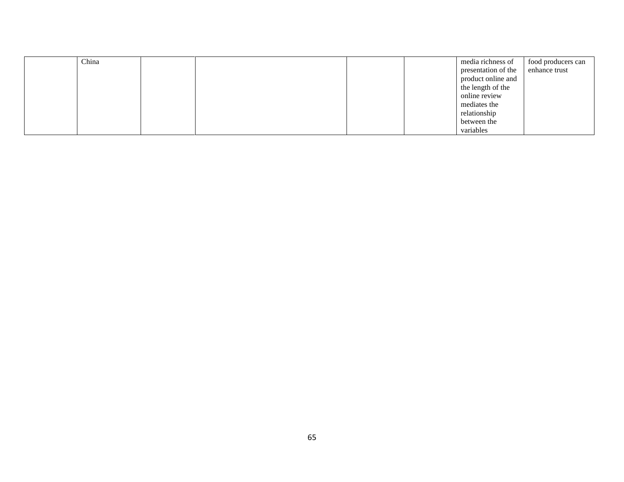| China |  |  | media richness of   | food producers can |
|-------|--|--|---------------------|--------------------|
|       |  |  | presentation of the | enhance trust      |
|       |  |  | product online and  |                    |
|       |  |  | the length of the   |                    |
|       |  |  | online review       |                    |
|       |  |  | mediates the        |                    |
|       |  |  | relationship        |                    |
|       |  |  | between the         |                    |
|       |  |  | variables           |                    |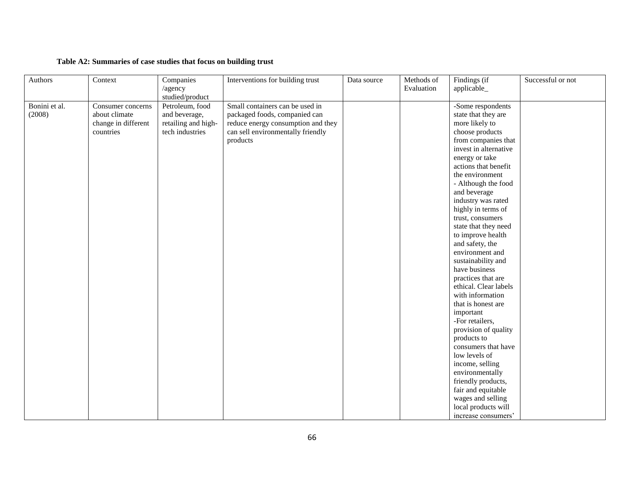## **Table A2: Summaries of case studies that focus on building trust**

| Authors                 | Context                                                                | Companies<br>/agency<br>studied/product                                    | Interventions for building trust                                                                                                                        | Data source | Methods of<br>Evaluation | Findings (if<br>applicable_                                                                                                                                                                                                                                                                                                                                                                                                                                                                                                                                                                                                                                                                                                                                       | Successful or not |
|-------------------------|------------------------------------------------------------------------|----------------------------------------------------------------------------|---------------------------------------------------------------------------------------------------------------------------------------------------------|-------------|--------------------------|-------------------------------------------------------------------------------------------------------------------------------------------------------------------------------------------------------------------------------------------------------------------------------------------------------------------------------------------------------------------------------------------------------------------------------------------------------------------------------------------------------------------------------------------------------------------------------------------------------------------------------------------------------------------------------------------------------------------------------------------------------------------|-------------------|
| Bonini et al.<br>(2008) | Consumer concerns<br>about climate<br>change in different<br>countries | Petroleum, food<br>and beverage,<br>retailing and high-<br>tech industries | Small containers can be used in<br>packaged foods, companied can<br>reduce energy consumption and they<br>can sell environmentally friendly<br>products |             |                          | -Some respondents<br>state that they are<br>more likely to<br>choose products<br>from companies that<br>invest in alternative<br>energy or take<br>actions that benefit<br>the environment<br>- Although the food<br>and beverage<br>industry was rated<br>highly in terms of<br>trust, consumers<br>state that they need<br>to improve health<br>and safety, the<br>environment and<br>sustainability and<br>have business<br>practices that are<br>ethical. Clear labels<br>with information<br>that is honest are<br>important<br>-For retailers,<br>provision of quality<br>products to<br>consumers that have<br>low levels of<br>income, selling<br>environmentally<br>friendly products,<br>fair and equitable<br>wages and selling<br>local products will |                   |
|                         |                                                                        |                                                                            |                                                                                                                                                         |             |                          | increase consumers'                                                                                                                                                                                                                                                                                                                                                                                                                                                                                                                                                                                                                                                                                                                                               |                   |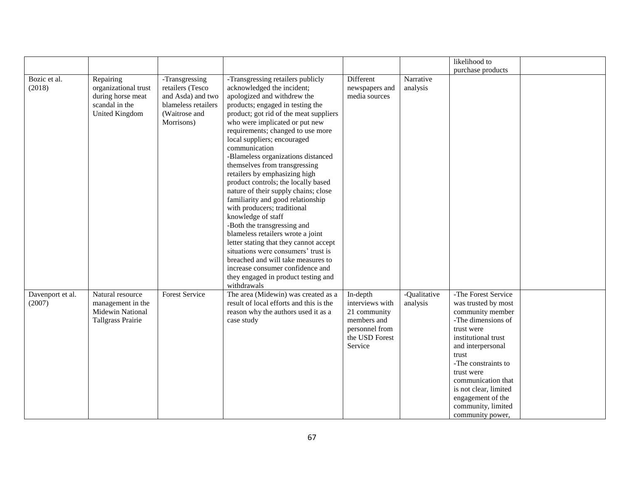|                            |                                                                                                   |                                                                                                               |                                                                                                                                                                                                                                                                                                                                                                                                                                                                                                                                                                                                                                                                                                                                                                                                                                                                           |                                                                                                           |                          | likelihood to                                                                                                                                                                                                                                                                                              |
|----------------------------|---------------------------------------------------------------------------------------------------|---------------------------------------------------------------------------------------------------------------|---------------------------------------------------------------------------------------------------------------------------------------------------------------------------------------------------------------------------------------------------------------------------------------------------------------------------------------------------------------------------------------------------------------------------------------------------------------------------------------------------------------------------------------------------------------------------------------------------------------------------------------------------------------------------------------------------------------------------------------------------------------------------------------------------------------------------------------------------------------------------|-----------------------------------------------------------------------------------------------------------|--------------------------|------------------------------------------------------------------------------------------------------------------------------------------------------------------------------------------------------------------------------------------------------------------------------------------------------------|
|                            |                                                                                                   |                                                                                                               |                                                                                                                                                                                                                                                                                                                                                                                                                                                                                                                                                                                                                                                                                                                                                                                                                                                                           |                                                                                                           |                          | purchase products                                                                                                                                                                                                                                                                                          |
| Bozic et al.<br>(2018)     | Repairing<br>organizational trust<br>during horse meat<br>scandal in the<br><b>United Kingdom</b> | -Transgressing<br>retailers (Tesco<br>and Asda) and two<br>blameless retailers<br>(Waitrose and<br>Morrisons) | -Transgressing retailers publicly<br>acknowledged the incident;<br>apologized and withdrew the<br>products; engaged in testing the<br>product; got rid of the meat suppliers<br>who were implicated or put new<br>requirements; changed to use more<br>local suppliers; encouraged<br>communication<br>-Blameless organizations distanced<br>themselves from transgressing<br>retailers by emphasizing high<br>product controls; the locally based<br>nature of their supply chains; close<br>familiarity and good relationship<br>with producers; traditional<br>knowledge of staff<br>-Both the transgressing and<br>blameless retailers wrote a joint<br>letter stating that they cannot accept<br>situations were consumers' trust is<br>breached and will take measures to<br>increase consumer confidence and<br>they engaged in product testing and<br>withdrawals | Different<br>newspapers and<br>media sources                                                              | Narrative<br>analysis    |                                                                                                                                                                                                                                                                                                            |
| Davenport et al.<br>(2007) | Natural resource<br>management in the<br>Midewin National<br>Tallgrass Prairie                    | <b>Forest Service</b>                                                                                         | The area (Midewin) was created as a<br>result of local efforts and this is the<br>reason why the authors used it as a<br>case study                                                                                                                                                                                                                                                                                                                                                                                                                                                                                                                                                                                                                                                                                                                                       | In-depth<br>interviews with<br>21 community<br>members and<br>personnel from<br>the USD Forest<br>Service | -Qualitative<br>analysis | -The Forest Service<br>was trusted by most<br>community member<br>-The dimensions of<br>trust were<br>institutional trust<br>and interpersonal<br>trust<br>-The constraints to<br>trust were<br>communication that<br>is not clear, limited<br>engagement of the<br>community, limited<br>community power, |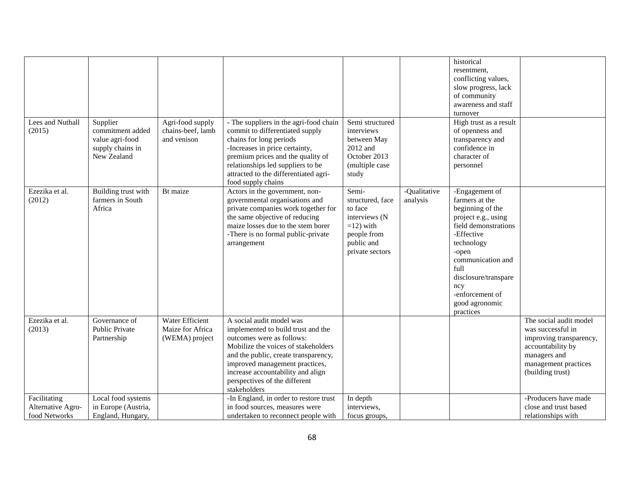| Lees and Nuthall<br>(2015)                         | Supplier<br>commitment added<br>value agri-food<br>supply chains in<br>New Zealand | Agri-food supply<br>chains-beef, lamb<br>and venison         | - The suppliers in the agri-food chain<br>commit to differentiated supply<br>chains for long periods<br>-Increases in price certainty,<br>premium prices and the quality of<br>relationships led suppliers to be<br>attracted to the differentiated agri-                                          | Semi structured<br>interviews<br>between May<br>2012 and<br>October 2013<br>(multiple case<br>study                   |                          | historical<br>resentment.<br>conflicting values,<br>slow progress, lack<br>of community<br>awareness and staff<br>turnover<br>High trust as a result<br>of openness and<br>transparency and<br>confidence in<br>character of<br>personnel              |                                                                                                                                                         |
|----------------------------------------------------|------------------------------------------------------------------------------------|--------------------------------------------------------------|----------------------------------------------------------------------------------------------------------------------------------------------------------------------------------------------------------------------------------------------------------------------------------------------------|-----------------------------------------------------------------------------------------------------------------------|--------------------------|--------------------------------------------------------------------------------------------------------------------------------------------------------------------------------------------------------------------------------------------------------|---------------------------------------------------------------------------------------------------------------------------------------------------------|
| Ezezika et al.<br>(2012)                           | Building trust with<br>farmers in South<br>Africa                                  | Bt maize                                                     | food supply chains<br>Actors in the government, non-<br>governmental organisations and<br>private companies work together for<br>the same objective of reducing<br>maize losses due to the stem borer<br>-There is no formal public-private<br>arrangement                                         | Semi-<br>structured, face<br>to face<br>interviews (N<br>$=12$ ) with<br>people from<br>public and<br>private sectors | -Qualitative<br>analysis | -Engagement of<br>farmers at the<br>beginning of the<br>project e.g., using<br>field demonstrations<br>-Effective<br>technology<br>-open<br>communication and<br>full<br>disclosure/transpare<br>ncy<br>-enforcement of<br>good agronomic<br>practices |                                                                                                                                                         |
| Ezezika et al.<br>(2013)                           | Governance of<br><b>Public Private</b><br>Partnership                              | <b>Water Efficient</b><br>Maize for Africa<br>(WEMA) project | A social audit model was<br>implemented to build trust and the<br>outcomes were as follows:<br>Mobilize the voices of stakeholders<br>and the public, create transparency,<br>improved management practices,<br>increase accountability and align<br>perspectives of the different<br>stakeholders |                                                                                                                       |                          |                                                                                                                                                                                                                                                        | The social audit model<br>was successful in<br>improving transparency,<br>accountability by<br>managers and<br>management practices<br>(building trust) |
| Facilitating<br>Alternative Agro-<br>food Networks | Local food systems<br>in Europe (Austria,<br>England, Hungary,                     |                                                              | -In England, in order to restore trust<br>in food sources, measures were<br>undertaken to reconnect people with                                                                                                                                                                                    | In depth<br>interviews,<br>focus groups.                                                                              |                          |                                                                                                                                                                                                                                                        | -Producers have made<br>close and trust based<br>relationships with                                                                                     |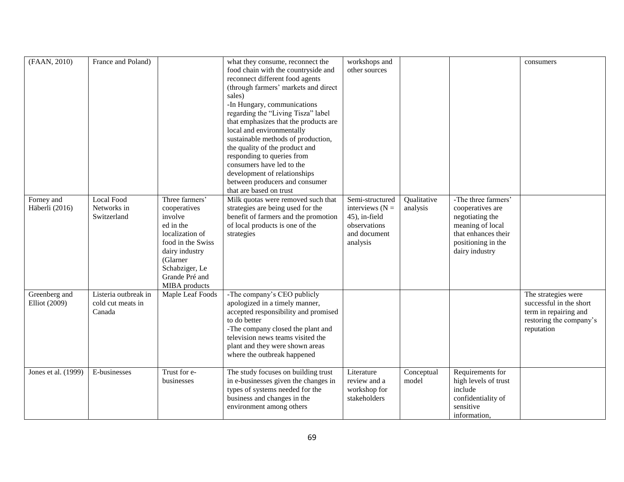| (FAAN, 2010)                   | France and Poland)                                  |                                                                                                                                                                                   | what they consume, reconnect the<br>food chain with the countryside and<br>reconnect different food agents<br>(through farmers' markets and direct<br>sales)<br>-In Hungary, communications<br>regarding the "Living Tisza" label<br>that emphasizes that the products are<br>local and environmentally<br>sustainable methods of production,<br>the quality of the product and<br>responding to queries from<br>consumers have led to the<br>development of relationships<br>between producers and consumer<br>that are based on trust | workshops and<br>other sources                                                                    |                         |                                                                                                                                               | consumers                                                                                                        |
|--------------------------------|-----------------------------------------------------|-----------------------------------------------------------------------------------------------------------------------------------------------------------------------------------|-----------------------------------------------------------------------------------------------------------------------------------------------------------------------------------------------------------------------------------------------------------------------------------------------------------------------------------------------------------------------------------------------------------------------------------------------------------------------------------------------------------------------------------------|---------------------------------------------------------------------------------------------------|-------------------------|-----------------------------------------------------------------------------------------------------------------------------------------------|------------------------------------------------------------------------------------------------------------------|
| Forney and<br>Häberli (2016)   | <b>Local Food</b><br>Networks in<br>Switzerland     | Three farmers'<br>cooperatives<br>involve<br>ed in the<br>localization of<br>food in the Swiss<br>dairy industry<br>(Glarner<br>Schabziger, Le<br>Grande Pré and<br>MIBA products | Milk quotas were removed such that<br>strategies are being used for the<br>benefit of farmers and the promotion<br>of local products is one of the<br>strategies                                                                                                                                                                                                                                                                                                                                                                        | Semi-structured<br>interviews $(N =$<br>45), in-field<br>observations<br>and document<br>analysis | Qualitative<br>analysis | -The three farmers'<br>cooperatives are<br>negotiating the<br>meaning of local<br>that enhances their<br>positioning in the<br>dairy industry |                                                                                                                  |
| Greenberg and<br>Elliot (2009) | Listeria outbreak in<br>cold cut meats in<br>Canada | Maple Leaf Foods                                                                                                                                                                  | -The company's CEO publicly<br>apologized in a timely manner,<br>accepted responsibility and promised<br>to do better<br>-The company closed the plant and<br>television news teams visited the<br>plant and they were shown areas<br>where the outbreak happened                                                                                                                                                                                                                                                                       |                                                                                                   |                         |                                                                                                                                               | The strategies were<br>successful in the short<br>term in repairing and<br>restoring the company's<br>reputation |
| Jones et al. (1999)            | E-businesses                                        | Trust for e-<br>businesses                                                                                                                                                        | The study focuses on building trust<br>in e-businesses given the changes in<br>types of systems needed for the<br>business and changes in the<br>environment among others                                                                                                                                                                                                                                                                                                                                                               | Literature<br>review and a<br>workshop for<br>stakeholders                                        | Conceptual<br>model     | Requirements for<br>high levels of trust<br>include<br>confidentiality of<br>sensitive<br>information.                                        |                                                                                                                  |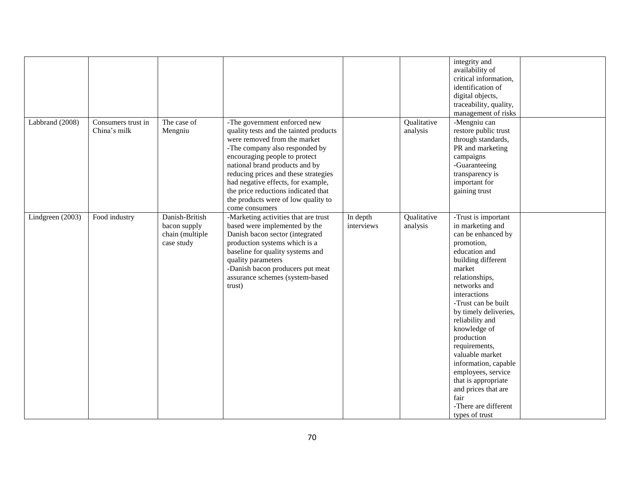|                  |                                    |                                                                 |                                                                                                                                                                                                                                                                                                                                                                                           |                        |                         | integrity and<br>availability of<br>critical information,<br>identification of<br>digital objects,<br>traceability, quality,<br>management of risks                                                                                                                                                                                                                                                                                                               |
|------------------|------------------------------------|-----------------------------------------------------------------|-------------------------------------------------------------------------------------------------------------------------------------------------------------------------------------------------------------------------------------------------------------------------------------------------------------------------------------------------------------------------------------------|------------------------|-------------------------|-------------------------------------------------------------------------------------------------------------------------------------------------------------------------------------------------------------------------------------------------------------------------------------------------------------------------------------------------------------------------------------------------------------------------------------------------------------------|
| Labbrand (2008)  | Consumers trust in<br>China's milk | The case of<br>Mengniu                                          | -The government enforced new<br>quality tests and the tainted products<br>were removed from the market<br>-The company also responded by<br>encouraging people to protect<br>national brand products and by<br>reducing prices and these strategies<br>had negative effects, for example,<br>the price reductions indicated that<br>the products were of low quality to<br>come consumers |                        | Qualitative<br>analysis | -Mengniu can<br>restore public trust<br>through standards,<br>PR and marketing<br>campaigns<br>-Guaranteeing<br>transparency is<br>important for<br>gaining trust                                                                                                                                                                                                                                                                                                 |
| Lindgreen (2003) | Food industry                      | Danish-British<br>bacon supply<br>chain (multiple<br>case study | -Marketing activities that are trust<br>based were implemented by the<br>Danish bacon sector (integrated<br>production systems which is a<br>baseline for quality systems and<br>quality parameters<br>-Danish bacon producers put meat<br>assurance schemes (system-based<br>trust)                                                                                                      | In depth<br>interviews | Qualitative<br>analysis | -Trust is important<br>in marketing and<br>can be enhanced by<br>promotion,<br>education and<br>building different<br>market<br>relationships,<br>networks and<br>interactions<br>-Trust can be built<br>by timely deliveries,<br>reliability and<br>knowledge of<br>production<br>requirements,<br>valuable market<br>information, capable<br>employees, service<br>that is appropriate<br>and prices that are<br>fair<br>-There are different<br>types of trust |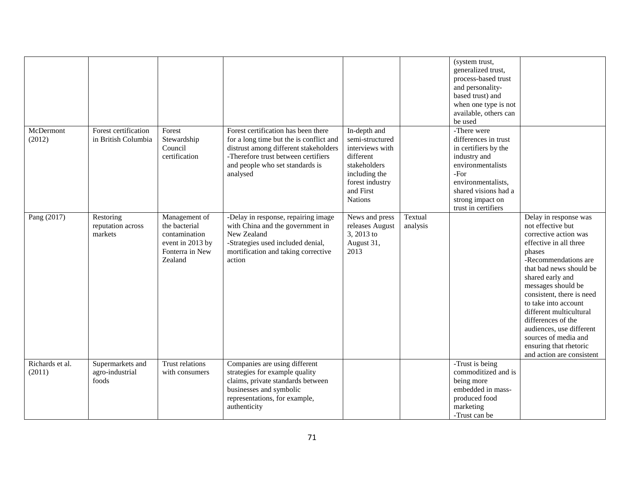|                           |                                              |                                                                                                   |                                                                                                                                                                                                               |                                                                                                                                                    |                     | (system trust,<br>generalized trust,<br>process-based trust<br>and personality-<br>based trust) and<br>when one type is not<br>available, others can<br>be used                                     |                                                                                                                                                                                                                                                                                                                                                                                                                       |
|---------------------------|----------------------------------------------|---------------------------------------------------------------------------------------------------|---------------------------------------------------------------------------------------------------------------------------------------------------------------------------------------------------------------|----------------------------------------------------------------------------------------------------------------------------------------------------|---------------------|-----------------------------------------------------------------------------------------------------------------------------------------------------------------------------------------------------|-----------------------------------------------------------------------------------------------------------------------------------------------------------------------------------------------------------------------------------------------------------------------------------------------------------------------------------------------------------------------------------------------------------------------|
| McDermont<br>(2012)       | Forest certification<br>in British Columbia  | Forest<br>Stewardship<br>Council<br>certification                                                 | Forest certification has been there<br>for a long time but the is conflict and<br>distrust among different stakeholders<br>-Therefore trust between certifiers<br>and people who set standards is<br>analysed | In-depth and<br>semi-structured<br>interviews with<br>different<br>stakeholders<br>including the<br>forest industry<br>and First<br><b>Nations</b> |                     | -There were<br>differences in trust<br>in certifiers by the<br>industry and<br>environmentalists<br>$-For$<br>environmentalists,<br>shared visions had a<br>strong impact on<br>trust in certifiers |                                                                                                                                                                                                                                                                                                                                                                                                                       |
| Pang (2017)               | Restoring<br>reputation across<br>markets    | Management of<br>the bacterial<br>contamination<br>event in 2013 by<br>Fonterra in New<br>Zealand | -Delay in response, repairing image<br>with China and the government in<br>New Zealand<br>-Strategies used included denial,<br>mortification and taking corrective<br>action                                  | News and press<br>releases August<br>3, 2013 to<br>August 31,<br>2013                                                                              | Textual<br>analysis |                                                                                                                                                                                                     | Delay in response was<br>not effective but<br>corrective action was<br>effective in all three<br>phases<br>-Recommendations are<br>that bad news should be<br>shared early and<br>messages should be<br>consistent, there is need<br>to take into account<br>different multicultural<br>differences of the<br>audiences, use different<br>sources of media and<br>ensuring that rhetoric<br>and action are consistent |
| Richards et al.<br>(2011) | Supermarkets and<br>agro-industrial<br>foods | Trust relations<br>with consumers                                                                 | Companies are using different<br>strategies for example quality<br>claims, private standards between<br>businesses and symbolic<br>representations, for example,<br>authenticity                              |                                                                                                                                                    |                     | -Trust is being<br>commoditized and is<br>being more<br>embedded in mass-<br>produced food<br>marketing<br>-Trust can be                                                                            |                                                                                                                                                                                                                                                                                                                                                                                                                       |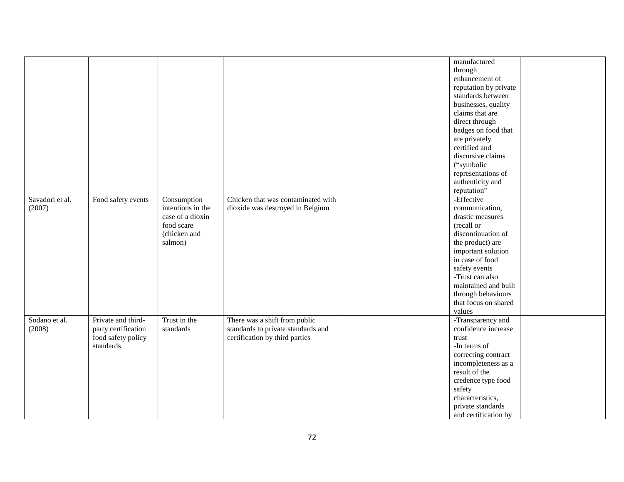|                 |                     |                   |                                    |  | manufactured          |  |
|-----------------|---------------------|-------------------|------------------------------------|--|-----------------------|--|
|                 |                     |                   |                                    |  | through               |  |
|                 |                     |                   |                                    |  | enhancement of        |  |
|                 |                     |                   |                                    |  |                       |  |
|                 |                     |                   |                                    |  | reputation by private |  |
|                 |                     |                   |                                    |  | standards between     |  |
|                 |                     |                   |                                    |  | businesses, quality   |  |
|                 |                     |                   |                                    |  | claims that are       |  |
|                 |                     |                   |                                    |  | direct through        |  |
|                 |                     |                   |                                    |  | badges on food that   |  |
|                 |                     |                   |                                    |  | are privately         |  |
|                 |                     |                   |                                    |  | certified and         |  |
|                 |                     |                   |                                    |  | discursive claims     |  |
|                 |                     |                   |                                    |  | ("symbolic            |  |
|                 |                     |                   |                                    |  | representations of    |  |
|                 |                     |                   |                                    |  | authenticity and      |  |
|                 |                     |                   |                                    |  | reputation"           |  |
| Savadori et al. | Food safety events  | Consumption       | Chicken that was contaminated with |  | -Effective            |  |
| (2007)          |                     | intentions in the | dioxide was destroyed in Belgium   |  | communication,        |  |
|                 |                     | case of a dioxin  |                                    |  | drastic measures      |  |
|                 |                     | food scare        |                                    |  | (recall or            |  |
|                 |                     | (chicken and      |                                    |  | discontinuation of    |  |
|                 |                     |                   |                                    |  |                       |  |
|                 |                     | salmon)           |                                    |  | the product) are      |  |
|                 |                     |                   |                                    |  | important solution    |  |
|                 |                     |                   |                                    |  | in case of food       |  |
|                 |                     |                   |                                    |  | safety events         |  |
|                 |                     |                   |                                    |  | -Trust can also       |  |
|                 |                     |                   |                                    |  | maintained and built  |  |
|                 |                     |                   |                                    |  | through behaviours    |  |
|                 |                     |                   |                                    |  | that focus on shared  |  |
|                 |                     |                   |                                    |  | values                |  |
| Sodano et al.   | Private and third-  | Trust in the      | There was a shift from public      |  | -Transparency and     |  |
| (2008)          | party certification | standards         | standards to private standards and |  | confidence increase   |  |
|                 | food safety policy  |                   | certification by third parties     |  | trust                 |  |
|                 | standards           |                   |                                    |  | -In terms of          |  |
|                 |                     |                   |                                    |  | correcting contract   |  |
|                 |                     |                   |                                    |  | incompleteness as a   |  |
|                 |                     |                   |                                    |  | result of the         |  |
|                 |                     |                   |                                    |  | credence type food    |  |
|                 |                     |                   |                                    |  | safety                |  |
|                 |                     |                   |                                    |  | characteristics,      |  |
|                 |                     |                   |                                    |  |                       |  |
|                 |                     |                   |                                    |  | private standards     |  |
|                 |                     |                   |                                    |  | and certification by  |  |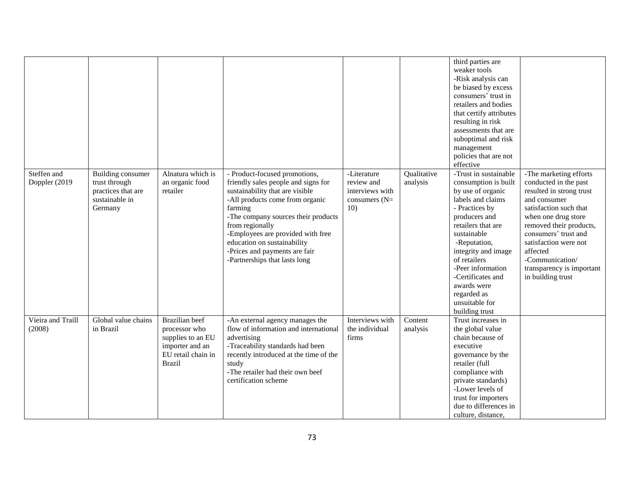|                               |                                                                                              |                                                                                                                |                                                                                                                                                                                                                                                                                                                                                     |                                                                        |                         | third parties are<br>weaker tools<br>-Risk analysis can<br>be biased by excess<br>consumers' trust in<br>retailers and bodies<br>that certify attributes<br>resulting in risk<br>assessments that are<br>suboptimal and risk<br>management<br>policies that are not<br>effective                                                   |                                                                                                                                                                                                                                                                                                           |
|-------------------------------|----------------------------------------------------------------------------------------------|----------------------------------------------------------------------------------------------------------------|-----------------------------------------------------------------------------------------------------------------------------------------------------------------------------------------------------------------------------------------------------------------------------------------------------------------------------------------------------|------------------------------------------------------------------------|-------------------------|------------------------------------------------------------------------------------------------------------------------------------------------------------------------------------------------------------------------------------------------------------------------------------------------------------------------------------|-----------------------------------------------------------------------------------------------------------------------------------------------------------------------------------------------------------------------------------------------------------------------------------------------------------|
| Steffen and<br>Doppler (2019) | <b>Building consumer</b><br>trust through<br>practices that are<br>sustainable in<br>Germany | Alnatura which is<br>an organic food<br>retailer                                                               | Product-focused promotions,<br>friendly sales people and signs for<br>sustainability that are visible<br>-All products come from organic<br>farming<br>-The company sources their products<br>from regionally<br>-Employees are provided with free<br>education on sustainability<br>-Prices and payments are fair<br>-Partnerships that lasts long | -Literature<br>review and<br>interviews with<br>consumers $(N=$<br>10) | Qualitative<br>analysis | -Trust in sustainable<br>consumption is built<br>by use of organic<br>labels and claims<br>- Practices by<br>producers and<br>retailers that are<br>sustainable<br>-Reputation,<br>integrity and image<br>of retailers<br>-Peer information<br>-Certificates and<br>awards were<br>regarded as<br>unsuitable for<br>building trust | -The marketing efforts<br>conducted in the past<br>resulted in strong trust<br>and consumer<br>satisfaction such that<br>when one drug store<br>removed their products,<br>consumers' trust and<br>satisfaction were not<br>affected<br>-Communication/<br>transparency is important<br>in building trust |
| Vieira and Traill<br>(2008)   | Global value chains<br>in Brazil                                                             | Brazilian beef<br>processor who<br>supplies to an EU<br>importer and an<br>EU retail chain in<br><b>Brazil</b> | -An external agency manages the<br>flow of information and international<br>advertising<br>-Traceability standards had been<br>recently introduced at the time of the<br>study<br>-The retailer had their own beef<br>certification scheme                                                                                                          | Interviews with<br>the individual<br>firms                             | Content<br>analysis     | Trust increases in<br>the global value<br>chain because of<br>executive<br>governance by the<br>retailer (full<br>compliance with<br>private standards)<br>-Lower levels of<br>trust for importers<br>due to differences in<br>culture, distance,                                                                                  |                                                                                                                                                                                                                                                                                                           |